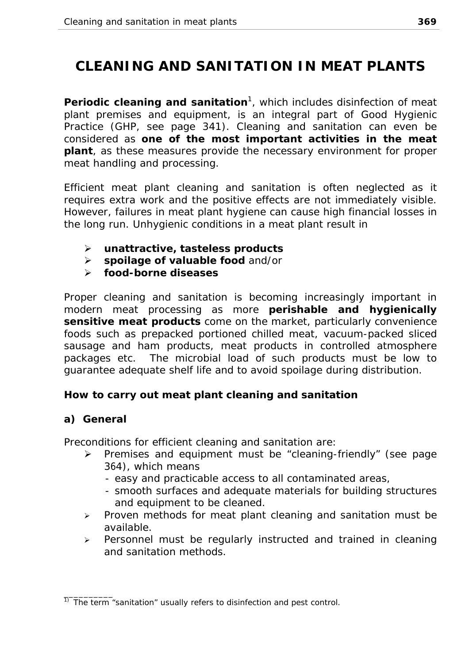## **CLEANING AND SANITATION IN MEAT PLANTS**

Periodic cleaning and sanitation<sup>1</sup>, which includes disinfection of meat plant premises and equipment, is an integral part of Good Hygienic Practice (GHP, see page 341). Cleaning and sanitation can even be considered as **one of the most important activities in the meat plant**, as these measures provide the necessary environment for proper meat handling and processing.

Efficient meat plant cleaning and sanitation is often neglected as it requires extra work and the positive effects are not immediately visible. However, failures in meat plant hygiene can cause high financial losses in the long run. Unhygienic conditions in a meat plant result in

- ¾ **unattractive, tasteless products**
- ¾ **spoilage of valuable food** and/or
- ¾ **food-borne diseases**

Proper cleaning and sanitation is becoming increasingly important in modern meat processing as more **perishable and hygienically sensitive meat products** come on the market, particularly convenience foods such as prepacked portioned chilled meat, vacuum-packed sliced sausage and ham products, meat products in controlled atmosphere packages etc. The microbial load of such products must be low to guarantee adequate shelf life and to avoid spoilage during distribution.

## **How to carry out meat plant cleaning and sanitation**

## **a) General**

Preconditions for efficient cleaning and sanitation are:

- ¾ Premises and equipment must be "cleaning-friendly" (see page 364), which means
	- easy and practicable access to all contaminated areas,
	- smooth surfaces and adequate materials for building structures and equipment to be cleaned.
- ¾ Proven methods for meat plant cleaning and sanitation must be available.
- ¾ Personnel must be regularly instructed and trained in cleaning and sanitation methods.

 $\overline{\phantom{a}}$  , where  $\overline{\phantom{a}}$  $1)$  The term "sanitation" usually refers to disinfection and pest control.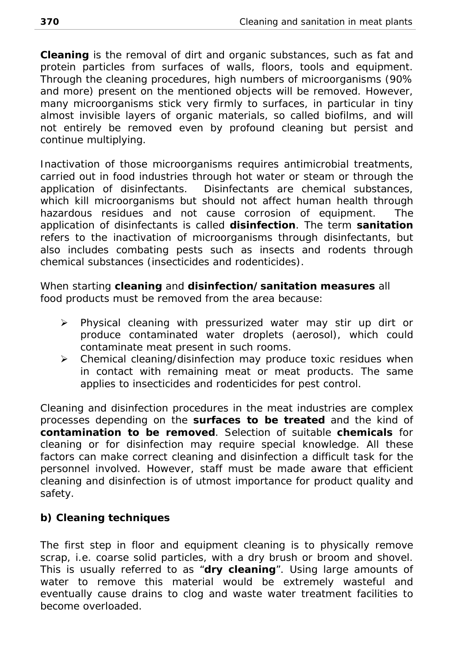**Cleaning** is the removal of dirt and organic substances, such as fat and protein particles from surfaces of walls, floors, tools and equipment. Through the cleaning procedures, high numbers of microorganisms (90% and more) present on the mentioned objects will be removed. However, many microorganisms stick very firmly to surfaces, in particular in tiny almost invisible layers of organic materials, so called *biofilms*, and will not entirely be removed even by profound cleaning but persist and continue multiplying.

Inactivation of those microorganisms requires antimicrobial treatments, carried out in food industries through *hot water* or *steam* or through the application of *disinfectants*. Disinfectants are chemical substances, which kill microorganisms but should not affect human health through hazardous residues and not cause corrosion of equipment. The application of disinfectants is called **disinfection**. The term **sanitation** refers to the inactivation of microorganisms through disinfectants, but also includes combating pests such as insects and rodents through chemical substances (insecticides and rodenticides).

When starting **cleaning** and **disinfection/sanitation measures** all food products must be *removed* from the area because:

- ¾ Physical cleaning with pressurized water may stir up dirt or produce contaminated water droplets (aerosol), which could contaminate meat present in such rooms.
- $\triangleright$  Chemical cleaning/disinfection may produce toxic residues when in contact with remaining meat or meat products. The same applies to insecticides and rodenticides for pest control.

Cleaning and disinfection procedures in the meat industries are complex processes depending on the **surfaces to be treated** and the kind of **contamination to be removed**. Selection of suitable **chemicals** for cleaning or for disinfection may require special knowledge. All these factors can make correct cleaning and disinfection a difficult task for the personnel involved. However, staff must be made aware that efficient cleaning and disinfection is of utmost importance for product quality and safety.

## **b) Cleaning techniques**

The first step in floor and equipment cleaning is to physically remove scrap, i.e. coarse solid particles, with a dry brush or broom and shovel. This is usually referred to as "**dry cleaning**". Using large amounts of water to remove this material would be extremely wasteful and eventually cause drains to clog and waste water treatment facilities to become overloaded.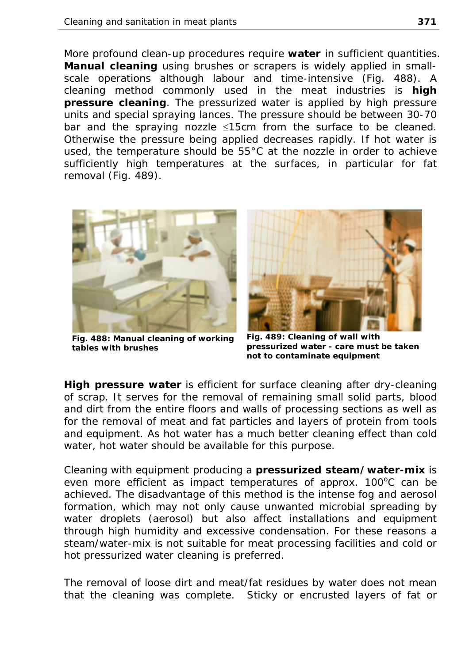More profound clean-up procedures require **water** in sufficient quantities. **Manual cleaning** using brushes or scrapers is widely applied in smallscale operations although labour and time-intensive (Fig. 488). A cleaning method commonly used in the meat industries is **high pressure cleaning**. The pressurized water is applied by high pressure units and special spraying lances. The pressure should be between 30-70 bar and the spraying nozzle ≤15cm from the surface to be cleaned. Otherwise the pressure being applied decreases rapidly. If hot water is used, the temperature should be 55°C at the nozzle in order to achieve sufficiently high temperatures at the surfaces, in particular for fat removal (Fig. 489).



**Fig. 488: Manual cleaning of working tables with brushes** 



**Fig. 489: Cleaning of wall with pressurized water - care must be taken not to contaminate equipment** 

**High pressure water** is efficient for surface cleaning after dry-cleaning of scrap. It serves for the removal of remaining small solid parts, blood and dirt from the entire floors and walls of processing sections as well as for the removal of meat and fat particles and layers of protein from tools and equipment. As hot water has a much better cleaning effect than cold water, hot water should be available for this purpose.

Cleaning with equipment producing a **pressurized steam/water-mix** is even more efficient as impact temperatures of approx.  $100^{\circ}$ C can be achieved. The disadvantage of this method is the intense fog and aerosol formation, which may not only cause unwanted microbial spreading by water droplets (aerosol) but also affect installations and equipment through high humidity and excessive condensation. For these reasons a steam/water-mix is not suitable for meat processing facilities and cold or hot pressurized water cleaning is preferred.

The removal of loose dirt and meat/fat residues by water does not mean that the cleaning was complete. Sticky or encrusted layers of fat or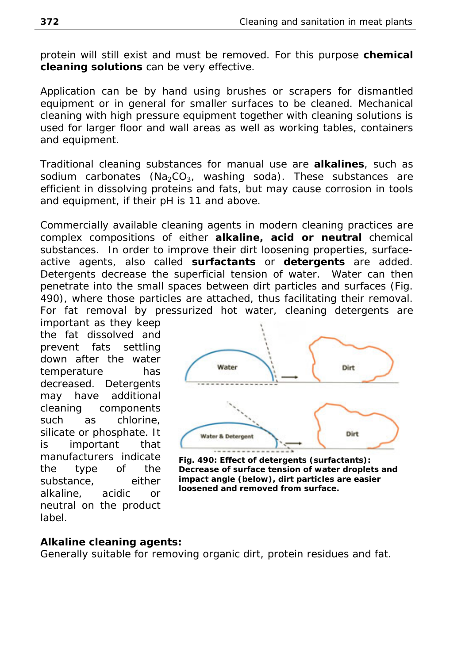protein will still exist and must be removed. For this purpose **chemical cleaning solutions** can be very effective.

Application can be by hand using brushes or scrapers for dismantled equipment or in general for smaller surfaces to be cleaned. Mechanical cleaning with high pressure equipment together with cleaning solutions is used for larger floor and wall areas as well as working tables, containers and equipment.

Traditional cleaning substances for manual use are **alkalines**, such as sodium carbonates (Na<sub>2</sub>CO<sub>3</sub>, washing soda). These substances are efficient in dissolving proteins and fats, but may cause corrosion in tools and equipment, if their pH is 11 and above.

Commercially available cleaning agents in modern cleaning practices are complex compositions of either **alkaline, acid or neutral** chemical substances. In order to improve their dirt loosening properties, surfaceactive agents, also called **surfactants** or **detergents** are added. Detergents decrease the superficial tension of water. Water can then penetrate into the small spaces between dirt particles and surfaces (Fig. 490), where those particles are attached, thus facilitating their removal. For fat removal by pressurized hot water, cleaning detergents are

important as they keep the fat dissolved and prevent fats settling down after the water temperature has decreased. Detergents may have additional cleaning components such as chlorine, silicate or phosphate. It is important that manufacturers indicate the type of the substance, either alkaline, acidic or neutral on the product label.



**Fig. 490: Effect of detergents (surfactants): Decrease of surface tension of water droplets and impact angle (below), dirt particles are easier loosened and removed from surface.** 

#### **Alkaline cleaning agents:**

Generally suitable for removing organic dirt, protein residues and fat.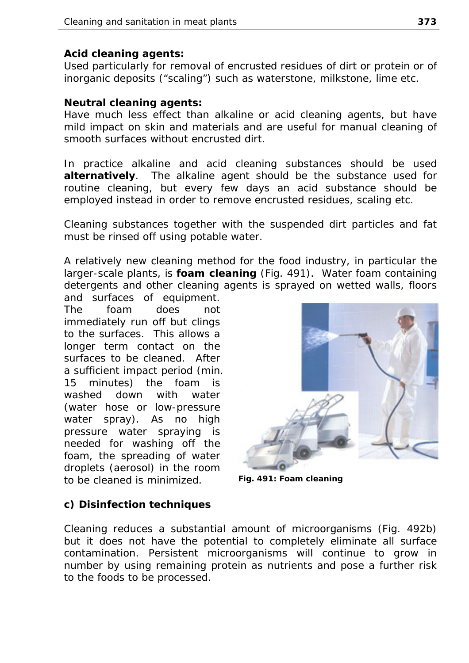## **Acid cleaning agents:**

Used particularly for removal of encrusted residues of dirt or protein or of inorganic deposits ("scaling") such as waterstone, milkstone, lime etc.

## **Neutral cleaning agents:**

Have much less effect than alkaline or acid cleaning agents, but have mild impact on skin and materials and are useful for manual cleaning of smooth surfaces without encrusted dirt.

In practice alkaline and acid cleaning substances should be used **alternatively**. The alkaline agent should be the substance used for routine cleaning, but every few days an acid substance should be employed instead in order to remove encrusted residues, scaling etc.

Cleaning substances together with the suspended dirt particles and fat must be rinsed off using potable water.

A relatively new cleaning method for the food industry, in particular the larger-scale plants, is **foam cleaning** (Fig. 491). Water foam containing detergents and other cleaning agents is sprayed on wetted walls, floors

and surfaces of equipment. The foam does not immediately run off but clings to the surfaces. This allows a longer term contact on the surfaces to be cleaned. After a sufficient impact period (min. 15 minutes) the foam is washed down with water (water hose or low-pressure water spray). As no high pressure water spraying is needed for washing off the foam, the spreading of water droplets (aerosol) in the room to be cleaned is minimized.



**Fig. 491: Foam cleaning** 

## **c) Disinfection techniques**

Cleaning reduces a substantial amount of microorganisms (Fig. 492b) but it does not have the potential to completely eliminate all surface contamination. Persistent microorganisms will continue to grow in number by using remaining protein as nutrients and pose a further risk to the foods to be processed.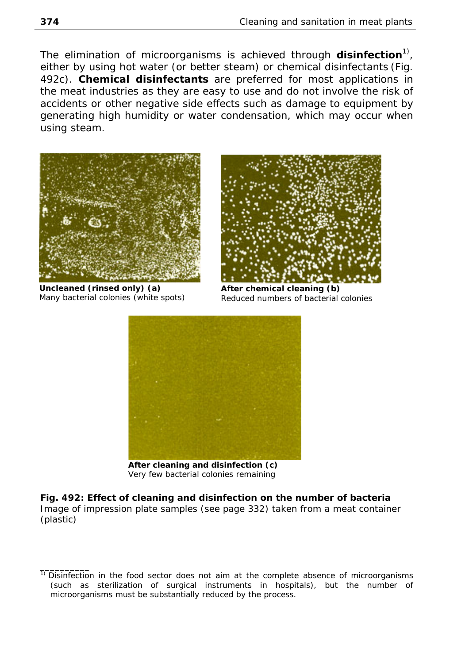The elimination of microorganisms is achieved through **disinfection**1), either by using hot water (or better steam) or chemical disinfectants (Fig. 492c). **Chemical disinfectants** are preferred for most applications in the meat industries as they are easy to use and do not involve the risk of accidents or other negative side effects such as damage to equipment by generating high humidity or water condensation, which may occur when using steam.



**Uncleaned (rinsed only) (a)**  Many bacterial colonies (white spots)

 $\overline{\phantom{a}}$  ,  $\overline{\phantom{a}}$  ,  $\overline{\phantom{a}}$  ,  $\overline{\phantom{a}}$  ,  $\overline{\phantom{a}}$  ,  $\overline{\phantom{a}}$  ,  $\overline{\phantom{a}}$  ,  $\overline{\phantom{a}}$  ,  $\overline{\phantom{a}}$  ,  $\overline{\phantom{a}}$  ,  $\overline{\phantom{a}}$  ,  $\overline{\phantom{a}}$  ,  $\overline{\phantom{a}}$  ,  $\overline{\phantom{a}}$  ,  $\overline{\phantom{a}}$  ,  $\overline{\phantom{a}}$ 



**After chemical cleaning (b)**  Reduced numbers of bacterial colonies



**After cleaning and disinfection (c)**  Very few bacterial colonies remaining

**Fig. 492: Effect of cleaning and disinfection on the number of bacteria**  Image of impression plate samples (see page 332) taken from a meat container (plastic)

 $1)$  Disinfection in the food sector does not aim at the complete absence of microorganisms (such as sterilization of surgical instruments in hospitals), but the number of microorganisms must be substantially reduced by the process.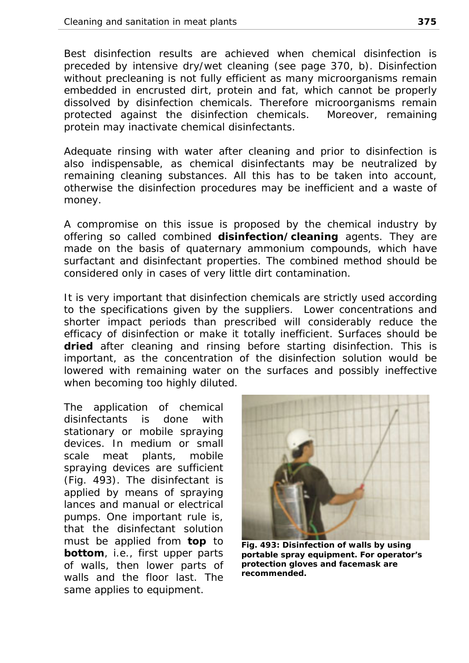Best disinfection results are achieved when chemical disinfection is preceded by intensive dry/wet cleaning (see page 370, b). Disinfection without precleaning is not fully efficient as many microorganisms remain embedded in encrusted dirt, protein and fat, which cannot be properly dissolved by disinfection chemicals. Therefore microorganisms remain protected against the disinfection chemicals. Moreover, remaining protein may inactivate chemical disinfectants.

Adequate rinsing with water after cleaning and prior to disinfection is also indispensable, as chemical disinfectants may be neutralized by remaining cleaning substances. All this has to be taken into account, otherwise the disinfection procedures may be inefficient and a waste of money.

A compromise on this issue is proposed by the chemical industry by offering so called combined **disinfection/cleaning** agents. They are made on the basis of *quaternary ammonium compounds*, which have surfactant and disinfectant properties. The combined method should be considered only in cases of very little dirt contamination.

It is very important that disinfection chemicals are strictly used according to the specifications given by the suppliers. Lower concentrations and shorter impact periods than prescribed will considerably reduce the efficacy of disinfection or make it totally inefficient. Surfaces should be **dried** after cleaning and rinsing before starting disinfection. This is important, as the concentration of the disinfection solution would be lowered with remaining water on the surfaces and possibly ineffective when becoming too highly diluted.

The application of chemical disinfectants is done with stationary or mobile spraying devices. In medium or small scale meat plants, mobile spraying devices are sufficient (Fig. 493). The disinfectant is applied by means of spraying lances and manual or electrical pumps. One important rule is, that the disinfectant solution must be applied from **top** to **bottom**, i.e., first upper parts of walls, then lower parts of walls and the floor last. The same applies to equipment.



**Fig. 493: Disinfection of walls by using portable spray equipment. For operator's protection gloves and facemask are recommended.**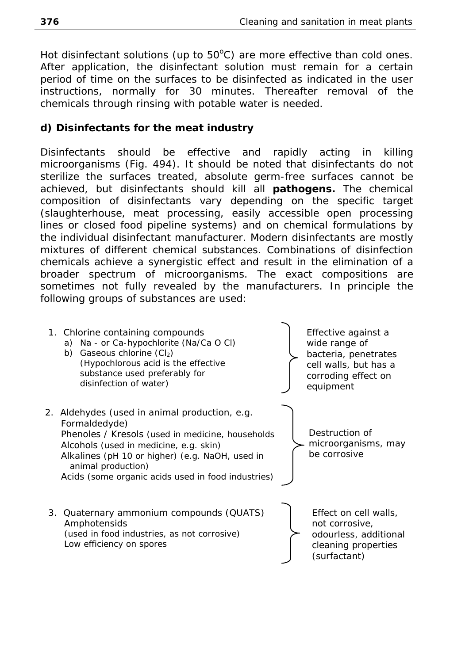Hot disinfectant solutions (up to  $50^{\circ}$ C) are more effective than cold ones. After application, the disinfectant solution must remain for a certain period of time on the surfaces to be disinfected as indicated in the user instructions, normally for 30 minutes. Thereafter removal of the chemicals through rinsing with potable water is needed.

## **d) Disinfectants for the meat industry**

Disinfectants should be effective and rapidly acting in killing microorganisms (Fig. 494). It should be noted that disinfectants do not sterilize the surfaces treated, *absolute germ-free surfaces* cannot be achieved, but disinfectants should kill all **pathogens.** The chemical composition of disinfectants vary depending on the specific target (slaughterhouse, meat processing, easily accessible open processing lines or closed food pipeline systems) and on chemical formulations by the individual disinfectant manufacturer. Modern disinfectants are mostly mixtures of different chemical substances. Combinations of disinfection chemicals achieve a synergistic effect and result in the elimination of a broader spectrum of microorganisms. The exact compositions are sometimes not fully revealed by the manufacturers. In principle the following groups of substances are used:

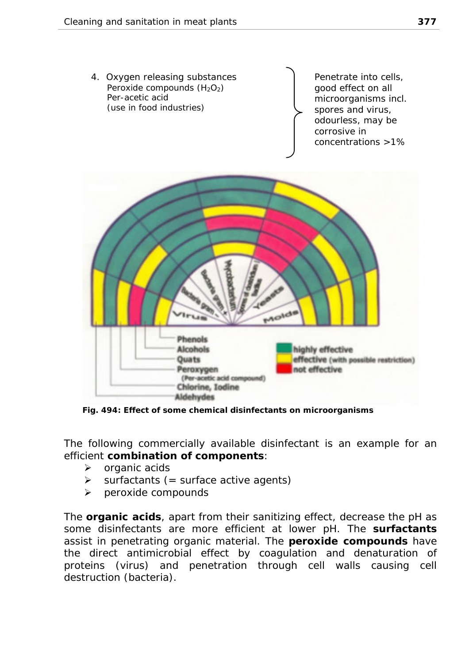4. Oxygen releasing substances Penetrate into cells, Peroxide compounds  $(H<sub>2</sub>O<sub>2</sub>)$ good effect on all Per-acetic acid microorganisms incl. (use in food industries) spores and virus, odourless, may be corrosive in concentrations >1% mold **Phenois Alcohols** highly effective Quats effective (with possible restriction) Peroxygen not effective (Per-acetic acid compound) Chlorine, Iodine Aldehydes

**Fig. 494: Effect of some chemical disinfectants on microorganisms** 

The following commercially available disinfectant is an example for an efficient **combination of components**:

- $\triangleright$  organic acids
- $\triangleright$  surfactants (= surface active agents)
- $\triangleright$  peroxide compounds

The **organic acids**, apart from their sanitizing effect, decrease the pH as some disinfectants are more efficient at lower pH. The **surfactants** assist in penetrating organic material. The **peroxide compounds** have the direct antimicrobial effect by coagulation and denaturation of proteins (virus) and penetration through cell walls causing cell destruction (bacteria).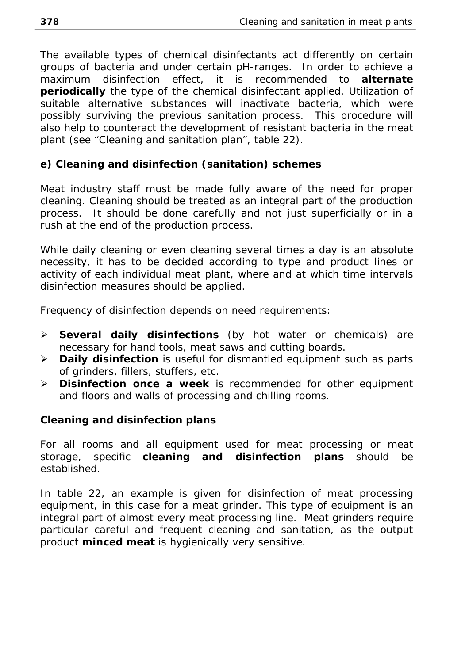The available types of chemical disinfectants act differently on certain groups of bacteria and under certain pH-ranges. In order to achieve a maximum disinfection effect, it is recommended to **alternate periodically** the type of the chemical disinfectant applied. Utilization of suitable alternative substances will inactivate bacteria, which were possibly surviving the previous sanitation process. This procedure will also help to counteract the development of resistant bacteria in the meat plant (see "Cleaning and sanitation plan", table 22).

## **e) Cleaning and disinfection (sanitation) schemes**

Meat industry staff must be made fully aware of the need for proper cleaning. Cleaning should be treated as an integral part of the production process. It should be done carefully and not just superficially or in a rush at the end of the production process.

While daily cleaning or even cleaning several times a day is an absolute necessity, it has to be decided according to type and product lines or activity of each individual meat plant, where and at which time intervals disinfection measures should be applied.

Frequency of disinfection depends on need requirements:

- ¾ **Several daily disinfections** (by hot water or chemicals) are necessary for hand tools, meat saws and cutting boards.
- ¾ **Daily disinfection** is useful for dismantled equipment such as parts of grinders, fillers, stuffers, etc.
- ¾ **Disinfection once a week** is recommended for other equipment and floors and walls of processing and chilling rooms.

## **Cleaning and disinfection plans**

For all rooms and all equipment used for meat processing or meat storage, specific **cleaning and disinfection plans** should be established.

In table 22, an example is given for disinfection of meat processing equipment, in this case for a meat grinder. This type of equipment is an integral part of almost every meat processing line. Meat grinders require particular careful and frequent cleaning and sanitation, as the output product **minced meat** is hygienically very sensitive.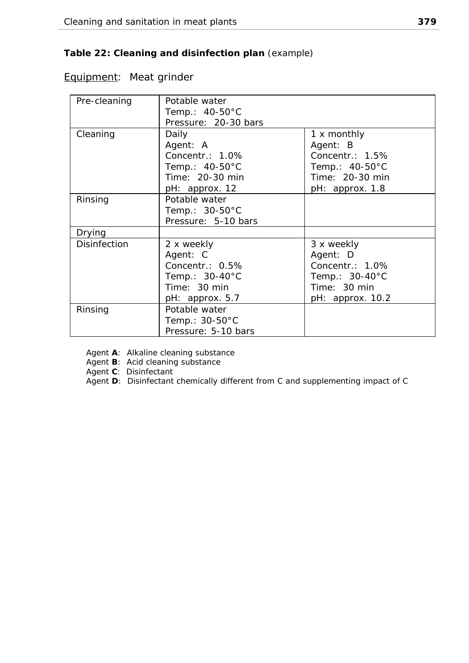#### **Table 22: Cleaning and disinfection plan** (example)

#### Equipment: Meat grinder

| Pre-cleaning        | Potable water        |                  |  |
|---------------------|----------------------|------------------|--|
|                     | Temp.: 40-50°C       |                  |  |
|                     | Pressure: 20-30 bars |                  |  |
| Cleaning            | Daily                | 1 x monthly      |  |
|                     | Agent: A             | Agent: B         |  |
|                     | Concentr.: 1.0%      | Concentr.: 1.5%  |  |
|                     | Temp.: 40-50°C       | Temp.: 40-50°C   |  |
|                     | Time: 20-30 min      | Time: 20-30 min  |  |
|                     | pH: approx. 12       | pH: approx. 1.8  |  |
| Rinsing             | Potable water        |                  |  |
|                     | Temp.: 30-50°C       |                  |  |
|                     | Pressure: 5-10 bars  |                  |  |
| Drying              |                      |                  |  |
| <b>Disinfection</b> | 2 x weekly           | 3 x weekly       |  |
|                     | Agent: C             | Agent: D         |  |
|                     | Concentr.: 0.5%      | Concentr.: 1.0%  |  |
|                     | Temp.: 30-40°C       | Temp.: 30-40°C   |  |
|                     | Time: 30 min         | Time: 30 min     |  |
|                     | pH: approx. 5.7      | pH: approx. 10.2 |  |
| Rinsing             | Potable water        |                  |  |
|                     | Temp.: 30-50°C       |                  |  |
|                     | Pressure: 5-10 bars  |                  |  |

Agent **A**: Alkaline cleaning substance

Agent **B**: Acid cleaning substance

Agent **C**: Disinfectant

Agent **D**: Disinfectant chemically different from C and supplementing impact of C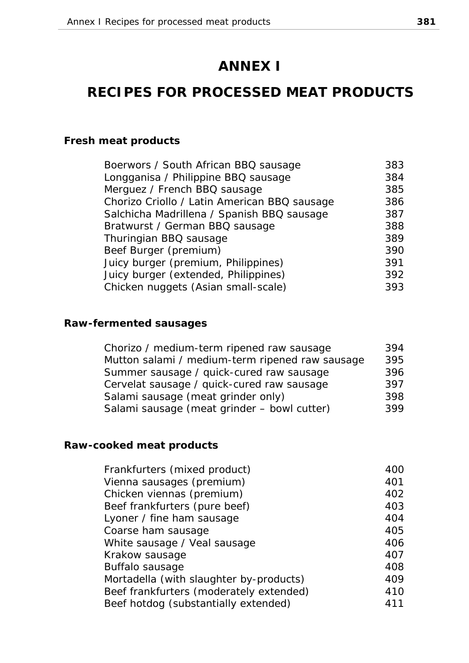## **ANNEX I**

## **RECIPES FOR PROCESSED MEAT PRODUCTS**

#### **Fresh meat products**

| 383 |
|-----|
| 384 |
| 385 |
| 386 |
| 387 |
| 388 |
| 389 |
| 390 |
| 391 |
| 392 |
| 393 |
|     |

## **Raw-fermented sausages**

| Chorizo / medium-term ripened raw sausage       | 394 |
|-------------------------------------------------|-----|
| Mutton salami / medium-term ripened raw sausage | 395 |
| Summer sausage / quick-cured raw sausage        | 396 |
| Cervelat sausage / quick-cured raw sausage      | 397 |
| Salami sausage (meat grinder only)              | 398 |
| Salami sausage (meat grinder - bowl cutter)     | 399 |

#### **Raw-cooked meat products**

| Frankfurters (mixed product)            | 400 |
|-----------------------------------------|-----|
| Vienna sausages (premium)               | 401 |
| Chicken viennas (premium)               | 402 |
| Beef frankfurters (pure beef)           | 403 |
| Lyoner / fine ham sausage               | 404 |
| Coarse ham sausage                      | 405 |
| White sausage / Veal sausage            | 406 |
| Krakow sausage                          | 407 |
| Buffalo sausage                         | 408 |
| Mortadella (with slaughter by-products) | 409 |
| Beef frankfurters (moderately extended) | 410 |
| Beef hotdog (substantially extended)    | 411 |
|                                         |     |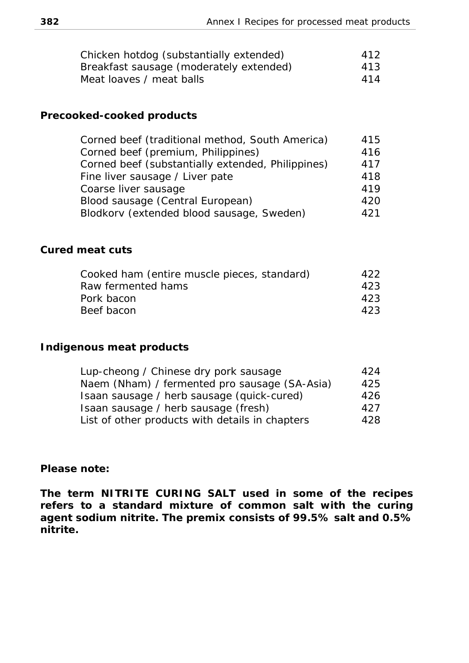| Chicken hotdog (substantially extended) | 412 |
|-----------------------------------------|-----|
| Breakfast sausage (moderately extended) | 413 |
| Meat loaves / meat balls                | 414 |

#### **Precooked-cooked products**

| Corned beef (traditional method, South America)   | 415 |
|---------------------------------------------------|-----|
| Corned beef (premium, Philippines)                | 416 |
| Corned beef (substantially extended, Philippines) | 417 |
| Fine liver sausage / Liver pate                   | 418 |
| Coarse liver sausage                              | 419 |
| Blood sausage (Central European)                  | 420 |
| Blodkorv (extended blood sausage, Sweden)         | 421 |

#### **Cured meat cuts**

| Cooked ham (entire muscle pieces, standard) | 422 |
|---------------------------------------------|-----|
| Raw fermented hams                          | 423 |
| Pork bacon                                  | 423 |
| Beef bacon                                  | 423 |

#### **Indigenous meat products**

| Lup-cheong / Chinese dry pork sausage           | 424 |
|-------------------------------------------------|-----|
| Naem (Nham) / fermented pro sausage (SA-Asia)   | 425 |
| Isaan sausage / herb sausage (quick-cured)      | 426 |
| Isaan sausage / herb sausage (fresh)            | 427 |
| List of other products with details in chapters | 428 |

#### **Please note:**

*The term NITRITE CURING SALT used in some of the recipes refers to a standard mixture of common salt with the curing agent sodium nitrite. The premix consists of 99.5% salt and 0.5% nitrite.*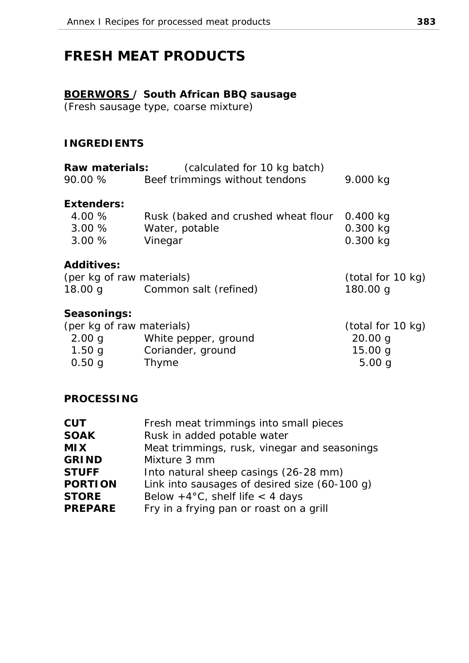## **FRESH MEAT PRODUCTS**

## **BOERWORS / South African BBQ sausage**

*(Fresh sausage type, coarse mixture)* 

## *INGREDIENTS*

| <b>Raw materials:</b><br>90.00 %                                      | (calculated for 10 kg batch)<br>Beef trimmings without tendons   | 9.000 kg                                                     |
|-----------------------------------------------------------------------|------------------------------------------------------------------|--------------------------------------------------------------|
| <b>Extenders:</b><br>4.00 %<br>3.00%<br>3.00%                         | Rusk (baked and crushed wheat flour<br>Water, potable<br>Vinegar | $0.400$ kg<br>$0.300$ kg<br>$0.300$ kg                       |
| <b>Additives:</b><br>(per kg of raw materials)                        | 18.00 g Common salt (refined)                                    | (total for 10 kg)<br>180.00 g                                |
| Seasonings:<br>(per kg of raw materials)<br>2.00 g<br>1.50 g<br>0.50q | White pepper, ground<br>Coriander, ground<br>Thyme               | (total for 10 kg)<br>20.00 g<br>15.00 g<br>5.00 <sub>q</sub> |

| <b>CUT</b>     | Fresh meat trimmings into small pieces        |
|----------------|-----------------------------------------------|
| <b>SOAK</b>    | Rusk in added potable water                   |
| <b>MIX</b>     | Meat trimmings, rusk, vinegar and seasonings  |
| <b>GRIND</b>   | Mixture 3 mm                                  |
| <b>STUFF</b>   | Into natural sheep casings (26-28 mm)         |
| <b>PORTION</b> | Link into sausages of desired size (60-100 q) |
| <b>STORE</b>   | Below $+4^{\circ}$ C, shelf life $<$ 4 days   |
| <b>PREPARE</b> | Fry in a frying pan or roast on a grill       |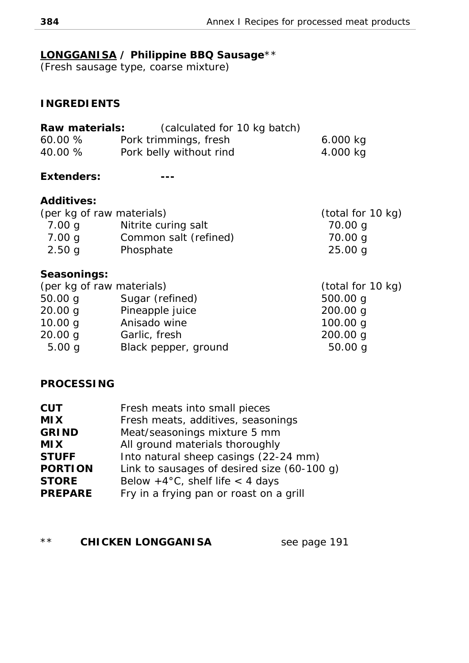## **LONGGANISA / Philippine BBQ Sausage**\*\*

*(Fresh sausage type, coarse mixture)* 

## *INGREDIENTS*

| Raw materials: | (calculated for 10 kg batch) |          |
|----------------|------------------------------|----------|
| 60.00 %        | Pork trimmings, fresh        | 6.000 kg |
| 40.00 %        | Pork belly without rind      | 4.000 kg |

#### **Extenders: ---**

## **Additives:**

| (per kg of raw materials) |                       | (total for 10 kg) |
|---------------------------|-----------------------|-------------------|
| 7.00 g                    | Nitrite curing salt   | 70.00 g           |
| 7.00 g                    | Common salt (refined) | 70.00 g           |
| 2.50 g                    | Phosphate             | 25.00 g           |

## **Seasonings:**

| (per kg of raw materials) |                      | (total for 10 kg) |
|---------------------------|----------------------|-------------------|
| 50.00 g                   | Sugar (refined)      | 500.00 g          |
| 20.00 g                   | Pineapple juice      | 200.00 g          |
| 10.00 q                   | Anisado wine         | 100.00 g          |
| 20.00 g                   | Garlic, fresh        | $200.00$ q        |
| 5.00q                     | Black pepper, ground | 50.00q            |

## *PROCESSING*

| <b>CUT</b>     | Fresh meats into small pieces               |
|----------------|---------------------------------------------|
| <b>MIX</b>     | Fresh meats, additives, seasonings          |
| <b>GRIND</b>   | Meat/seasonings mixture 5 mm                |
| <b>MIX</b>     | All ground materials thoroughly             |
| <b>STUFF</b>   | Into natural sheep casings (22-24 mm)       |
| <b>PORTION</b> | Link to sausages of desired size (60-100 g) |
| <b>STORE</b>   | Below $+4^{\circ}$ C, shelf life < 4 days   |
| <b>PREPARE</b> | Fry in a frying pan or roast on a grill     |

## \*\* **CHICKEN LONGGANISA** see page 191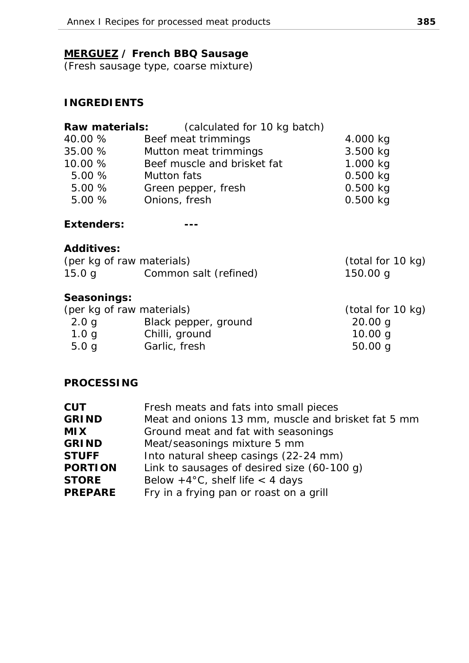## **MERGUEZ / French BBQ Sausage**

*(Fresh sausage type, coarse mixture)* 

#### *INGREDIENTS*

| Raw materials: | (calculated for 10 kg batch) |            |
|----------------|------------------------------|------------|
| 40.00 %        | Beef meat trimmings          | 4.000 kg   |
| 35.00 %        | Mutton meat trimmings        | 3.500 kg   |
| 10.00 %        | Beef muscle and brisket fat  | 1.000 kg   |
| 5.00 %         | Mutton fats                  | $0.500$ kg |
| 5.00 %         | Green pepper, fresh          | $0.500$ kg |
| 5.00 %         | Onions, fresh                | $0.500$ kg |

**Extenders: ---** 

## **Additives:**

|        | (per kg of raw materials) | (total for 10 kg) |
|--------|---------------------------|-------------------|
| 15.0 g | Common salt (refined)     | 150.00 $q$        |

## **Seasonings:**

| (per kg of raw materials) |                      | (total for 10 kg) |
|---------------------------|----------------------|-------------------|
| 2.0 <sub>q</sub>          | Black pepper, ground | 20.00 g           |
| 1.0 <sub>q</sub>          | Chilli, ground       | 10.00 g           |
| 5.0 <sub>q</sub>          | Garlic, fresh        | 50.00 g           |

| <b>CUT</b>     | Fresh meats and fats into small pieces             |
|----------------|----------------------------------------------------|
| <b>GRIND</b>   | Meat and onions 13 mm, muscle and brisket fat 5 mm |
| <b>MIX</b>     | Ground meat and fat with seasonings                |
| <b>GRIND</b>   | Meat/seasonings mixture 5 mm                       |
| <b>STUFF</b>   | Into natural sheep casings (22-24 mm)              |
| <b>PORTION</b> | Link to sausages of desired size (60-100 g)        |
| <b>STORE</b>   | Below $+4^{\circ}$ C, shelf life < 4 days          |
| <b>PREPARE</b> | Fry in a frying pan or roast on a grill            |
|                |                                                    |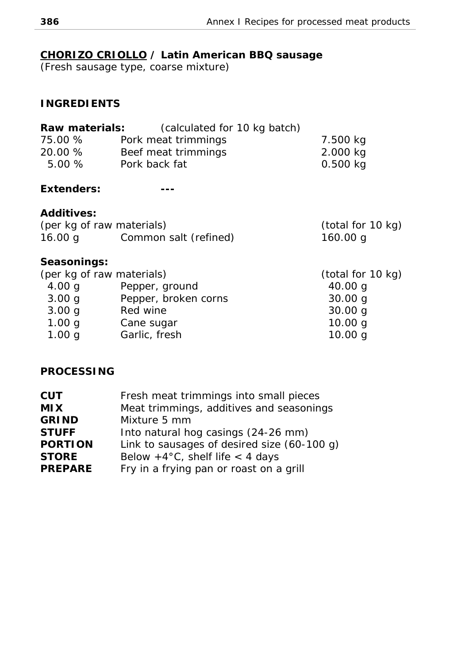## **CHORIZO CRIOLLO / Latin American BBQ sausage**

*(Fresh sausage type, coarse mixture)* 

## *INGREDIENTS*

| <b>Raw materials:</b> | (calculated for 10 kg batch) |            |
|-----------------------|------------------------------|------------|
| 75.00 %               | Pork meat trimmings          | 7.500 kg   |
| 20.00 %               | Beef meat trimmings          | 2.000 kg   |
| 5.00%                 | Pork back fat                | $0.500$ kg |

## **Extenders: ---**

## **Additives:**

| (per kg of raw materials) |                       | (total for 10 kg) |
|---------------------------|-----------------------|-------------------|
| 16.00 g                   | Common salt (refined) | 160.00 $q$        |

## **Seasonings:**

| (per kg of raw materials) |                      | (total for 10 kg) |
|---------------------------|----------------------|-------------------|
| 4.00 g                    | Pepper, ground       | 40.00 g           |
| 3.00 g                    | Pepper, broken corns | 30.00 g           |
| 3.00 g                    | Red wine             | 30.00 g           |
| 1.00 g                    | Cane sugar           | 10.00 g           |
| 1.00 g                    | Garlic, fresh        | 10.00q            |

| <b>CUT</b>     | Fresh meat trimmings into small pieces      |
|----------------|---------------------------------------------|
| <b>MIX</b>     | Meat trimmings, additives and seasonings    |
| <b>GRIND</b>   | Mixture 5 mm                                |
| <b>STUFF</b>   | Into natural hog casings (24-26 mm)         |
| <b>PORTION</b> | Link to sausages of desired size (60-100 q) |
| <b>STORE</b>   | Below $+4^{\circ}$ C, shelf life < 4 days   |
| <b>PREPARE</b> | Fry in a frying pan or roast on a grill     |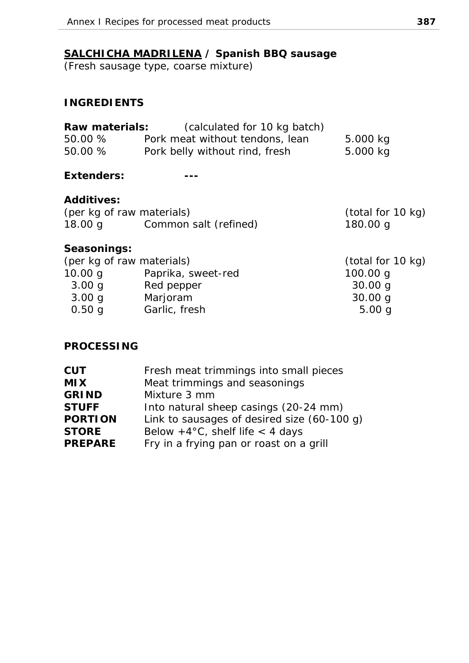## **SALCHICHA MADRILENA / Spanish BBQ sausage**

*(Fresh sausage type, coarse mixture)* 

#### *INGREDIENTS*

| Raw materials: | (calculated for 10 kg batch)    |          |
|----------------|---------------------------------|----------|
| 50.00 %        | Pork meat without tendons, lean | 5.000 kg |
| 50.00 %        | Pork belly without rind, fresh  | 5.000 kg |

#### **Extenders: ---**

## **Additives:**

| (per kg of raw materials) |                       | (total for 10 kg) |
|---------------------------|-----------------------|-------------------|
| 18.00 g                   | Common salt (refined) | 180.00 g          |

## **Seasonings:**

| (per kg of raw materials) |                    | (total for 10 kg) |
|---------------------------|--------------------|-------------------|
| 10.00 q                   | Paprika, sweet-red | 100.00 g          |
| 3.00q                     | Red pepper         | 30.00 g           |
| 3.00 <sub>q</sub>         | Marjoram           | 30.00 g           |
| 0.50q                     | Garlic, fresh      | 5.00q             |

| Fresh meat trimmings into small pieces      |
|---------------------------------------------|
| Meat trimmings and seasonings               |
| Mixture 3 mm                                |
| Into natural sheep casings (20-24 mm)       |
| Link to sausages of desired size (60-100 q) |
| Below $+4^{\circ}$ C, shelf life < 4 days   |
| Fry in a frying pan or roast on a grill     |
|                                             |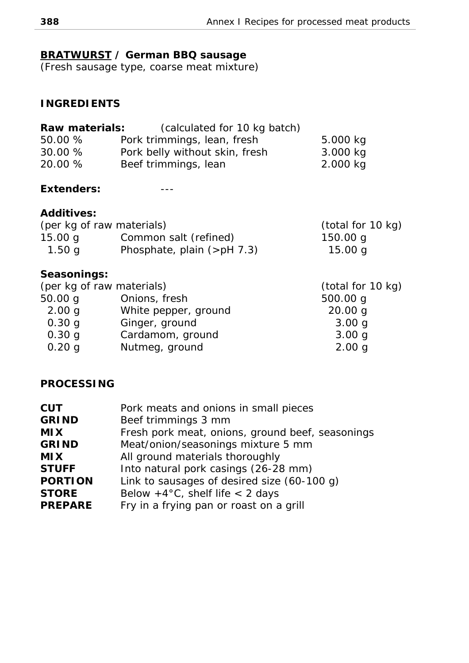## **BRATWURST / German BBQ sausage**

*(Fresh sausage type, coarse meat mixture)* 

#### *INGREDIENTS*

| <b>Raw materials:</b> | (calculated for 10 kg batch)   |          |
|-----------------------|--------------------------------|----------|
| 50.00 %               | Pork trimmings, lean, fresh    | 5.000 kg |
| 30.00 %               | Pork belly without skin, fresh | 3.000 kg |
| 20.00 %               | Beef trimmings, lean           | 2.000 kg |

#### **Extenders:** ---

#### **Additives:**

|                   | (per kg of raw materials)     | (total for 10 kg) |
|-------------------|-------------------------------|-------------------|
| 15.00 g           | Common salt (refined)         | 150.00 g          |
| 1.50 <sub>q</sub> | Phosphate, plain $($ >pH 7.3) | 15.00 g           |

## **Seasonings:**

| (per kg of raw materials) |                      | (total for 10 kg) |
|---------------------------|----------------------|-------------------|
| 50.00 g                   | Onions, fresh        | 500.00 g          |
| 2.00 g                    | White pepper, ground | 20.00 g           |
| 0.30 g                    | Ginger, ground       | 3.00 g            |
| 0.30q                     | Cardamom, ground     | 3.00 g            |
| 0.20q                     | Nutmeg, ground       | 2.00 <sub>g</sub> |

| <b>CUT</b>     | Pork meats and onions in small pieces            |
|----------------|--------------------------------------------------|
| <b>GRIND</b>   | Beef trimmings 3 mm                              |
| <b>MIX</b>     | Fresh pork meat, onions, ground beef, seasonings |
| <b>GRIND</b>   | Meat/onion/seasonings mixture 5 mm               |
| <b>MIX</b>     | All ground materials thoroughly                  |
| <b>STUFF</b>   | Into natural pork casings (26-28 mm)             |
| <b>PORTION</b> | Link to sausages of desired size (60-100 g)      |
| <b>STORE</b>   | Below $+4^{\circ}$ C, shelf life < 2 days        |
| <b>PREPARE</b> | Fry in a frying pan or roast on a grill          |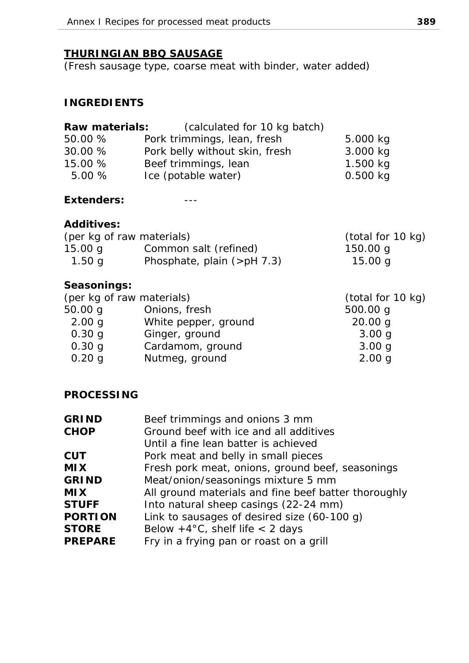## **THURINGIAN BBQ SAUSAGE**

*(Fresh sausage type, coarse meat with binder, water added)* 

#### *INGREDIENTS*

| <b>Raw materials:</b> | (calculated for 10 kg batch)   |            |
|-----------------------|--------------------------------|------------|
| 50.00 %               | Pork trimmings, lean, fresh    | 5.000 kg   |
| 30.00 %               | Pork belly without skin, fresh | 3.000 kg   |
| 15.00 %               | Beef trimmings, lean           | 1.500 kg   |
| 5.00%                 | Ice (potable water)            | $0.500$ kg |

#### **Extenders:** ---

#### **Additives:**

| (per kg of raw materials) |                               | (total for 10 kg) |
|---------------------------|-------------------------------|-------------------|
| 15.00 g                   | Common salt (refined)         | 150.00 g          |
| 1.50 <sub>q</sub>         | Phosphate, plain $($ >pH 7.3) | 15.00 g           |

## **Seasonings:**

| (per kg of raw materials) |                      | (total for 10 kg) |
|---------------------------|----------------------|-------------------|
| 50.00 g                   | Onions, fresh        | 500.00 g          |
| 2.00 g                    | White pepper, ground | 20.00 g           |
| 0.30 g                    | Ginger, ground       | 3.00 g            |
| 0.30 g                    | Cardamom, ground     | 3.00 <sub>q</sub> |
| 0.20 g                    | Nutmeg, ground       | 2.00 g            |

| <b>GRIND</b>   | Beef trimmings and onions 3 mm                       |
|----------------|------------------------------------------------------|
| <b>CHOP</b>    | Ground beef with ice and all additives               |
|                | Until a fine lean batter is achieved                 |
| <b>CUT</b>     | Pork meat and belly in small pieces                  |
| <b>MIX</b>     | Fresh pork meat, onions, ground beef, seasonings     |
| <b>GRIND</b>   | Meat/onion/seasonings mixture 5 mm                   |
| <b>MIX</b>     | All ground materials and fine beef batter thoroughly |
| <b>STUFF</b>   | Into natural sheep casings (22-24 mm)                |
| <b>PORTION</b> | Link to sausages of desired size (60-100 g)          |
| <b>STORE</b>   | Below $+4^{\circ}$ C, shelf life < 2 days            |
| <b>PREPARE</b> | Fry in a frying pan or roast on a grill              |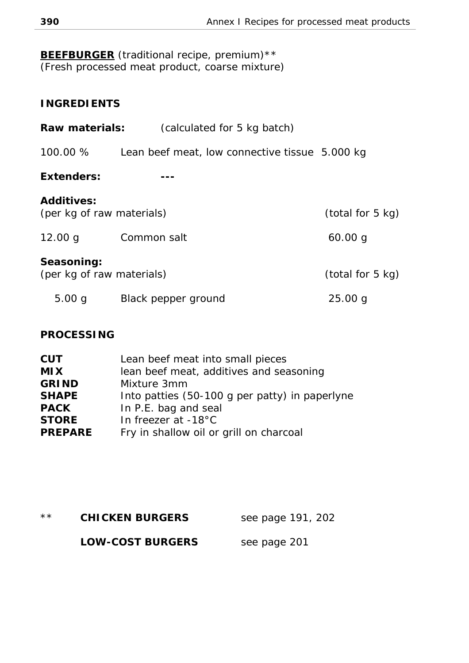**BEEFBURGER** (traditional recipe, premium)\*\* *(Fresh processed meat product, coarse mixture)* 

## *INGREDIENTS*

| Raw materials:                                 | (calculated for 5 kg batch)                    |                  |
|------------------------------------------------|------------------------------------------------|------------------|
| 100.00 %                                       | Lean beef meat, low connective tissue 5.000 kg |                  |
| <b>Extenders:</b>                              |                                                |                  |
| <b>Additives:</b><br>(per kg of raw materials) |                                                | (total for 5 kg) |
| 12.00 g                                        | Common salt                                    | 60.00 g          |
| Seasoning:<br>(per kg of raw materials)        |                                                | (total for 5 kg) |
| 5.00q                                          | Black pepper ground                            | 25.00 g          |

| Lean beef meat into small pieces               |
|------------------------------------------------|
| lean beef meat, additives and seasoning        |
| Mixture 3mm                                    |
| Into patties (50-100 g per patty) in paperlyne |
| In P.E. bag and seal                           |
| In freezer at -18°C                            |
| Fry in shallow oil or grill on charcoal        |
|                                                |

| $\star\star$ | <b>CHICKEN BURGERS</b>  | see page 191, 202 |
|--------------|-------------------------|-------------------|
|              | <b>LOW-COST BURGERS</b> | see page 201      |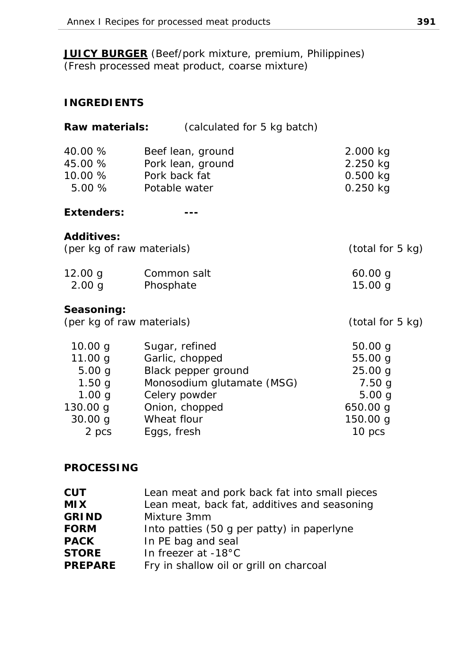**JUICY BURGER** (Beef/pork mixture, premium, Philippines) *(Fresh processed meat product, coarse mixture)* 

#### *INGREDIENTS*

| <b>Raw materials:</b>                                                                                    |                                                                                                                                                         |                                                                                    |
|----------------------------------------------------------------------------------------------------------|---------------------------------------------------------------------------------------------------------------------------------------------------------|------------------------------------------------------------------------------------|
| 40.00 %<br>45.00 %<br>10.00 %<br>5.00%                                                                   | Beef lean, ground<br>Pork lean, ground<br>Pork back fat<br><b>Potable water</b>                                                                         | 2.000 kg<br>2.250 kg<br>$0.500$ kg<br>0.250 kg                                     |
| <b>Extenders:</b>                                                                                        |                                                                                                                                                         |                                                                                    |
| <b>Additives:</b><br>(per kg of raw materials)                                                           |                                                                                                                                                         | (total for 5 kg)                                                                   |
| 12.00 g<br>2.00 g                                                                                        | Common salt<br>Phosphate                                                                                                                                | 60.00 g<br>15.00 g                                                                 |
| Seasoning:<br>(per kg of raw materials)                                                                  |                                                                                                                                                         | (total for 5 kg)                                                                   |
| 10.00 g<br>11.00 $g$<br>5.00 g<br>1.50 <sub>g</sub><br>1.00 <sub>g</sub><br>130.00 g<br>30.00 g<br>2 pcs | Sugar, refined<br>Garlic, chopped<br>Black pepper ground<br>Monosodium glutamate (MSG)<br>Celery powder<br>Onion, chopped<br>Wheat flour<br>Eggs, fresh | 50.00 g<br>55.00 g<br>25.00 g<br>7.50g<br>5.00 g<br>650.00 g<br>150.00 g<br>10 pcs |

| <b>CUT</b>     | Lean meat and pork back fat into small pieces |
|----------------|-----------------------------------------------|
| <b>MIX</b>     | Lean meat, back fat, additives and seasoning  |
| <b>GRIND</b>   | Mixture 3mm                                   |
| <b>FORM</b>    | Into patties (50 g per patty) in paperlyne    |
| <b>PACK</b>    | In PE bag and seal                            |
| <b>STORE</b>   | In freezer at -18°C                           |
| <b>PREPARE</b> | Fry in shallow oil or grill on charcoal       |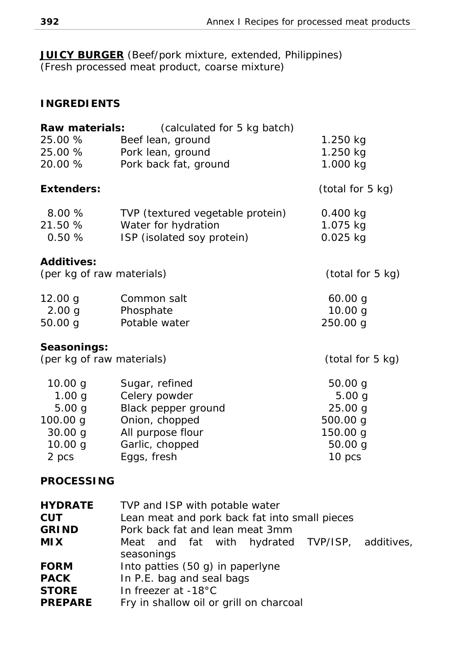**JUICY BURGER** (Beef/pork mixture, extended, Philippines) *(Fresh processed meat product, coarse mixture)* 

## *INGREDIENTS*

| <b>Raw materials:</b>     | (calculated for 5 kg batch)                   |                              |
|---------------------------|-----------------------------------------------|------------------------------|
| 25.00 %                   | Beef lean, ground                             | 1.250 kg                     |
| 25.00 %                   | Pork lean, ground                             | 1.250 kg                     |
| 20.00 %                   | Pork back fat, ground                         | 1.000 kg                     |
| <b>Extenders:</b>         |                                               | (total for 5 kg)             |
| 8.00%                     | TVP (textured vegetable protein)              | $0.400$ kg                   |
| 21.50 %                   | Water for hydration                           | 1.075 kg                     |
| 0.50%                     | ISP (isolated soy protein)                    | $0.025$ kg                   |
| <b>Additives:</b>         |                                               |                              |
| (per kg of raw materials) |                                               | (total for 5 kg)             |
| 12.00 g                   | Common salt                                   | 60.00 g                      |
| 2.00 g                    | Phosphate                                     | 10.00 g                      |
| 50.00q                    | Potable water                                 | 250.00 g                     |
| Seasonings:               |                                               |                              |
| (per kg of raw materials) |                                               | (total for 5 kg)             |
| 10.00 g                   | Sugar, refined                                | 50.00 g                      |
| 1.00 g                    | Celery powder                                 | 5.00 <sub>g</sub>            |
| 5.00 g                    | Black pepper ground                           | 25.00 g                      |
| 100.00 g                  | Onion, chopped                                | 500.00 g                     |
| 30.00 g                   | All purpose flour                             | 150.00 g                     |
| 10.00 g<br>2 pcs          | Garlic, chopped<br>Eggs, fresh                | 50.00 g<br>10 pcs            |
| <b>PROCESSING</b>         |                                               |                              |
|                           |                                               |                              |
| <b>HYDRATE</b>            | TVP and ISP with potable water                |                              |
| <b>CUT</b>                | Lean meat and pork back fat into small pieces |                              |
| <b>GRIND</b>              | Pork back fat and lean meat 3mm               |                              |
| <b>MIX</b>                | with<br>Meat<br>and<br>fat<br>seasonings      | hydrated TVP/ISP, additives, |
| <b>FORM</b>               | Into patties (50 g) in paperlyne              |                              |
| 10 מה                     | In D.F. hog and cool hoge                     |                              |

- **PACK** In P.E. bag and seal bags
- **STORE** In freezer at -18°C
- **PREPARE** Fry in shallow oil or grill on charcoal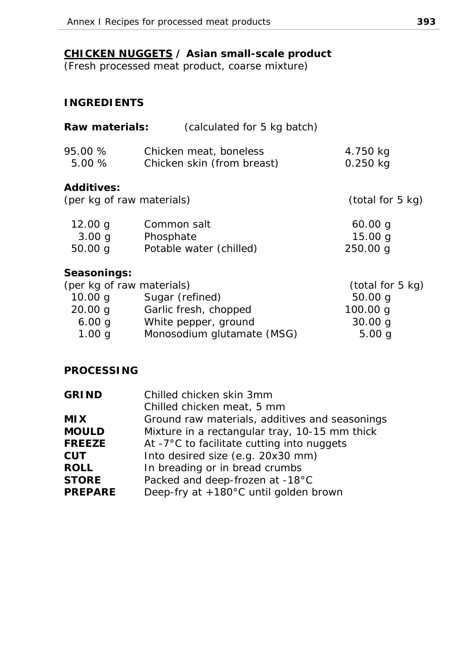## **CHICKEN NUGGETS / Asian small-scale product**

*(Fresh processed meat product, coarse mixture)* 

## *INGREDIENTS*

| <b>Raw materials:</b>     | (calculated for 5 kg batch)                          |                        |
|---------------------------|------------------------------------------------------|------------------------|
| 95.00 %<br>5.00%          | Chicken meat, boneless<br>Chicken skin (from breast) | 4.750 kg<br>$0.250$ kg |
| <b>Additives:</b>         |                                                      |                        |
| (per kg of raw materials) |                                                      | (total for 5 kg)       |
| 12.00 g                   | Common salt                                          | 60.00 g                |
| 3.00 <sub>q</sub>         | Phosphate                                            | 15.00 g                |
| 50.00q                    | Potable water (chilled)                              | 250.00 g               |
| <b>Seasonings:</b>        |                                                      |                        |
| (per kg of raw materials) |                                                      | (total for 5 kg)       |
| 10.00 g                   | Sugar (refined)                                      | 50.00 g                |
| 20.00 g                   | Garlic fresh, chopped                                | 100.00 g               |
| 6.00 g                    | White pepper, ground                                 | 30.00 g                |
| 1.00 <sub>q</sub>         | Monosodium glutamate (MSG)                           | 5.00 <sub>q</sub>      |

| <b>GRIND</b>   | Chilled chicken skin 3mm                       |
|----------------|------------------------------------------------|
|                | Chilled chicken meat, 5 mm                     |
| <b>MIX</b>     | Ground raw materials, additives and seasonings |
| <b>MOULD</b>   | Mixture in a rectangular tray, 10-15 mm thick  |
| <b>FREEZE</b>  | At -7°C to facilitate cutting into nuggets     |
| <b>CUT</b>     | Into desired size (e.g. 20x30 mm)              |
| <b>ROLL</b>    | In breading or in bread crumbs                 |
| <b>STORE</b>   | Packed and deep-frozen at -18°C                |
| <b>PREPARE</b> | Deep-fry at +180°C until golden brown          |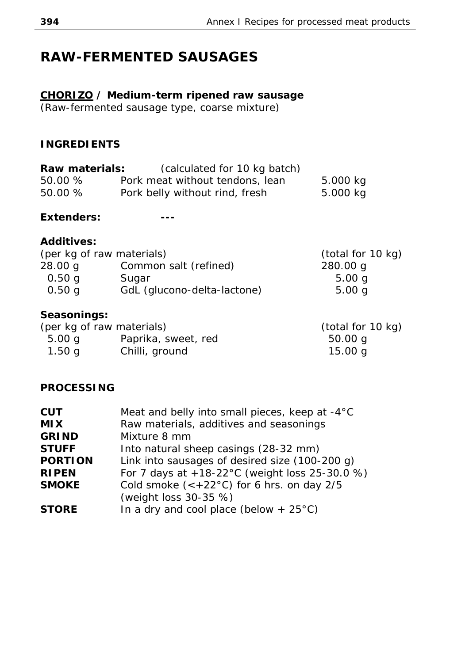## **RAW-FERMENTED SAUSAGES**

## **CHORIZO / Medium-term ripened raw sausage**

*(Raw-fermented sausage type, coarse mixture)* 

## *INGREDIENTS*

| Raw materials: | (calculated for 10 kg batch)    |          |
|----------------|---------------------------------|----------|
| 50.00 %        | Pork meat without tendons, lean | 5.000 kg |
| 50.00 %        | Pork belly without rind, fresh  | 5.000 kg |

#### **Extenders: ---**

## **Additives:**

| (per kg of raw materials) |                             | (total for 10 kg) |
|---------------------------|-----------------------------|-------------------|
| 28.00q                    | Common salt (refined)       | 280.00 g          |
| 0.50q                     | Sugar                       | 5.00q             |
| 0.50q                     | GdL (glucono-delta-lactone) | 5.00q             |

## **Seasonings:**

| (per kg of raw materials) |                     | (total for 10 kg) |
|---------------------------|---------------------|-------------------|
| 5.00 g                    | Paprika, sweet, red | 50.00 g           |
| 1.50 <sub>q</sub>         | Chilli, ground      | 15.00 g           |

| <b>CUT</b>     | Meat and belly into small pieces, keep at -4°C      |
|----------------|-----------------------------------------------------|
| <b>MIX</b>     | Raw materials, additives and seasonings             |
| <b>GRIND</b>   | Mixture 8 mm                                        |
| <b>STUFF</b>   | Into natural sheep casings (28-32 mm)               |
| <b>PORTION</b> | Link into sausages of desired size (100-200 g)      |
| <b>RIPEN</b>   | For 7 days at +18-22°C (weight loss 25-30.0 %)      |
| <b>SMOKE</b>   | Cold smoke $(<+22^{\circ}$ C) for 6 hrs. on day 2/5 |
|                | (weight loss 30-35 %)                               |
| <b>STORE</b>   | In a dry and cool place (below + $25^{\circ}$ C)    |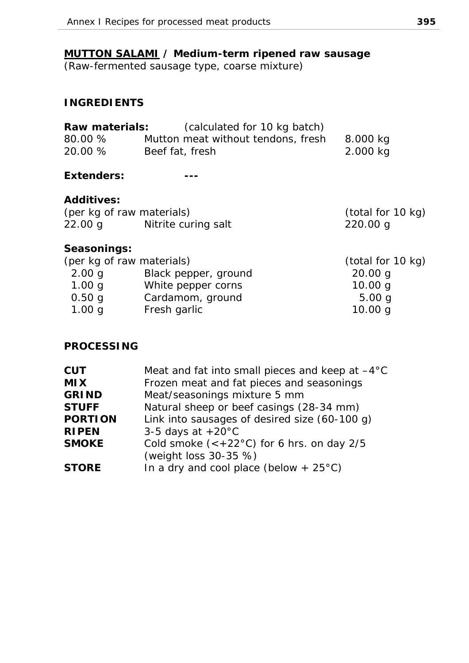## **MUTTON SALAMI / Medium-term ripened raw sausage**

*(Raw-fermented sausage type, coarse mixture)* 

#### *INGREDIENTS*

| <b>Raw materials:</b> | (calculated for 10 kg batch)       |          |
|-----------------------|------------------------------------|----------|
| 80.00 %               | Mutton meat without tendons, fresh | 8.000 kg |
| 20.00 %               | Beef fat, fresh                    | 2.000 kg |

#### **Extenders: ---**

## **Additives:**

| (per kg of raw materials) |                     | (total for 10 kg) |  |
|---------------------------|---------------------|-------------------|--|
| 22.00 g                   | Nitrite curing salt | 220.00 g          |  |

## **Seasonings:**

|                      | (total for 10 kg)         |
|----------------------|---------------------------|
| Black pepper, ground | 20.00 g                   |
| White pepper corns   | 10.00 g                   |
| Cardamom, ground     | 5.00q                     |
| Fresh garlic         | 10.00 g                   |
|                      | (per kg of raw materials) |

| <b>CUT</b>     | Meat and fat into small pieces and keep at -4°C     |
|----------------|-----------------------------------------------------|
| <b>MIX</b>     | Frozen meat and fat pieces and seasonings           |
| <b>GRIND</b>   | Meat/seasonings mixture 5 mm                        |
| <b>STUFF</b>   | Natural sheep or beef casings (28-34 mm)            |
| <b>PORTION</b> | Link into sausages of desired size (60-100 q)       |
| <b>RIPEN</b>   | 3-5 days at $+20^{\circ}$ C                         |
| <b>SMOKE</b>   | Cold smoke $(<+22^{\circ}$ C) for 6 hrs. on day 2/5 |
|                | (weight loss 30-35 %)                               |
| <b>STORE</b>   | In a dry and cool place (below + $25^{\circ}$ C)    |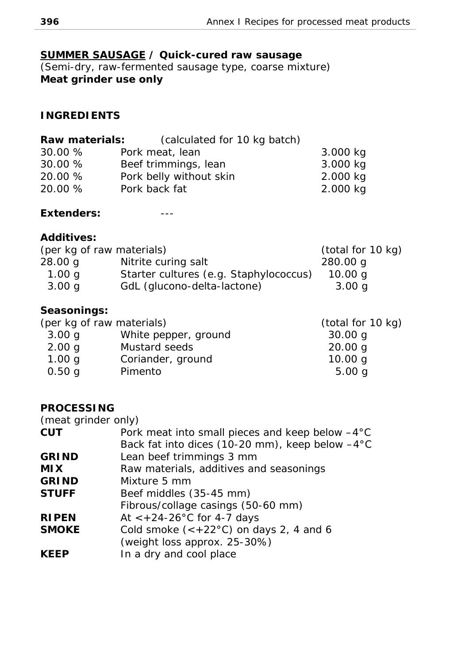#### **SUMMER SAUSAGE / Quick-cured raw sausage**

*(Semi-dry, raw-fermented sausage type, coarse mixture) Meat grinder use only* 

## *INGREDIENTS*

| <b>Raw materials:</b> | (calculated for 10 kg batch) |          |
|-----------------------|------------------------------|----------|
| 30.00 %               | Pork meat, lean              | 3.000 kg |
| 30.00 %               | Beef trimmings, lean         | 3.000 kg |
| 20.00 %               | Pork belly without skin      | 2.000 kg |
| 20.00 %               | Pork back fat                | 2.000 kg |

#### **Extenders:** ---

| <b>Additives:</b>         |                                        |                   |
|---------------------------|----------------------------------------|-------------------|
| (per kg of raw materials) |                                        | (total for 10 kg) |
| 28.00 g                   | Nitrite curing salt                    | 280.00 g          |
| 1.00 <sub>q</sub>         | Starter cultures (e.g. Staphylococcus) | 10.00 g           |
| 3.00q                     | GdL (glucono-delta-lactone)            | 3.00 g            |

#### **Seasonings:**

|                      | (total for 10 kg)         |
|----------------------|---------------------------|
| White pepper, ground | 30.00 g                   |
| Mustard seeds        | 20.00q                    |
| Coriander, ground    | 10.00 g                   |
| Pimento              | 5.00q                     |
|                      | (per kg of raw materials) |

| (meat grinder only)                              |
|--------------------------------------------------|
| Pork meat into small pieces and keep below -4°C  |
| Back fat into dices (10-20 mm), keep below -4°C  |
| Lean beef trimmings 3 mm                         |
| Raw materials, additives and seasonings          |
| Mixture 5 mm                                     |
| Beef middles (35-45 mm)                          |
| Fibrous/collage casings (50-60 mm)               |
| At $\lt +24-26^{\circ}$ C for 4-7 days           |
| Cold smoke $(<+22^{\circ}$ C) on days 2, 4 and 6 |
| (weight loss approx. 25-30%)                     |
| In a dry and cool place                          |
|                                                  |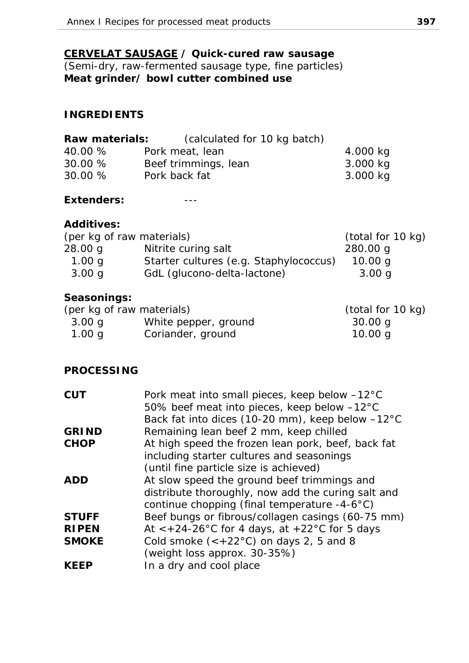**CERVELAT SAUSAGE / Quick-cured raw sausage**  *(Semi-dry, raw-fermented sausage type, fine particles) Meat grinder/ bowl cutter combined use* 

## *INGREDIENTS*

| Raw materials: | (calculated for 10 kg batch) |          |
|----------------|------------------------------|----------|
| 40.00 %        | Pork meat, lean              | 4.000 kg |
| 30.00 %        | Beef trimmings, lean         | 3.000 kg |
| 30.00 %        | Pork back fat                | 3.000 kg |

#### **Extenders:** ---

#### **Additives:**

| (per kg of raw materials) |                                        | (total for 10 kg) |
|---------------------------|----------------------------------------|-------------------|
| 28.00 g                   | Nitrite curing salt                    | 280.00 g          |
| 1.00 $q$                  | Starter cultures (e.g. Staphylococcus) | 10.00 g           |
| 3.00 <sub>q</sub>         | GdL (glucono-delta-lactone)            | 3.00q             |

#### **Seasonings:**

|                   | (per kg of raw materials) | (total for 10 kg) |
|-------------------|---------------------------|-------------------|
| 3.00 g            | White pepper, ground      | 30.00 g           |
| 1.00 <sub>q</sub> | Coriander, ground         | 10.00 $q$         |

| <b>CUT</b>   | Pork meat into small pieces, keep below -12°C<br>50% beef meat into pieces, keep below -12°C<br>Back fat into dices (10-20 mm), keep below -12°C |
|--------------|--------------------------------------------------------------------------------------------------------------------------------------------------|
| <b>GRIND</b> | Remaining lean beef 2 mm, keep chilled                                                                                                           |
| <b>CHOP</b>  | At high speed the frozen lean pork, beef, back fat                                                                                               |
|              | including starter cultures and seasonings                                                                                                        |
|              | (until fine particle size is achieved)                                                                                                           |
| <b>ADD</b>   | At slow speed the ground beef trimmings and                                                                                                      |
|              | distribute thoroughly, now add the curing salt and                                                                                               |
|              | continue chopping (final temperature -4-6°C)                                                                                                     |
| <b>STUFF</b> | Beef bungs or fibrous/collagen casings (60-75 mm)                                                                                                |
| <b>RIPEN</b> | At <+24-26°C for 4 days, at +22°C for 5 days                                                                                                     |
| <b>SMOKE</b> | Cold smoke $(<+22^{\circ}$ C) on days 2, 5 and 8                                                                                                 |
|              | (weight loss approx. 30-35%)                                                                                                                     |
| <b>KEEP</b>  | In a dry and cool place                                                                                                                          |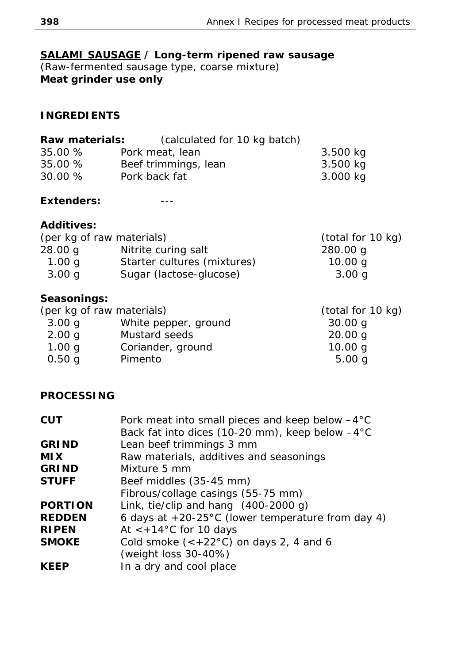## **SALAMI SAUSAGE / Long-term ripened raw sausage**

*(Raw-fermented sausage type, coarse mixture) Meat grinder use only* 

## *INGREDIENTS*

| <b>Raw materials:</b> | (calculated for 10 kg batch) |          |
|-----------------------|------------------------------|----------|
| 35.00 %               | Pork meat, lean              | 3.500 kg |
| 35.00 %               | Beef trimmings, lean         | 3.500 kg |
| 30.00 %               | Pork back fat                | 3.000 kg |

#### **Extenders:** ---

#### **Additives:**

|          | (per kg of raw materials)   | (total for 10 kg) |
|----------|-----------------------------|-------------------|
| 28.00 g  | Nitrite curing salt         | 280.00 g          |
| 1.00 $q$ | Starter cultures (mixtures) | 10.00 g           |
| 3.00q    | Sugar (lactose-glucose)     | 3.00 <sub>q</sub> |
|          |                             |                   |

#### **Seasonings:**

| (per kg of raw materials) |                      | (total for 10 kg) |
|---------------------------|----------------------|-------------------|
| 3.00q                     | White pepper, ground | 30.00 g           |
| 2.00 q                    | Mustard seeds        | 20.00q            |
| 1.00 g                    | Coriander, ground    | 10.00q            |
| 0.50q                     | Pimento              | 5.00q             |

| <b>CUT</b>     | Pork meat into small pieces and keep below -4°C           |  |
|----------------|-----------------------------------------------------------|--|
|                | Back fat into dices (10-20 mm), keep below $-4^{\circ}$ C |  |
| <b>GRIND</b>   | Lean beef trimmings 3 mm                                  |  |
| <b>MIX</b>     | Raw materials, additives and seasonings                   |  |
| <b>GRIND</b>   | Mixture 5 mm                                              |  |
| <b>STUFF</b>   | Beef middles (35-45 mm)                                   |  |
|                | Fibrous/collage casings (55-75 mm)                        |  |
| <b>PORTION</b> | Link, tie/clip and hang $(400-2000 g)$                    |  |
| <b>REDDEN</b>  | 6 days at $+20-25$ °C (lower temperature from day 4)      |  |
| <b>RIPEN</b>   | At $\lt$ +14°C for 10 days                                |  |
| <b>SMOKE</b>   | Cold smoke $(<+22^{\circ}$ C) on days 2, 4 and 6          |  |
|                | (weight loss 30-40%)                                      |  |
| <b>KEEP</b>    | In a dry and cool place                                   |  |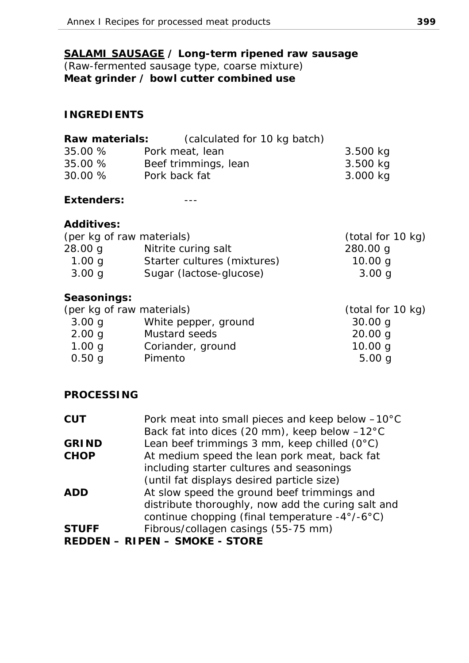## **SALAMI SAUSAGE / Long-term ripened raw sausage**  *(Raw-fermented sausage type, coarse mixture) Meat grinder / bowl cutter combined use*

## *INGREDIENTS*

| Raw materials: | (calculated for 10 kg batch) |          |
|----------------|------------------------------|----------|
| 35.00 %        | Pork meat, lean              | 3.500 kg |
| 35.00 %        | Beef trimmings, lean         | 3.500 kg |
| 30.00 %        | Pork back fat                | 3.000 kg |

## **Extenders:** ---

#### **Additives:**

| (per kg of raw materials) |                             | (total for 10 kg) |
|---------------------------|-----------------------------|-------------------|
| 28.00 g                   | Nitrite curing salt         | 280.00 g          |
| 1.00 $q$                  | Starter cultures (mixtures) | 10.00 $q$         |
| 3.00 g                    | Sugar (lactose-glucose)     | 3.00 <sub>q</sub> |

#### **Seasonings:**

| (per kg of raw materials) |                      | (total for 10 kg) |
|---------------------------|----------------------|-------------------|
| 3.00 <sub>q</sub>         | White pepper, ground | 30.00 g           |
| 2.00 q                    | Mustard seeds        | 20.00 g           |
| 1.00 <sub>q</sub>         | Coriander, ground    | 10.00 g           |
| 0.50q                     | Pimento              | 5.00q             |

| <b>CUT</b>   | Pork meat into small pieces and keep below -10°C                |
|--------------|-----------------------------------------------------------------|
|              | Back fat into dices (20 mm), keep below -12°C                   |
| <b>GRIND</b> | Lean beef trimmings $3$ mm, keep chilled ( $0^{\circ}$ C)       |
| <b>CHOP</b>  | At medium speed the lean pork meat, back fat                    |
|              | including starter cultures and seasonings                       |
|              | (until fat displays desired particle size)                      |
| <b>ADD</b>   | At slow speed the ground beef trimmings and                     |
|              | distribute thoroughly, now add the curing salt and              |
|              | continue chopping (final temperature $-4^{\circ}/-6^{\circ}$ C) |
| <b>STUFF</b> | Fibrous/collagen casings (55-75 mm)                             |
|              | <b>REDDEN - RIPEN - SMOKE - STORE</b>                           |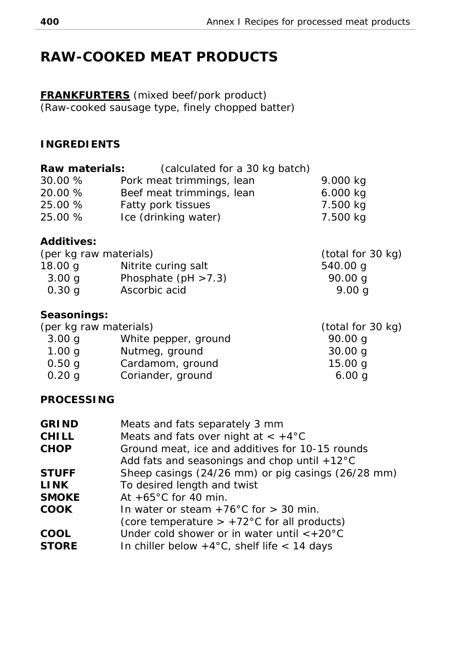## **RAW-COOKED MEAT PRODUCTS**

#### **FRANKFURTERS** (mixed beef/pork product) *(Raw-cooked sausage type, finely chopped batter)*

## *INGREDIENTS*

| <b>Raw materials:</b> | (calculated for a 30 kg batch) |          |
|-----------------------|--------------------------------|----------|
| 30.00 %               | Pork meat trimmings, lean      | 9.000 kg |
| 20.00 %               | Beef meat trimmings, lean      | 6.000 kg |
| 25.00 %               | Fatty pork tissues             | 7.500 kg |
| 25.00 %               | Ice (drinking water)           | 7.500 kg |

## **Additives:**

|                               | (total for 30 kg)      |
|-------------------------------|------------------------|
| Nitrite curing salt           | 540.00 g               |
| Phosphate $(\text{pH} > 7.3)$ | 90.00 g                |
| Ascorbic acid                 | 9.00 q                 |
|                               | (per kg raw materials) |

## **Seasonings:**

| (per kg raw materials) |                      | (total for 30 kg) |
|------------------------|----------------------|-------------------|
| 3.00 <sub>q</sub>      | White pepper, ground | 90.00q            |
| 1.00 g                 | Nutmeg, ground       | 30.00 g           |
| 0.50q                  | Cardamom, ground     | 15.00 g           |
| 0.20q                  | Coriander, ground    | 6.00q             |

| <b>GRIND</b> | Meats and fats separately 3 mm                          |
|--------------|---------------------------------------------------------|
| <b>CHILL</b> | Meats and fats over night at $< +4^{\circ}$ C           |
| <b>CHOP</b>  | Ground meat, ice and additives for 10-15 rounds         |
|              | Add fats and seasonings and chop until $+12^{\circ}$ C  |
| <b>STUFF</b> | Sheep casings (24/26 mm) or pig casings (26/28 mm)      |
| <b>LINK</b>  | To desired length and twist                             |
| <b>SMOKE</b> | At $+65^{\circ}$ C for 40 min.                          |
| <b>COOK</b>  | In water or steam $+76^{\circ}$ C for $> 30$ min.       |
|              | (core temperature $> +72^{\circ}$ C for all products)   |
| <b>COOL</b>  | Under cold shower or in water until $\lt$ +20°C         |
| <b>STORE</b> | In chiller below $+4^{\circ}$ C, shelf life $<$ 14 days |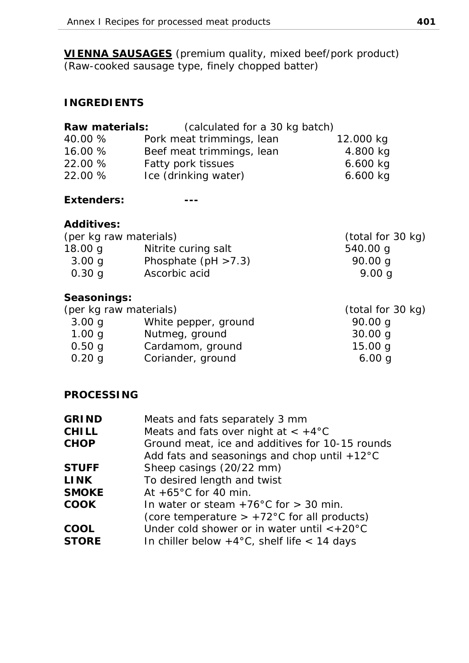**VIENNA SAUSAGES** (premium quality, mixed beef/pork product) *(Raw-cooked sausage type, finely chopped batter)* 

#### *INGREDIENTS*

| <b>Raw materials:</b> | (calculated for a 30 kg batch) |           |
|-----------------------|--------------------------------|-----------|
| 40.00 %               | Pork meat trimmings, lean      | 12.000 kg |
| 16.00 %               | Beef meat trimmings, lean      | 4.800 kg  |
| 22.00 %               | Fatty pork tissues             | 6.600 kg  |
| 22.00 %               | Ice (drinking water)           | 6.600 kg  |

#### **Extenders: ---**

#### **Additives:**

| (per kg raw materials) |                          | (total for 30 kg) |
|------------------------|--------------------------|-------------------|
| 18.00 g                | Nitrite curing salt      | 540.00 g          |
| 3.00 g                 | Phosphate ( $pH > 7.3$ ) | 90.00 g           |
| 0.30q                  | Ascorbic acid            | 9.00 q            |

#### **Seasonings:**

| (per kg raw materials) |                      | (total for 30 kg) |
|------------------------|----------------------|-------------------|
| 3.00 <sub>q</sub>      | White pepper, ground | 90.00 g           |
| 1.00 <sub>q</sub>      | Nutmeg, ground       | 30.00 g           |
| 0.50q                  | Cardamom, ground     | 15.00 g           |
| 0.20q                  | Coriander, ground    | 6.00q             |

| <b>GRIND</b> | Meats and fats separately 3 mm                         |
|--------------|--------------------------------------------------------|
| <b>CHILL</b> | Meats and fats over night at $< +4$ °C                 |
| <b>CHOP</b>  | Ground meat, ice and additives for 10-15 rounds        |
|              | Add fats and seasonings and chop until $+12^{\circ}$ C |
| <b>STUFF</b> | Sheep casings (20/22 mm)                               |
| <b>LINK</b>  | To desired length and twist                            |
| <b>SMOKE</b> | At $+65^{\circ}$ C for 40 min.                         |
| <b>COOK</b>  | In water or steam $+76^{\circ}$ C for $> 30$ min.      |
|              | (core temperature $> +72^{\circ}$ C for all products)  |
| <b>COOL</b>  | Under cold shower or in water until $\lt$ +20°C        |
| <b>STORE</b> | In chiller below $+4^{\circ}$ C, shelf life < 14 days  |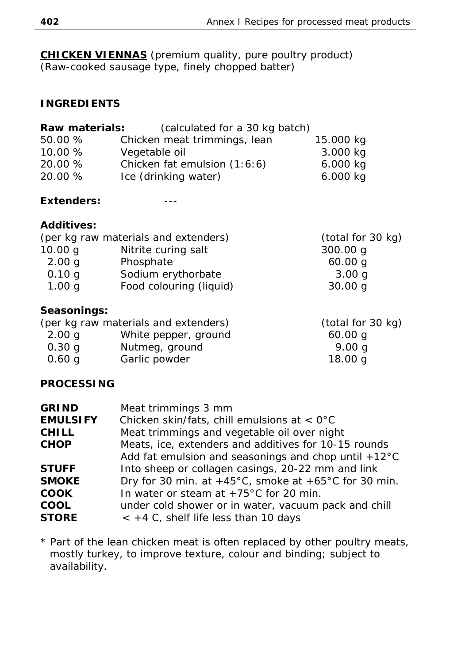**CHICKEN VIENNAS** (premium quality, pure poultry product) *(Raw-cooked sausage type, finely chopped batter)* 

## *INGREDIENTS*

| <b>Raw materials:</b> | (calculated for a 30 kg batch) |           |
|-----------------------|--------------------------------|-----------|
| 50.00 %               | Chicken meat trimmings, lean   | 15.000 kg |
| 10.00 %               | Vegetable oil                  | 3.000 kg  |
| 20.00 %               | Chicken fat emulsion (1:6:6)   | 6.000 kg  |
| 20.00 %               | Ice (drinking water)           | 6.000 kg  |

## **Extenders:** ---

## **Additives:**

| (per kg raw materials and extenders) |                         | (total for 30 kg) |
|--------------------------------------|-------------------------|-------------------|
| 10.00 g                              | Nitrite curing salt     | 300.00 g          |
| 2.00 g                               | Phosphate               | 60.00 g           |
| 0.10 g                               | Sodium erythorbate      | 3.00 g            |
| 1.00 g                               | Food colouring (liquid) | 30.00q            |
| Seasonings:                          |                         |                   |
| (per kg raw materials and extenders) |                         | (total for 30 kg) |

|        | $\mu$ , $\mu$ , $\mu$ , $\mu$ , $\mu$ , $\mu$ , $\mu$ , $\mu$ , $\mu$ , $\mu$ , $\mu$ , $\mu$ , $\mu$ , $\mu$ , $\mu$ , $\mu$ , $\mu$ , $\mu$ , $\mu$ , $\mu$ , $\mu$ , $\mu$ , $\mu$ , $\mu$ , $\mu$ , $\mu$ , $\mu$ , $\mu$ , $\mu$ , $\mu$ , $\mu$ , $\mu$ , $\mu$ , $\mu$ , $\mu$ , $\mu$ , $\mu$ , | (10141101001) |
|--------|---------------------------------------------------------------------------------------------------------------------------------------------------------------------------------------------------------------------------------------------------------------------------------------------------------|---------------|
| 2.00 g | White pepper, ground                                                                                                                                                                                                                                                                                    | 60.00 g       |
| 0.30 g | Nutmeg, ground                                                                                                                                                                                                                                                                                          | 9.00 q        |
| 0.60 g | Garlic powder                                                                                                                                                                                                                                                                                           | 18.00 g       |
|        |                                                                                                                                                                                                                                                                                                         |               |

## *PROCESSING*

| <b>GRIND</b>    | Meat trimmings 3 mm                                                      |
|-----------------|--------------------------------------------------------------------------|
| <b>EMULSIFY</b> | Chicken skin/fats, chill emulsions at $< 0^{\circ}$ C                    |
| <b>CHILL</b>    | Meat trimmings and vegetable oil over night                              |
| <b>CHOP</b>     | Meats, ice, extenders and additives for 10-15 rounds                     |
|                 | Add fat emulsion and seasonings and chop until $+12^{\circ}$ C           |
| <b>STUFF</b>    | Into sheep or collagen casings, 20-22 mm and link                        |
| <b>SMOKE</b>    | Dry for 30 min. at $+45^{\circ}$ C, smoke at $+65^{\circ}$ C for 30 min. |
| <b>COOK</b>     | In water or steam at $+75^{\circ}$ C for 20 min.                         |
| <b>COOL</b>     | under cold shower or in water, vacuum pack and chill                     |
| <b>STORE</b>    | $<$ +4 C, shelf life less than 10 days                                   |

\* Part of the lean chicken meat is often replaced by other poultry meats, mostly turkey, to improve texture, colour and binding; subject to availability.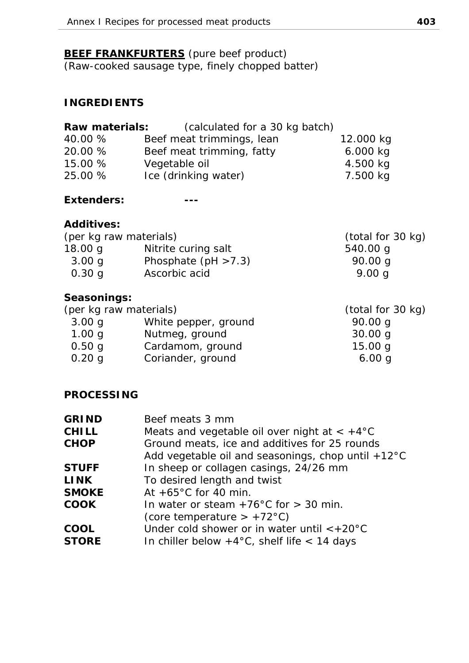# **BEEF FRANKFURTERS** (pure beef product)

*(Raw-cooked sausage type, finely chopped batter)* 

## *INGREDIENTS*

| <b>Raw materials:</b> | (calculated for a 30 kg batch) |           |
|-----------------------|--------------------------------|-----------|
| 40.00 %               | Beef meat trimmings, lean      | 12.000 kg |
| 20.00 %               | Beef meat trimming, fatty      | 6.000 kg  |
| 15.00 %               | Vegetable oil                  | 4.500 kg  |
| 25.00 %               | Ice (drinking water)           | 7.500 kg  |

## **Extenders: ---**

## **Additives:**

| (per kg raw materials) |                               | (total for 30 kg) |
|------------------------|-------------------------------|-------------------|
| 18.00 g                | Nitrite curing salt           | 540.00 g          |
| 3.00 g                 | Phosphate $(\text{pH} > 7.3)$ | 90.00 g           |
| 0.30q                  | Ascorbic acid                 | 9.00 q            |

## **Seasonings:**

| (per kg raw materials) |                      | (total for 30 kg) |
|------------------------|----------------------|-------------------|
| 3.00 <sub>q</sub>      | White pepper, ground | 90.00 g           |
| 1.00 g                 | Nutmeg, ground       | 30.00 g           |
| 0.50q                  | Cardamom, ground     | 15.00 g           |
| 0.20q                  | Coriander, ground    | 6.00q             |

| <b>GRIND</b> | Beef meats 3 mm                                                                                               |
|--------------|---------------------------------------------------------------------------------------------------------------|
| <b>CHILL</b> | Meats and vegetable oil over night at $< +4^{\circ}$ C                                                        |
| <b>CHOP</b>  | Ground meats, ice and additives for 25 rounds<br>Add vegetable oil and seasonings, chop until $+12^{\circ}$ C |
| <b>STUFF</b> | In sheep or collagen casings, 24/26 mm                                                                        |
| <b>LINK</b>  | To desired length and twist                                                                                   |
| <b>SMOKE</b> | At $+65^{\circ}$ C for 40 min.                                                                                |
| <b>COOK</b>  | In water or steam $+76^{\circ}$ C for $> 30$ min.                                                             |
|              | (core temperature $> +72^{\circ}$ C)                                                                          |
| <b>COOL</b>  | Under cold shower or in water until $\lt$ +20°C                                                               |
| <b>STORE</b> | In chiller below $+4^{\circ}$ C, shelf life $<$ 14 days                                                       |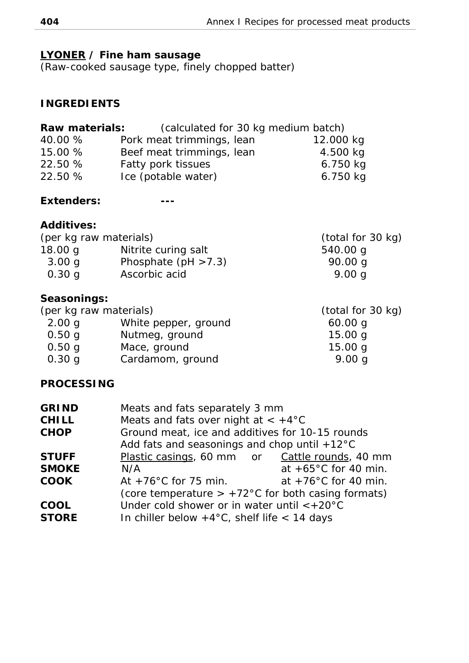## **LYONER / Fine ham sausage**

*(Raw-cooked sausage type, finely chopped batter)* 

## *INGREDIENTS*

| <b>Raw materials:</b> | (calculated for 30 kg medium batch) |           |
|-----------------------|-------------------------------------|-----------|
| 40.00 %               | Pork meat trimmings, lean           | 12.000 kg |
| 15.00 %               | Beef meat trimmings, lean           | 4.500 kg  |
| 22.50 %               | Fatty pork tissues                  | 6.750 kg  |
| 22.50 %               | Ice (potable water)                 | 6.750 kg  |

## **Extenders: ---**

## **Additives:**

| (per kg raw materials) |                               | (total for 30 kg) |
|------------------------|-------------------------------|-------------------|
| 18.00 g                | Nitrite curing salt           | 540.00 g          |
| 3.00 q                 | Phosphate $(\text{pH} > 7.3)$ | 90.00 g           |
| 0.30q                  | Ascorbic acid                 | 9.00 q            |
|                        |                               |                   |

## **Seasonings:**

|                      | (total for 30 kg)      |
|----------------------|------------------------|
| White pepper, ground | 60.00 g                |
| Nutmeg, ground       | 15.00 g                |
| Mace, ground         | 15.00 g                |
| Cardamom, ground     | 9.00q                  |
|                      | (per kg raw materials) |

| <b>GRIND</b> | Meats and fats separately 3 mm                               |                                |  |
|--------------|--------------------------------------------------------------|--------------------------------|--|
| <b>CHILL</b> | Meats and fats over night at $< +4$ °C                       |                                |  |
| <b>CHOP</b>  | Ground meat, ice and additives for 10-15 rounds              |                                |  |
|              | Add fats and seasonings and chop until $+12^{\circ}$ C       |                                |  |
| <b>STUFF</b> | Plastic casings, 60 mm or Cattle rounds, 40 mm               |                                |  |
| <b>SMOKE</b> | N/A                                                          | at $+65^{\circ}$ C for 40 min. |  |
| <b>COOK</b>  | At $+76^{\circ}$ C for 75 min.                               | at $+76^{\circ}$ C for 40 min. |  |
|              | (core temperature $> +72^{\circ}$ C for both casing formats) |                                |  |
| <b>COOL</b>  | Under cold shower or in water until $\lt$ +20°C              |                                |  |
| <b>STORE</b> | In chiller below $+4^{\circ}$ C, shelf life $<$ 14 days      |                                |  |
|              |                                                              |                                |  |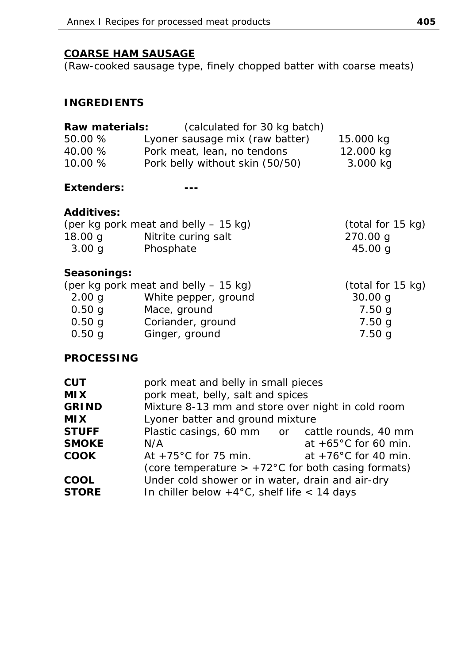# **COARSE HAM SAUSAGE**

*(Raw-cooked sausage type, finely chopped batter with coarse meats)* 

## *INGREDIENTS*

| <b>Raw materials:</b> | (calculated for 30 kg batch)    |           |
|-----------------------|---------------------------------|-----------|
| 50.00 %               | Lyoner sausage mix (raw batter) | 15.000 kg |
| 40.00 %               | Pork meat, lean, no tendons     | 12.000 kg |
| 10.00 %               | Pork belly without skin (50/50) | 3.000 kg  |

# **Extenders: ---**

# **Additives:**

| (per kg pork meat and belly – 15 kg) |                     | (total for $15$ kg) |
|--------------------------------------|---------------------|---------------------|
| 18.00 g                              | Nitrite curing salt | 270.00 g            |
| 3.00 <sub>q</sub>                    | Phosphate           | 45.00 g             |

# **Seasonings:**

| (per kg pork meat and belly – 15 kg) |                      | (total for 15 kg) |
|--------------------------------------|----------------------|-------------------|
| 2.00 <sub>q</sub>                    | White pepper, ground | 30.00 g           |
| 0.50q                                | Mace, ground         | 7.50q             |
| 0.50q                                | Coriander, ground    | 7.50q             |
| 0.50q                                | Ginger, ground       | 7.50q             |

| <b>CUT</b>   | pork meat and belly in small pieces                          |                                                   |  |
|--------------|--------------------------------------------------------------|---------------------------------------------------|--|
| <b>MIX</b>   |                                                              | pork meat, belly, salt and spices                 |  |
| <b>GRIND</b> |                                                              | Mixture 8-13 mm and store over night in cold room |  |
| <b>MIX</b>   | Lyoner batter and ground mixture                             |                                                   |  |
| <b>STUFF</b> | Plastic casings, 60 mm or cattle rounds, 40 mm               |                                                   |  |
| <b>SMOKE</b> | N/A                                                          | at $+65^{\circ}$ C for 60 min.                    |  |
| <b>COOK</b>  | At $+75^{\circ}$ C for 75 min.                               | at $+76^{\circ}$ C for 40 min.                    |  |
|              | (core temperature $> +72^{\circ}$ C for both casing formats) |                                                   |  |
| <b>COOL</b>  | Under cold shower or in water, drain and air-dry             |                                                   |  |
| <b>STORE</b> | In chiller below $+4^{\circ}$ C, shelf life < 14 days        |                                                   |  |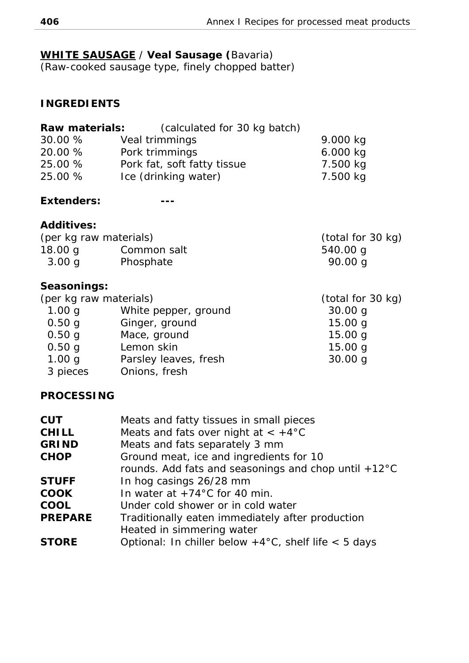# **WHITE SAUSAGE** / **Veal Sausage (**Bavaria)

*(Raw-cooked sausage type, finely chopped batter)*

# *INGREDIENTS*

| <b>Raw materials:</b> | (calculated for 30 kg batch) |          |
|-----------------------|------------------------------|----------|
| 30.00 %               | Veal trimmings               | 9.000 kg |
| 20.00 %               | Pork trimmings               | 6.000 kg |
| 25.00 %               | Pork fat, soft fatty tissue  | 7.500 kg |
| 25.00 %               | Ice (drinking water)         | 7.500 kg |

# **Extenders: ---**

# **Additives:**

| (per kg raw materials) |             | (total for 30 kg) |
|------------------------|-------------|-------------------|
| 18.00 g                | Common salt | 540.00 g          |
| 3.00 g                 | Phosphate   | 90.00 g           |

# **Seasonings:**

| (per kg raw materials) |                       | (total for 30 kg) |
|------------------------|-----------------------|-------------------|
| 1.00 g                 | White pepper, ground  | 30.00 g           |
| 0.50 g                 | Ginger, ground        | 15.00q            |
| 0.50 g                 | Mace, ground          | 15.00 q           |
| 0.50 g                 | Lemon skin            | 15.00q            |
| 1.00 <sub>q</sub>      | Parsley leaves, fresh | 30.00q            |
| 3 pieces               | Onions, fresh         |                   |

| <b>CUT</b>     | Meats and fatty tissues in small pieces                        |
|----------------|----------------------------------------------------------------|
| <b>CHILL</b>   | Meats and fats over night at $< +4$ °C                         |
| <b>GRIND</b>   | Meats and fats separately 3 mm                                 |
| <b>CHOP</b>    | Ground meat, ice and ingredients for 10                        |
|                | rounds. Add fats and seasonings and chop until +12°C           |
| <b>STUFF</b>   | In hog casings 26/28 mm                                        |
| <b>COOK</b>    | In water at $+74^{\circ}$ C for 40 min.                        |
| <b>COOL</b>    | Under cold shower or in cold water                             |
| <b>PREPARE</b> | Traditionally eaten immediately after production               |
|                | Heated in simmering water                                      |
| <b>STORE</b>   | Optional: In chiller below $+4^{\circ}$ C, shelf life < 5 days |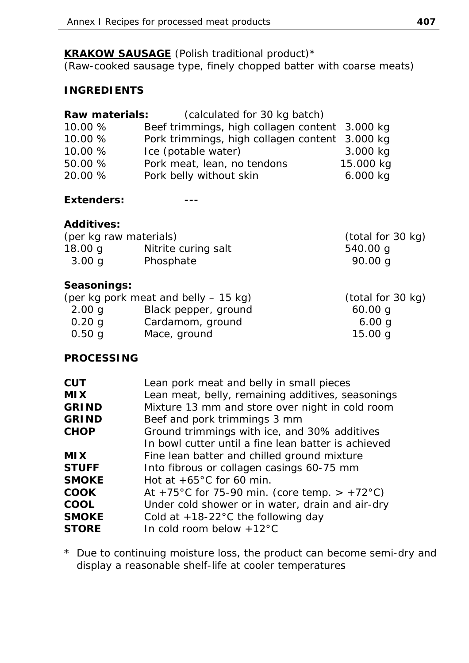# **KRAKOW SAUSAGE** (Polish traditional product)\*

*(Raw-cooked sausage type, finely chopped batter with coarse meats)* 

# *INGREDIENTS*

| <b>Raw materials:</b> | (calculated for 30 kg batch)                   |           |
|-----------------------|------------------------------------------------|-----------|
| 10.00 %               | Beef trimmings, high collagen content 3.000 kg |           |
| 10.00 %               | Pork trimmings, high collagen content 3.000 kg |           |
| 10.00 %               | Ice (potable water)                            | 3.000 kg  |
| 50.00 %               | Pork meat, lean, no tendons                    | 15.000 kg |
| 20.00 %               | Pork belly without skin                        | 6.000 kg  |

# **Extenders: ---**

# **Additives:**

| (per kg raw materials) |                     | (total for 30 kg) |
|------------------------|---------------------|-------------------|
| 18.00 g                | Nitrite curing salt | 540.00 g          |
| 3.00 g                 | Phosphate           | 90.00 g           |

# **Seasonings:**

| (per kg pork meat and belly $-15$ kg) |                      | (total for 30 kg) |
|---------------------------------------|----------------------|-------------------|
| 2.00 g                                | Black pepper, ground | 60.00 g           |
| 0.20q                                 | Cardamom, ground     | 6.00q             |
| 0.50 <sub>q</sub>                     | Mace, ground         | 15.00 g           |

# *PROCESSING*

| <b>CUT</b><br><b>MIX</b> | Lean pork meat and belly in small pieces<br>Lean meat, belly, remaining additives, seasonings |
|--------------------------|-----------------------------------------------------------------------------------------------|
| <b>GRIND</b>             | Mixture 13 mm and store over night in cold room                                               |
| <b>GRIND</b>             | Beef and pork trimmings 3 mm                                                                  |
| <b>CHOP</b>              | Ground trimmings with ice, and 30% additives                                                  |
|                          | In bowl cutter until a fine lean batter is achieved                                           |
| <b>MIX</b>               | Fine lean batter and chilled ground mixture                                                   |
| <b>STUFF</b>             | Into fibrous or collagen casings 60-75 mm                                                     |
| <b>SMOKE</b>             | Hot at $+65^{\circ}$ C for 60 min.                                                            |
| <b>COOK</b>              | At +75°C for 75-90 min. (core temp. $> +72$ °C)                                               |
| <b>COOL</b>              | Under cold shower or in water, drain and air-dry                                              |
| <b>SMOKE</b>             | Cold at $+18-22$ °C the following day                                                         |
| <b>STORE</b>             | In cold room below $+12^{\circ}$ C                                                            |

\* Due to continuing moisture loss, the product can become semi-dry and display a reasonable shelf-life at cooler temperatures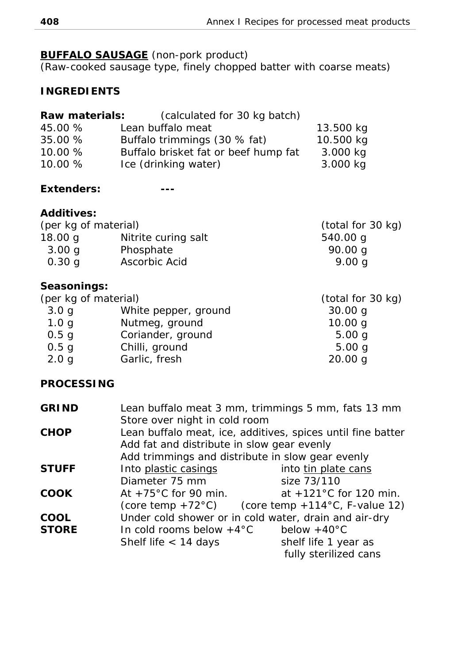# **BUFFALO SAUSAGE** (non-pork product)

*(Raw-cooked sausage type, finely chopped batter with coarse meats)* 

# *INGREDIENTS*

| <b>Raw materials:</b> | (calculated for 30 kg batch)         |           |
|-----------------------|--------------------------------------|-----------|
| 45.00 %               | Lean buffalo meat                    | 13.500 kg |
| 35.00 %               | Buffalo trimmings (30 % fat)         | 10.500 kg |
| 10.00 %               | Buffalo brisket fat or beef hump fat | 3.000 kg  |
| 10.00 %               | Ice (drinking water)                 | 3.000 kg  |

# **Extenders: ---**

# **Additives:**

| (per kg of material) |                     | (total for 30 kg) |
|----------------------|---------------------|-------------------|
| 18.00 g              | Nitrite curing salt | 540.00 g          |
| 3.00 g               | Phosphate           | 90.00 g           |
| 0.30q                | Ascorbic Acid       | 9.00 q            |

# **Seasonings:**

|                      | (total for 30 kg)    |
|----------------------|----------------------|
| White pepper, ground | 30.00q               |
| Nutmeg, ground       | 10.00q               |
| Coriander, ground    | 5.00 <sub>q</sub>    |
| Chilli, ground       | 5.00q                |
| Garlic, fresh        | 20.00q               |
|                      | (per kg of material) |

| <b>GRIND</b> | Lean buffalo meat 3 mm, trimmings 5 mm, fats 13 mm                     |                                  |
|--------------|------------------------------------------------------------------------|----------------------------------|
|              | Store over night in cold room                                          |                                  |
| <b>CHOP</b>  | Lean buffalo meat, ice, additives, spices until fine batter            |                                  |
|              | Add fat and distribute in slow gear evenly                             |                                  |
|              | Add trimmings and distribute in slow gear evenly                       |                                  |
| <b>STUFF</b> | Into plastic casings                                                   | into tin plate cans              |
|              | Diameter 75 mm                                                         | size 73/110                      |
| <b>COOK</b>  | At $+75^{\circ}$ C for 90 min.                                         | at $+121^{\circ}$ C for 120 min. |
|              | (core temp +72 $^{\circ}$ C) (core temp +114 $^{\circ}$ C, F-value 12) |                                  |
| <b>COOL</b>  | Under cold shower or in cold water, drain and air-dry                  |                                  |
| <b>STORE</b> | In cold rooms below $+4^{\circ}$ C                                     | below $+40^{\circ}$ C            |
|              | Shelf life $<$ 14 days                                                 | shelf life 1 year as             |
|              |                                                                        | fully sterilized cans            |
|              |                                                                        |                                  |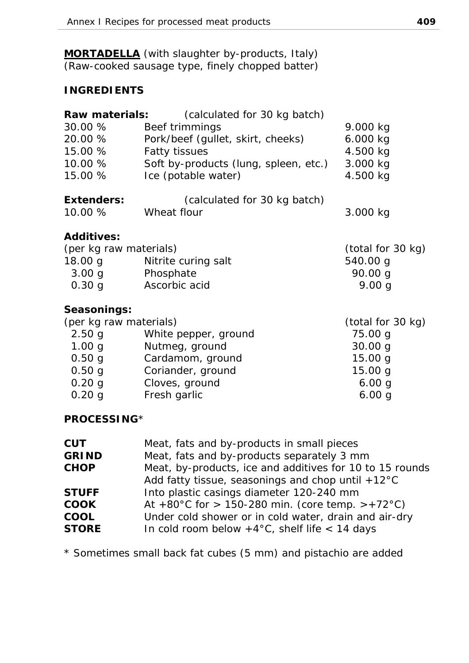**MORTADELLA** (with slaughter by-products, Italy) *(Raw-cooked sausage type, finely chopped batter)* 

# *INGREDIENTS*

| Raw materials:         | (calculated for 30 kg batch)          |                   |
|------------------------|---------------------------------------|-------------------|
| 30.00 %                | Beef trimmings                        | 9.000 kg          |
| 20.00 %                | Pork/beef (gullet, skirt, cheeks)     | 6.000 kg          |
| 15.00 %                | <b>Fatty tissues</b>                  | 4.500 kg          |
| 10.00 %                | Soft by-products (lung, spleen, etc.) | 3.000 kg          |
| 15.00 %                | Ice (potable water)                   | 4.500 kg          |
| <b>Extenders:</b>      | (calculated for 30 kg batch)          |                   |
| 10.00 %                | Wheat flour                           | 3.000 kg          |
| <b>Additives:</b>      |                                       |                   |
| (per kg raw materials) |                                       | (total for 30 kg) |
| 18.00 g                | Nitrite curing salt                   | 540.00 g          |
| 3.00 g                 | Phosphate                             | 90.00 g           |
| 0.30 g                 | Ascorbic acid                         | 9.00 g            |
| Seasonings:            |                                       |                   |
| (per kg raw materials) |                                       | (total for 30 kg) |
| 2.50 g                 | White pepper, ground                  | 75.00 g           |
| 1.00 g                 | Nutmeg, ground                        | 30.00 g           |
| 0.50 g                 | Cardamom, ground                      | 15.00 g           |
| 0.50 g                 | Coriander, ground                     | 15.00 g           |
| 0.20 g                 | Cloves, ground                        | 6.00 g            |
| 0.20 g                 | Fresh garlic                          | 6.00 g            |

#### *PROCESSING\**

| Meat, fats and by-products in small pieces                  |
|-------------------------------------------------------------|
| Meat, fats and by-products separately 3 mm                  |
| Meat, by-products, ice and additives for 10 to 15 rounds    |
| Add fatty tissue, seasonings and chop until $+12^{\circ}$ C |
| Into plastic casings diameter 120-240 mm                    |
| At +80°C for > 150-280 min. (core temp. $> +72$ °C)         |
| Under cold shower or in cold water, drain and air-dry       |
| In cold room below $+4^{\circ}$ C, shelf life < 14 days     |
|                                                             |

\* Sometimes small back fat cubes (5 mm) and pistachio are added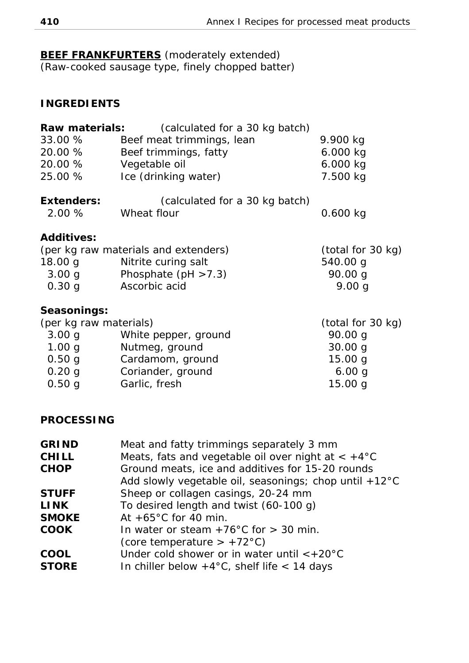*(Raw-cooked sausage type, finely chopped batter)* 

# *INGREDIENTS*

| Raw materials:         | (calculated for a 30 kg batch)       |                   |
|------------------------|--------------------------------------|-------------------|
| 33.00 %                | Beef meat trimmings, lean            | 9.900 kg          |
| 20.00 %                | Beef trimmings, fatty                | 6.000 kg          |
| 20.00 %                | Vegetable oil                        | 6.000 kg          |
| 25.00 %                | Ice (drinking water)                 | 7.500 kg          |
| <b>Extenders:</b>      | (calculated for a 30 kg batch)       |                   |
| 2.00 %                 | Wheat flour                          | $0.600$ kg        |
| <b>Additives:</b>      |                                      |                   |
|                        | (per kg raw materials and extenders) | (total for 30 kg) |
| 18.00 g                | Nitrite curing salt                  | 540.00 g          |
| 3.00 g                 | Phosphate ( $pH > 7.3$ )             | 90.00 g           |
| 0.30 g                 | Ascorbic acid                        | 9.00 <sub>q</sub> |
| Seasonings:            |                                      |                   |
| (per kg raw materials) |                                      | (total for 30 kg) |
| 3.00 g                 | White pepper, ground                 | 90.00 g           |
| 1.00 g                 | Nutmeg, ground                       | 30.00 g           |
| 0.50 g                 | Cardamom, ground                     | 15.00 g           |
| 0.20 g                 | Coriander, ground                    | 6.00 g            |
| 0.50 g                 | Garlic, fresh                        | 15.00 g           |
|                        |                                      |                   |

| <b>GRIND</b> | Meat and fatty trimmings separately 3 mm                     |
|--------------|--------------------------------------------------------------|
| <b>CHILL</b> | Meats, fats and vegetable oil over night at $< +4^{\circ}$ C |
| <b>CHOP</b>  | Ground meats, ice and additives for 15-20 rounds             |
|              | Add slowly vegetable oil, seasonings; chop until +12°C       |
| <b>STUFF</b> | Sheep or collagen casings, 20-24 mm                          |
| <b>LINK</b>  | To desired length and twist (60-100 g)                       |
| <b>SMOKE</b> | At $+65^{\circ}$ C for 40 min.                               |
| <b>COOK</b>  | In water or steam $+76^{\circ}$ C for $> 30$ min.            |
|              | (core temperature $> +72^{\circ}$ C)                         |
| <b>COOL</b>  | Under cold shower or in water until $\lt$ +20°C              |
| <b>STORE</b> | In chiller below $+4^{\circ}$ C, shelf life $<$ 14 days      |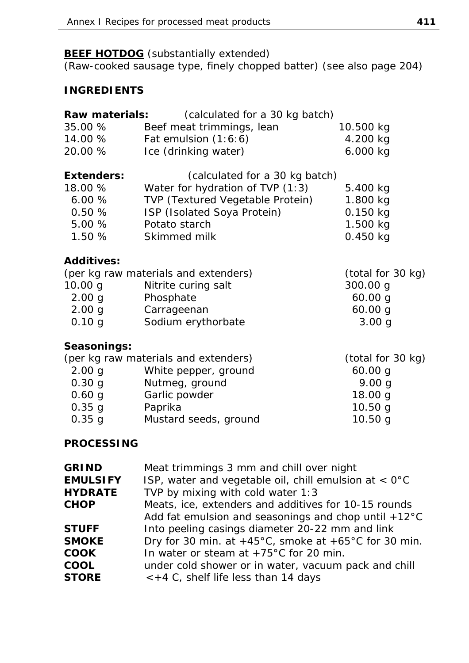# **BEEF HOTDOG** (substantially extended)

*(Raw-cooked sausage type, finely chopped batter)* (see also page 204)

# *INGREDIENTS*

| <b>Raw materials:</b> | (calculated for a 30 kg batch)     |            |
|-----------------------|------------------------------------|------------|
| 35.00 %               | Beef meat trimmings, lean          | 10.500 kg  |
| 14.00 %               | Fat emulsion $(1:6:6)$             | 4.200 kg   |
| 20.00 %               | Ice (drinking water)               | 6.000 kg   |
| <b>Extenders:</b>     | (calculated for a 30 kg batch)     |            |
| 18.00 %               | Water for hydration of TVP $(1:3)$ | 5.400 kg   |
| 6.00%                 | TVP (Textured Vegetable Protein)   | 1.800 kg   |
| 0.50%                 | ISP (Isolated Soya Protein)        | $0.150$ kg |
| 5.00 %                | Potato starch                      | 1.500 kg   |
| 1.50 %                | Skimmed milk                       | $0.450$ kg |

# **Additives:**

|                   | (per kg raw materials and extenders) | (total for 30 kg) |
|-------------------|--------------------------------------|-------------------|
| 10.00 g           | Nitrite curing salt                  | 300.00 g          |
| 2.00 <sub>q</sub> | Phosphate                            | 60.00 g           |
| 2.00 <sub>q</sub> | Carrageenan                          | 60.00 g           |
| 0.10q             | Sodium erythorbate                   | 3.00 <sub>q</sub> |

# **Seasonings:**

| (total for 30 kg) |
|-------------------|
| 60.00 g           |
| 9.00q             |
| 18.00q            |
| 10.50q            |
| 10.50 g           |
|                   |

| <b>GRIND</b>    | Meat trimmings 3 mm and chill over night                                 |
|-----------------|--------------------------------------------------------------------------|
| <b>EMULSIFY</b> | ISP, water and vegetable oil, chill emulsion at $< 0^{\circ}$ C          |
| <b>HYDRATE</b>  | TVP by mixing with cold water 1:3                                        |
| <b>CHOP</b>     | Meats, ice, extenders and additives for 10-15 rounds                     |
|                 | Add fat emulsion and seasonings and chop until $+12^{\circ}$ C           |
| <b>STUFF</b>    | Into peeling casings diameter 20-22 mm and link                          |
| <b>SMOKE</b>    | Dry for 30 min. at $+45^{\circ}$ C, smoke at $+65^{\circ}$ C for 30 min. |
| <b>COOK</b>     | In water or steam at $+75^{\circ}$ C for 20 min.                         |
| <b>COOL</b>     | under cold shower or in water, vacuum pack and chill                     |
| <b>STORE</b>    | $\lt$ +4 C, shelf life less than 14 days                                 |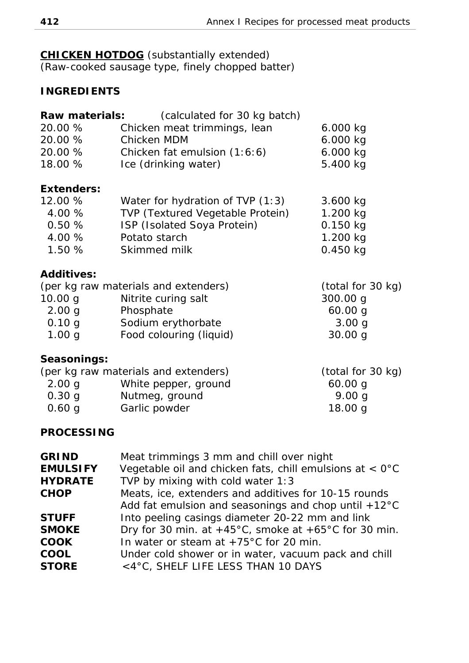# *INGREDIENTS*

| <b>Raw materials:</b> | (calculated for 30 kg batch)         |                   |
|-----------------------|--------------------------------------|-------------------|
| 20.00 %               | Chicken meat trimmings, lean         | 6.000 kg          |
| 20.00 %               | Chicken MDM                          | 6.000 kg          |
| 20.00 %               | Chicken fat emulsion $(1:6:6)$       | 6.000 kg          |
| 18.00 %               | Ice (drinking water)                 | 5.400 kg          |
| <b>Extenders:</b>     |                                      |                   |
| 12.00 %               | Water for hydration of TVP $(1:3)$   | 3.600 kg          |
| 4.00 %                | TVP (Textured Vegetable Protein)     | 1.200 kg          |
| 0.50%                 | ISP (Isolated Soya Protein)          | $0.150$ kg        |
| 4.00 %                | Potato starch                        | 1.200 kg          |
| 1.50%                 | Skimmed milk                         | $0.450$ kg        |
| <b>Additives:</b>     |                                      |                   |
|                       | (per kg raw materials and extenders) | (total for 30 kg) |
| 10.00 g               | Nitrite curing salt                  | 300.00 g          |
| 2.00 g                | Phosphate                            | 60.00 g           |
| 0.10 g                | Sodium erythorbate                   | 3.00 g            |
| 1.00 g                | Food colouring (liquid)              | 30.00 g           |
| Seasonings:           |                                      |                   |
|                       | (per kg raw materials and extenders) | (total for 30 kg) |
|                       | 2.00 g White pepper, ground          | 60.00 g           |
| $0.30$ g              | Nutmeg, ground                       | 9.00 g            |

0.60 g Garlic powder 18.00 g

| <b>GRIND</b><br><b>EMULSIFY</b><br><b>HYDRATE</b> | Meat trimmings 3 mm and chill over night<br>Vegetable oil and chicken fats, chill emulsions at $< 0^{\circ}$ C<br>TVP by mixing with cold water $1:3$ |
|---------------------------------------------------|-------------------------------------------------------------------------------------------------------------------------------------------------------|
| <b>CHOP</b>                                       | Meats, ice, extenders and additives for 10-15 rounds                                                                                                  |
|                                                   | Add fat emulsion and seasonings and chop until $+12^{\circ}$ C                                                                                        |
| <b>STUFF</b>                                      | Into peeling casings diameter 20-22 mm and link                                                                                                       |
| <b>SMOKE</b>                                      | Dry for 30 min. at $+45^{\circ}$ C, smoke at $+65^{\circ}$ C for 30 min.                                                                              |
| <b>COOK</b>                                       | In water or steam at $+75^{\circ}$ C for 20 min.                                                                                                      |
| <b>COOL</b>                                       | Under cold shower or in water, vacuum pack and chill                                                                                                  |
| <b>STORE</b>                                      | <4°C, SHELF LIFE LESS THAN 10 DAYS                                                                                                                    |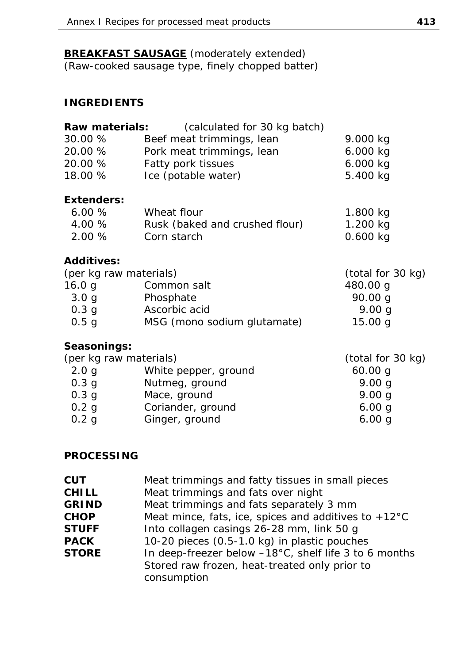# **BREAKFAST SAUSAGE** (moderately extended) *(Raw-cooked sausage type, finely chopped batter)*

#### *INGREDIENTS*

| <b>Raw materials:</b> | (calculated for 30 kg batch) |          |
|-----------------------|------------------------------|----------|
| 30.00 %               | Beef meat trimmings, lean    | 9.000 kg |
| 20.00 %               | Pork meat trimmings, lean    | 6.000 kg |
| 20.00 %               | Fatty pork tissues           | 6.000 kg |
| 18.00 %               | Ice (potable water)          | 5.400 kg |

#### **Extenders:**

| 6.00%  | Wheat flour                    | 1.800 kg |
|--------|--------------------------------|----------|
| 4.00 % | Rusk (baked and crushed flour) | 1.200 kg |
| 2.00%  | Corn starch                    | 0.600 kg |

# **Additives:**

| (per kg raw materials) |                             | (total for 30 kg) |
|------------------------|-----------------------------|-------------------|
| 16.0 <sub>q</sub>      | Common salt                 | 480.00 g          |
| 3.0 <sub>q</sub>       | Phosphate                   | 90.00 $q$         |
| 0.3 <sub>q</sub>       | Ascorbic acid               | 9.00q             |
| 0.5 <sub>q</sub>       | MSG (mono sodium glutamate) | 15.00 g           |

# **Seasonings:**

|                  | (per kg raw materials) | (total for 30 kg) |
|------------------|------------------------|-------------------|
| 2.0 <sub>g</sub> | White pepper, ground   | 60.00 g           |
| 0.3 <sub>q</sub> | Nutmeg, ground         | 9.00q             |
| 0.3 <sub>q</sub> | Mace, ground           | 9.00 <sub>q</sub> |
| 0.2 <sub>g</sub> | Coriander, ground      | 6.00 g            |
| 0.2 <sub>q</sub> | Ginger, ground         | 6.00q             |
|                  |                        |                   |

| <b>CUT</b>   | Meat trimmings and fatty tissues in small pieces                |
|--------------|-----------------------------------------------------------------|
| <b>CHILL</b> | Meat trimmings and fats over night                              |
| <b>GRIND</b> | Meat trimmings and fats separately 3 mm                         |
| <b>CHOP</b>  | Meat mince, fats, ice, spices and additives to $+12^{\circ}$ C  |
| <b>STUFF</b> | Into collagen casings 26-28 mm, link 50 g                       |
| <b>PACK</b>  | 10-20 pieces (0.5-1.0 kg) in plastic pouches                    |
| <b>STORE</b> | In deep-freezer below $-18^{\circ}$ C, shelf life 3 to 6 months |
|              | Stored raw frozen, heat-treated only prior to                   |
|              | consumption                                                     |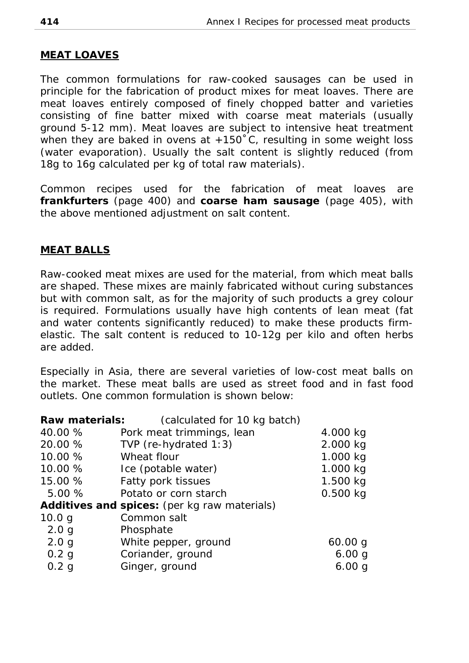# **MEAT LOAVES**

The common formulations for raw-cooked sausages can be used in principle for the fabrication of product mixes for meat loaves. There are meat loaves entirely composed of finely chopped batter and varieties consisting of fine batter mixed with coarse meat materials (usually ground 5-12 mm). Meat loaves are subject to intensive heat treatment when they are baked in ovens at  $+150^{\circ}$ C, resulting in some weight loss (water evaporation). Usually the salt content is slightly reduced (from 18g to 16g calculated per kg of total raw materials).

Common recipes used for the fabrication of meat loaves are **frankfurters** (page 400) and **coarse ham sausage** (page 405), with the above mentioned adjustment on salt content.

# **MEAT BALLS**

Raw-cooked meat mixes are used for the material, from which meat balls are shaped. These mixes are mainly fabricated without curing substances but with common salt, as for the majority of such products a grey colour is required. Formulations usually have high contents of lean meat (fat and water contents significantly reduced) to make these products firmelastic. The salt content is reduced to 10-12g per kilo and often herbs are added.

Especially in Asia, there are several varieties of low-cost meat balls on the market. These meat balls are used as street food and in fast food outlets. One common formulation is shown below:

| <b>Raw materials:</b> | (calculated for 10 kg batch)                        |            |
|-----------------------|-----------------------------------------------------|------------|
| 40.00 %               | Pork meat trimmings, lean                           | 4.000 kg   |
| 20.00 %               | TVP (re-hydrated $1:3$ )                            | 2.000 kg   |
| 10.00 %               | Wheat flour                                         | 1.000 kg   |
| 10.00 %               | Ice (potable water)                                 | 1.000 kg   |
| 15.00 %               | Fatty pork tissues                                  | 1.500 kg   |
| 5.00%                 | Potato or corn starch                               | $0.500$ kg |
|                       | <b>Additives and spices:</b> (per kg raw materials) |            |
| 10.0 g                | Common salt                                         |            |
| 2.0 <sub>g</sub>      | Phosphate                                           |            |
| 2.0 <sub>g</sub>      | White pepper, ground                                | 60.00 g    |
| $0.2$ g               | Coriander, ground                                   | 6.00 g     |
| 0.2 g                 | Ginger, ground                                      | 6.00 g     |
|                       |                                                     |            |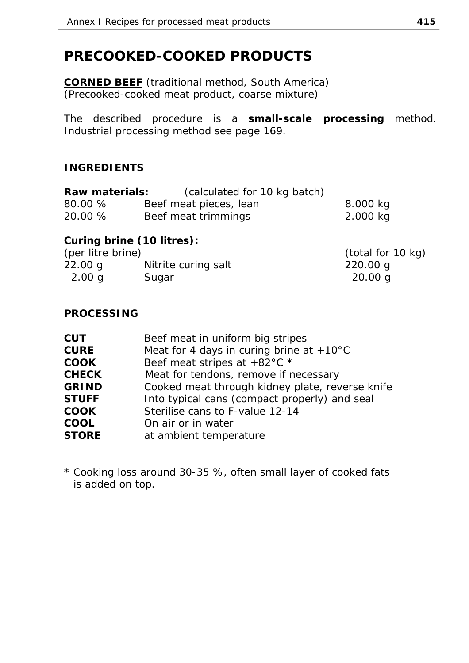# **PRECOOKED-COOKED PRODUCTS**

**CORNED BEEF** (traditional method, South America) *(Precooked-cooked meat product, coarse mixture)* 

The described procedure is a **small-scale processing** method. *Industrial processing* method see page 169.

# *INGREDIENTS*

| Raw materials: | (calculated for 10 kg batch) |          |
|----------------|------------------------------|----------|
| 80.00 %        | Beef meat pieces, lean       | 8.000 kg |
| 20.00 %        | Beef meat trimmings          | 2.000 kg |

# **Curing brine (10 litres):**

| (per litre brine) |                     | (total for 10 kg) |
|-------------------|---------------------|-------------------|
| 22.00 g           | Nitrite curing salt | 220.00 g          |
| 2.00 <sub>q</sub> | Sugar               | 20.00 g           |

#### *PROCESSING*

| <b>CUT</b>   | Beef meat in uniform big stripes                   |
|--------------|----------------------------------------------------|
| <b>CURE</b>  | Meat for 4 days in curing brine at $+10^{\circ}$ C |
| <b>COOK</b>  | Beef meat stripes at +82°C *                       |
| <b>CHECK</b> | Meat for tendons, remove if necessary              |
| <b>GRIND</b> | Cooked meat through kidney plate, reverse knife    |
| <b>STUFF</b> | Into typical cans (compact properly) and seal      |
| <b>COOK</b>  | Sterilise cans to F-value 12-14                    |
| <b>COOL</b>  | On air or in water                                 |
| <b>STORE</b> | at ambient temperature                             |

\* Cooking loss around 30-35 %, often small layer of cooked fats is added on top.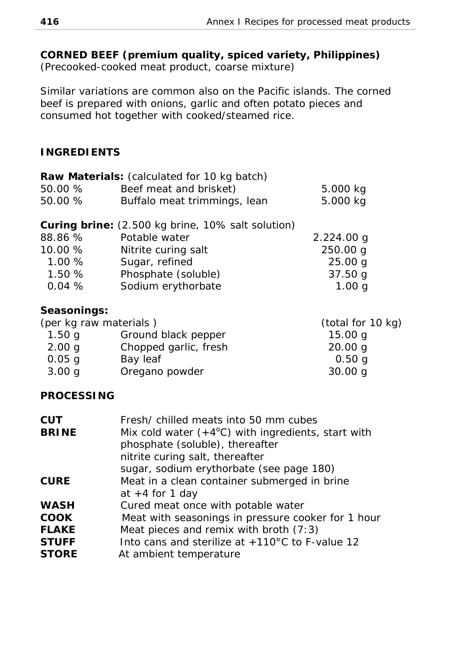# **CORNED BEEF (premium quality, spiced variety, Philippines)**

*(Precooked-cooked meat product, coarse mixture)* 

*Similar variations are common also on the Pacific islands. The corned beef is prepared with onions, garlic and often potato pieces and consumed hot together with cooked/steamed rice.* 

# **INGREDIENTS**

|                        | Raw Materials: (calculated for 10 kg batch)              |                   |
|------------------------|----------------------------------------------------------|-------------------|
| 50.00 %                | Beef meat and brisket)                                   | 5.000 kg          |
| 50.00 %                | Buffalo meat trimmings, lean                             | 5.000 kg          |
|                        | <b>Curing brine:</b> (2.500 kg brine, 10% salt solution) |                   |
| 88.86 %                | Potable water                                            | $2.224.00$ g      |
| 10.00 %                | Nitrite curing salt                                      | 250.00 g          |
| $1.00 \%$              | Sugar, refined                                           | 25.00q            |
| 1.50%                  | Phosphate (soluble)                                      | 37.50 g           |
| 0.04%                  | Sodium erythorbate                                       | 1.00 g            |
| Seasonings:            |                                                          |                   |
| (per kg raw materials) |                                                          | (total for 10 kg) |
| 1.50 g                 | Ground black pepper                                      | 15.00 g           |
| 2.00 g                 | Chopped garlic, fresh                                    | 20.00 g           |
| $0.05$ g               | Bay leaf                                                 | 0.50g             |
| 3.00q                  | Oregano powder                                           | 30.00 g           |

| <b>CUT</b>   | Fresh/ chilled meats into 50 mm cubes                               |
|--------------|---------------------------------------------------------------------|
| <b>BRINE</b> | Mix cold water $(+4^{\circ}C)$ with <i>ingredients</i> , start with |
|              | phosphate (soluble), thereafter                                     |
|              | nitrite curing salt, thereafter                                     |
|              | sugar, sodium erythorbate (see page 180)                            |
| <b>CURE</b>  | Meat in a clean container submerged in brine                        |
|              | at $+4$ for 1 day                                                   |
| <b>WASH</b>  | Cured meat once with potable water                                  |
| <b>COOK</b>  | Meat with seasonings in pressure cooker for 1 hour                  |
| <b>FLAKE</b> | Meat pieces and remix with broth $(7:3)$                            |
| <b>STUFF</b> | Into cans and sterilize at +110°C to F-value 12                     |
| <b>STORE</b> | At ambient temperature                                              |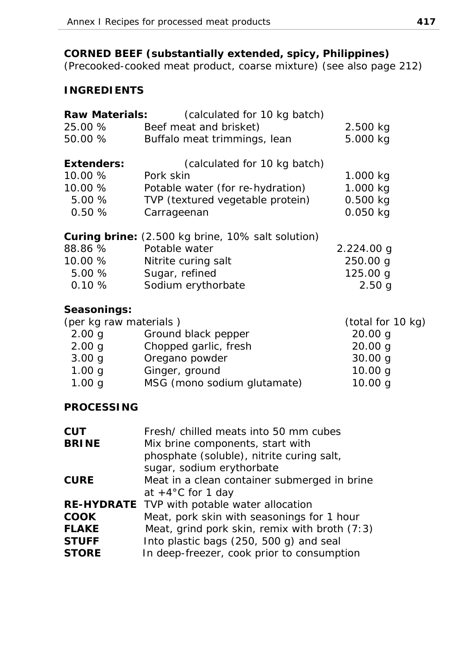# **CORNED BEEF (substantially extended, spicy, Philippines)**

*(Precooked-cooked meat product, coarse mixture)* (see also page 212)

# **INGREDIENTS**

| <b>Raw Materials:</b>  | (calculated for 10 kg batch)                             |                   |
|------------------------|----------------------------------------------------------|-------------------|
| 25.00 %                | Beef meat and brisket)                                   | 2.500 kg          |
| 50.00 %                | Buffalo meat trimmings, lean                             | 5.000 kg          |
|                        |                                                          |                   |
| <b>Extenders:</b>      | (calculated for 10 kg batch)                             |                   |
| 10.00 %                | Pork skin                                                | 1.000 kg          |
| 10.00 %                | Potable water (for re-hydration)                         | 1.000 kg          |
| 5.00%                  | TVP (textured vegetable protein)                         | $0.500$ kg        |
| 0.50%                  | Carrageenan                                              | $0.050$ kg        |
|                        | <b>Curing brine:</b> (2.500 kg brine, 10% salt solution) |                   |
| 88.86 %                | Potable water                                            | 2.224.00 g        |
| 10.00 %                | Nitrite curing salt                                      | 250.00 g          |
| 5.00 %                 | Sugar, refined                                           | 125.00 g          |
| $0.10 \%$              | Sodium erythorbate                                       | 2.50 g            |
| Seasonings:            |                                                          |                   |
| (per kg raw materials) |                                                          | (total for 10 kg) |
| 2.00 g                 | Ground black pepper                                      | $20.00$ g         |
| 2.00 g                 | Chopped garlic, fresh                                    | 20.00 g           |
| 3.00 g                 | Oregano powder                                           | 30.00 g           |
| 1.00 g                 | Ginger, ground                                           | 10.00 g           |
| 1.00 g                 | MSG (mono sodium glutamate)                              | 10.00 g           |
| <b>PROCESSING</b>      |                                                          |                   |
| <b>CUT</b>             | Fresh/ chilled meats into 50 mm cubes                    |                   |

| CUT          | Fresh/ chilled meats into 50 mm cupes               |
|--------------|-----------------------------------------------------|
| <b>BRINE</b> | Mix brine components, start with                    |
|              | phosphate (soluble), nitrite curing salt,           |
|              | sugar, sodium erythorbate                           |
| <b>CURE</b>  | Meat in a clean container submerged in brine        |
|              | at $+4^{\circ}$ C for 1 day                         |
|              | <b>RE-HYDRATE</b> TVP with potable water allocation |
| <b>COOK</b>  | Meat, pork skin with seasonings for 1 hour          |
| <b>FLAKE</b> | Meat, grind pork skin, remix with broth (7:3)       |
| <b>STUFF</b> | Into plastic bags (250, 500 g) and seal             |
| <b>STORE</b> | In deep-freezer, cook prior to consumption          |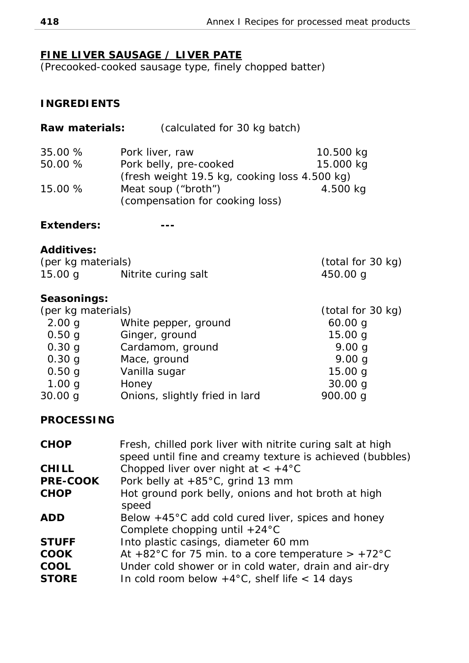# **FINE LIVER SAUSAGE / LIVER PATE**

*(Precooked-cooked sausage type, finely chopped batter)* 

# *INGREDIENTS*

| Raw materials: | (calculated for 30 kg batch) |
|----------------|------------------------------|
|                |                              |

| 35.00 % | Pork liver, raw                               | 10.500 kg |
|---------|-----------------------------------------------|-----------|
| 50.00 % | Pork belly, pre-cooked                        | 15.000 kg |
|         | (fresh weight 19.5 kg, cooking loss 4.500 kg) |           |
| 15.00 % | Meat soup ("broth")                           | 4.500 kg  |
|         | (compensation for cooking loss)               |           |

#### **Extenders: ---**

# **Additives:**

| (per kg materials) |                     | (total for 30 kg) |
|--------------------|---------------------|-------------------|
| 15.00 g            | Nitrite curing salt | 450.00 g          |

# **Seasonings:**

| (per kg materials) |                                | (total for 30 kg) |
|--------------------|--------------------------------|-------------------|
| 2.00 g             | White pepper, ground           | 60.00 g           |
| 0.50 g             | Ginger, ground                 | 15.00 g           |
| 0.30 g             | Cardamom, ground               | 9.00 g            |
| 0.30 g             | Mace, ground                   | 9.00 g            |
| 0.50 <sub>g</sub>  | Vanilla sugar                  | 15.00q            |
| 1.00 g             | Honey                          | 30.00 g           |
| 30.00 g            | Onions, slightly fried in lard | 900.00 g          |

| <b>CHOP</b>                 | Fresh, chilled pork liver with nitrite curing salt at high<br>speed until fine and creamy texture is achieved (bubbles) |
|-----------------------------|-------------------------------------------------------------------------------------------------------------------------|
| <b>CHILL</b>                | Chopped liver over night at $< +4$ °C                                                                                   |
| <b>PRE-COOK</b>             | Pork belly at $+85^{\circ}$ C, grind 13 mm                                                                              |
| <b>CHOP</b>                 | Hot ground pork belly, onions and hot broth at high<br>speed                                                            |
| <b>ADD</b>                  | Below $+45^{\circ}$ C add cold cured liver, spices and honey<br>Complete chopping until $+24^{\circ}$ C                 |
| <b>STUFF</b>                | Into plastic casings, diameter 60 mm                                                                                    |
| <b>COOK</b>                 | At +82°C for 75 min. to a core temperature $> +72$ °C                                                                   |
| <b>COOL</b><br><b>STORE</b> | Under cold shower or in cold water, drain and air-dry<br>In cold room below $+4^{\circ}$ C, shelf life $<$ 14 days      |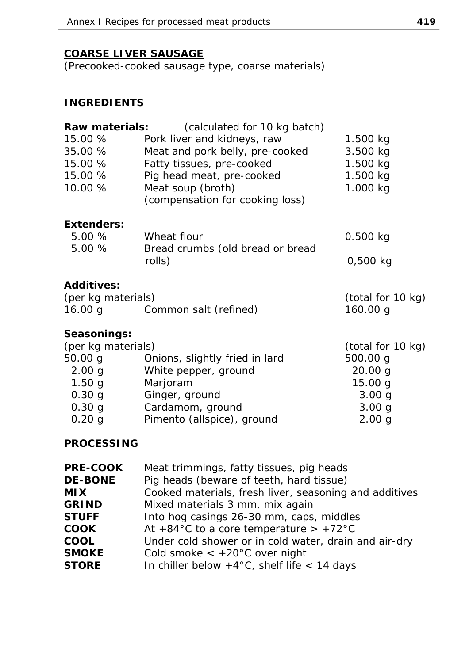# **COARSE LIVER SAUSAGE**

*(Precooked-cooked sausage type, coarse materials)* 

# *INGREDIENTS*

| <b>Raw materials:</b> | (calculated for 10 kg batch)     |                   |
|-----------------------|----------------------------------|-------------------|
| 15.00 %               | Pork liver and kidneys, raw      | 1.500 kg          |
| 35.00 %               | Meat and pork belly, pre-cooked  | 3.500 kg          |
| 15.00 %               | Fatty tissues, pre-cooked        | 1.500 kg          |
| 15.00 %               | Pig head meat, pre-cooked        | 1.500 kg          |
| 10.00 %               | Meat soup (broth)                | 1.000 kg          |
|                       | (compensation for cooking loss)  |                   |
| <b>Extenders:</b>     |                                  |                   |
| 5.00%                 | Wheat flour                      | $0.500$ kg        |
| 5.00%                 | Bread crumbs (old bread or bread |                   |
|                       | rolls)                           | $0,500$ kg        |
| <b>Additives:</b>     |                                  |                   |
| (per kg materials)    |                                  | (total for 10 kg) |
|                       | 16.00 g Common salt (refined)    | 160.00 g          |
| Seasonings:           |                                  |                   |
| (per kg materials)    |                                  | (total for 10 kg) |

| (pc) Ny materials) |                                | (101a110110N)     |
|--------------------|--------------------------------|-------------------|
| 50.00 g            | Onions, slightly fried in lard | 500.00 g          |
| 2.00 g             | White pepper, ground           | 20.00 g           |
| 1.50 <sub>g</sub>  | Marjoram                       | 15.00 g           |
| 0.30 g             | Ginger, ground                 | 3.00 <sub>g</sub> |
| 0.30 g             | Cardamom, ground               | 3.00 <sub>g</sub> |
| 0.20 g             | Pimento (allspice), ground     | 2.00 <sub>g</sub> |
|                    |                                |                   |

| <b>PRE-COOK</b> | Meat trimmings, fatty tissues, pig heads                |
|-----------------|---------------------------------------------------------|
| <b>DE-BONE</b>  | Pig heads (beware of teeth, hard tissue)                |
| <b>MIX</b>      | Cooked materials, fresh liver, seasoning and additives  |
| <b>GRIND</b>    | Mixed materials 3 mm, mix again                         |
| <b>STUFF</b>    | Into hog casings 26-30 mm, caps, middles                |
| <b>COOK</b>     | At +84°C to a core temperature > +72°C                  |
| <b>COOL</b>     | Under cold shower or in cold water, drain and air-dry   |
| <b>SMOKE</b>    | Cold smoke $\lt$ +20°C over night                       |
| <b>STORE</b>    | In chiller below $+4^{\circ}$ C, shelf life $<$ 14 days |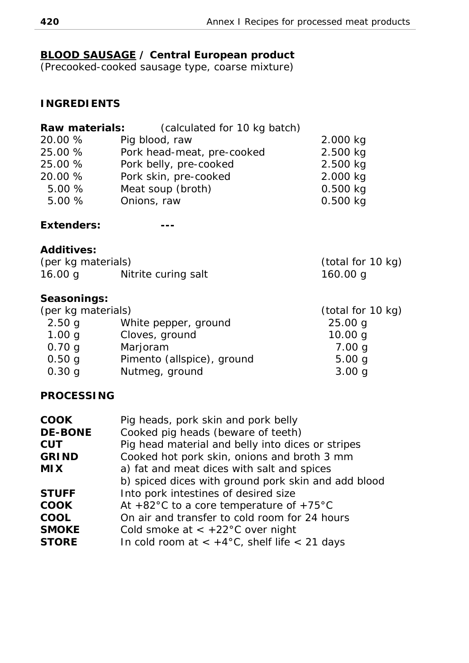# **BLOOD SAUSAGE / Central European product**

*(Precooked-cooked sausage type, coarse mixture)* 

# *INGREDIENTS*

| <b>Raw materials:</b> | (calculated for 10 kg batch) |            |
|-----------------------|------------------------------|------------|
| 20.00 %               | Pig blood, raw               | 2.000 kg   |
| 25.00 %               | Pork head-meat, pre-cooked   | 2.500 kg   |
| 25.00 %               | Pork belly, pre-cooked       | 2.500 kg   |
| 20.00 %               | Pork skin, pre-cooked        | 2.000 kg   |
| 5.00 %                | Meat soup (broth)            | $0.500$ kg |
| 5.00 %                | Onions, raw                  | $0.500$ kg |

#### **Extenders: ---**

#### **Additives:**

| (per kg materials) |                     | (total for 10 kg) |
|--------------------|---------------------|-------------------|
| 16.00 g            | Nitrite curing salt | 160.00 $q$        |

# **Seasonings:**

| (per kg materials) |                            | (total for 10 kg) |
|--------------------|----------------------------|-------------------|
| 2.50 <sub>g</sub>  | White pepper, ground       | 25.00 g           |
| 1.00 g             | Cloves, ground             | 10.00q            |
| 0.70q              | Marjoram                   | 7.00q             |
| 0.50 g             | Pimento (allspice), ground | 5.00 <sub>q</sub> |
| 0.30 g             | Nutmeg, ground             | 3.00 <sub>q</sub> |

| Pig heads, pork skin and pork belly                                                           |
|-----------------------------------------------------------------------------------------------|
| Cooked pig heads (beware of teeth)                                                            |
| Pig head material and belly into dices or stripes                                             |
| Cooked hot pork skin, onions and broth 3 mm                                                   |
| a) fat and meat dices with salt and spices                                                    |
| b) spiced dices with ground pork skin and add blood                                           |
| Into pork intestines of desired size                                                          |
| At +82 $^{\circ}$ C to a core temperature of +75 $^{\circ}$ C                                 |
| On air and transfer to cold room for 24 hours                                                 |
| Cold smoke at $\lt$ +22 $\degree$ C over night                                                |
| In cold room at $\langle 4^{\circ}C, 4^{\circ}C \rangle$ shelf life $\langle 21 \rangle$ days |
|                                                                                               |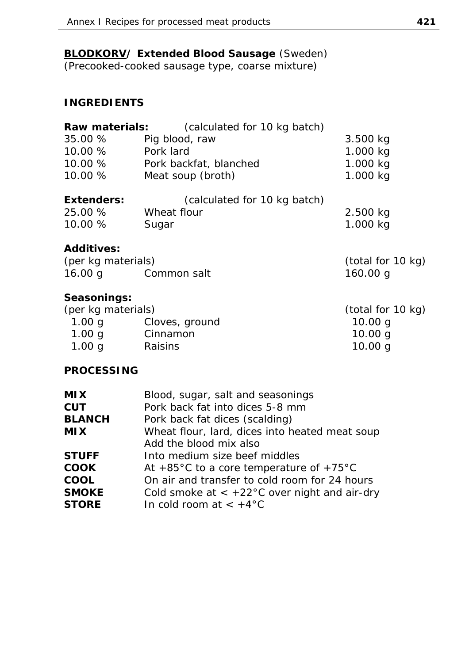# **BLODKORV/ Extended Blood Sausage** (Sweden)

*(Precooked-cooked sausage type, coarse mixture)* 

# *INGREDIENTS*

| <b>Raw materials:</b> | (calculated for 10 kg batch) |          |
|-----------------------|------------------------------|----------|
| 35.00 %               | Pig blood, raw               | 3.500 kg |
| 10.00 %               | Pork lard                    | 1.000 kg |
| 10.00 %               | Pork backfat, blanched       | 1.000 kg |
| 10.00 %               | Meat soup (broth)            | 1.000 kg |
| <b>Extenders:</b>     | (calculated for 10 kg batch) |          |
| 25.00 %               | Wheat flour                  | 2.500 kg |
| 10.00 %               | Sugar                        | 1.000 kg |

# **Additives:**

| (per kg materials) |             | (total for 10 kg) |
|--------------------|-------------|-------------------|
| 16.00 $q$          | Common salt | 160.00 $q$        |

# **Seasonings:**

| (per kg materials) |                | (total for 10 kg) |
|--------------------|----------------|-------------------|
| 1.00 <sub>q</sub>  | Cloves, ground | 10.00 g           |
| 1.00 <sub>q</sub>  | Cinnamon       | 10.00 g           |
| 1.00 <sub>q</sub>  | <b>Raisins</b> | 10.00 $q$         |

| <b>MIX</b>    | Blood, sugar, salt and seasonings                             |
|---------------|---------------------------------------------------------------|
| <b>CUT</b>    | Pork back fat into dices 5-8 mm                               |
| <b>BLANCH</b> | Pork back fat dices (scalding)                                |
| <b>MIX</b>    | Wheat flour, lard, dices into heated meat soup                |
|               | Add the blood mix also                                        |
| <b>STUFF</b>  | Into medium size beef middles                                 |
| <b>COOK</b>   | At +85 $^{\circ}$ C to a core temperature of +75 $^{\circ}$ C |
| <b>COOL</b>   | On air and transfer to cold room for 24 hours                 |
| <b>SMOKE</b>  | Cold smoke at $\lt$ +22°C over night and air-dry              |
| <b>STORE</b>  | In cold room at $\lt$ +4 $\degree$ C                          |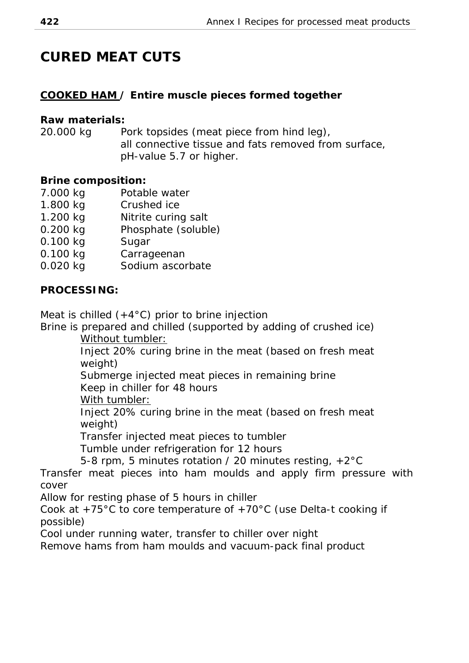# **CURED MEAT CUTS**

# **COOKED HAM / Entire muscle pieces formed together**

# **Raw materials:**

20.000 kg Pork topsides (meat piece from hind leg), all connective tissue and fats removed from surface, pH-value 5.7 or higher.

# **Brine composition:**

- 7.000 kg Potable water
- 1.800 kg Crushed ice
- 1.200 kg Nitrite curing salt
- 0.200 kg Phosphate (soluble)
- 0.100 kg Sugar
- 0.100 kg Carrageenan
- 0.020 kg Sodium ascorbate

# *PROCESSING***:**

Meat is chilled  $(+4^{\circ}C)$  prior to brine injection

Brine is prepared and chilled (supported by adding of crushed ice) *Without tumbler:*

Inject 20% curing brine in the meat (based on fresh meat weight)

Submerge injected meat pieces in remaining brine

Keep in chiller for 48 hours

*With tumbler:*

Inject 20% curing brine in the meat (based on fresh meat weight)

Transfer injected meat pieces to tumbler

Tumble under refrigeration for 12 hours

5-8 rpm, 5 minutes rotation / 20 minutes resting, +2°C

Transfer meat pieces into ham moulds and apply firm pressure with cover

Allow for resting phase of 5 hours in chiller

Cook at  $+75^{\circ}$ C to core temperature of  $+70^{\circ}$ C (use Delta-t cooking if possible)

Cool under running water, transfer to chiller over night

Remove hams from ham moulds and vacuum-pack final product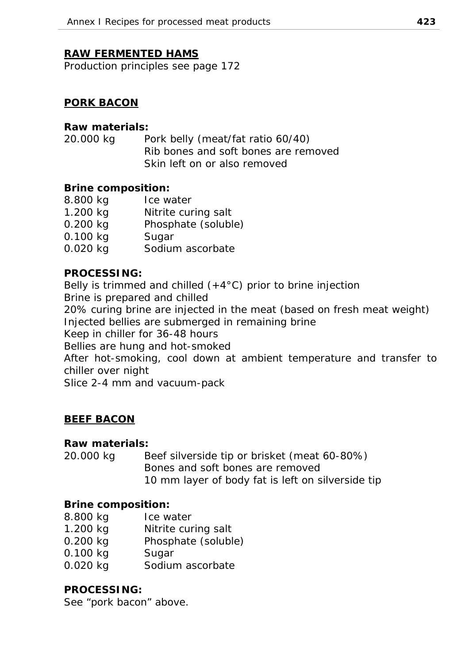# **RAW FERMENTED HAMS**

Production principles see page 172

#### **PORK BACON**

#### **Raw materials:**

20.000 kg Pork belly (meat/fat ratio 60/40) Rib bones and soft bones are removed Skin left on or also removed

#### **Brine composition:**

- 8.800 kg lce water
- 1.200 kg Nitrite curing salt
- 0.200 kg Phosphate (soluble)
- 0.100 kg Sugar
- 0.020 kg Sodium ascorbate

# *PROCESSING***:**

Belly is trimmed and chilled  $(+4^{\circ}C)$  prior to brine injection

Brine is prepared and chilled

20% curing brine are injected in the meat (based on fresh meat weight) Injected bellies are submerged in remaining brine

Keep in chiller for 36-48 hours

Bellies are hung and hot-smoked

After hot-smoking, cool down at ambient temperature and transfer to chiller over night

Slice 2-4 mm and vacuum-pack

# **BEEF BACON**

#### **Raw materials:**

20.000 kg Beef silverside tip or brisket (meat 60-80%) Bones and soft bones are removed 10 mm layer of body fat is left on silverside tip

# **Brine composition:**

- 8.800 kg lce water
- 1.200 kg Nitrite curing salt
- 0.200 kg Phosphate (soluble)
- 0.100 kg Sugar
- 0.020 kg Sodium ascorbate

# *PROCESSING***:**

See "pork bacon" above.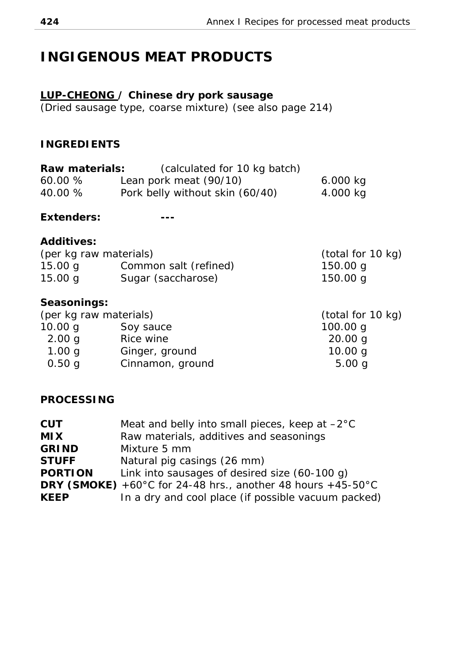# **INGIGENOUS MEAT PRODUCTS**

# **LUP-CHEONG / Chinese dry pork sausage**

*(Dried sausage type, coarse mixture)* (see also page 214)

# *INGREDIENTS*

| Raw materials: | (calculated for 10 kg batch)    |            |
|----------------|---------------------------------|------------|
| 60.00 %        | Lean pork meat (90/10)          | $6.000$ kg |
| 40.00 %        | Pork belly without skin (60/40) | 4.000 kg   |

#### **Extenders: ---**

# **Additives:**

| (per kg raw materials) |                       | (total for 10 kg) |
|------------------------|-----------------------|-------------------|
| 15.00 g                | Common salt (refined) | 150.00 g          |
| 15.00 g                | Sugar (saccharose)    | 150.00 $q$        |

# **Seasonings:**

| (per kg raw materials) |                  | (total for 10 kg) |
|------------------------|------------------|-------------------|
| 10.00 q                | Soy sauce        | 100.00 g          |
| 2.00 q                 | Rice wine        | 20.00 g           |
| 1.00 $q$               | Ginger, ground   | 10.00 g           |
| 0.50q                  | Cinnamon, ground | 5.00q             |

| <b>CUT</b>     | Meat and belly into small pieces, keep at $-2^{\circ}$ C           |
|----------------|--------------------------------------------------------------------|
| <b>MIX</b>     | Raw materials, additives and seasonings                            |
| <b>GRIND</b>   | Mixture 5 mm                                                       |
| <b>STUFF</b>   | Natural pig casings (26 mm)                                        |
| <b>PORTION</b> | Link into sausages of desired size (60-100 g)                      |
|                | <b>DRY (SMOKE)</b> +60°C for 24-48 hrs., another 48 hours +45-50°C |
| <b>KEEP</b>    | In a dry and cool place (if possible vacuum packed)                |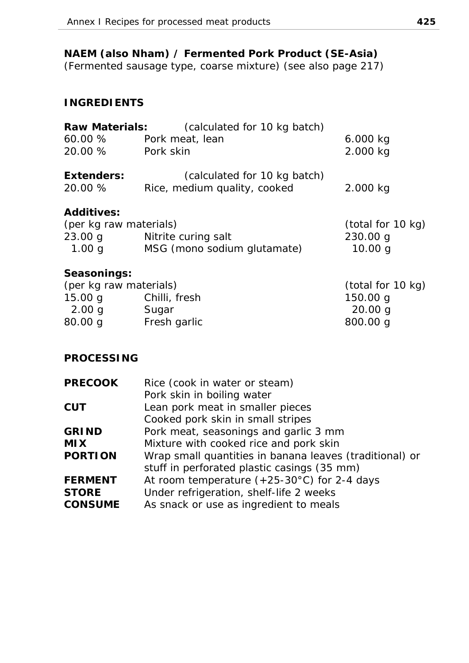**NAEM (also Nham) / Fermented Pork Product (SE-Asia)** 

*(Fermented sausage type, coarse mixture)* (see also page 217)

# **INGREDIENTS**

| <b>Raw Materials:</b>  | (calculated for 10 kg batch) |                    |
|------------------------|------------------------------|--------------------|
| 60.00 %                | Pork meat, lean              | 6.000 kg           |
| 20.00 %                | Pork skin                    | 2.000 kg           |
| <b>Extenders:</b>      | (calculated for 10 kg batch) |                    |
| 20.00 %                | Rice, medium quality, cooked | 2.000 kg           |
| <b>Additives:</b>      |                              |                    |
| (per kg raw materials) |                              | (total for 10 kg)  |
| 23.00 g                | Nitrite curing salt          | 230.00 g           |
| 1.00 <sub>q</sub>      | MSG (mono sodium glutamate)  | 10.00 <sub>q</sub> |
| Seasonings:            |                              |                    |
| (per kg raw materials) |                              | (total for 10 kg)  |
| 15.00 g                | Chilli, fresh                | 150.00 g           |
| 2.00 g                 | Sugar                        | 20.00 g            |
| 80.00 g                | Fresh garlic                 | 800.00 g           |

| Wrap small quantities in banana leaves (traditional) or |
|---------------------------------------------------------|
|                                                         |
|                                                         |
|                                                         |
|                                                         |
|                                                         |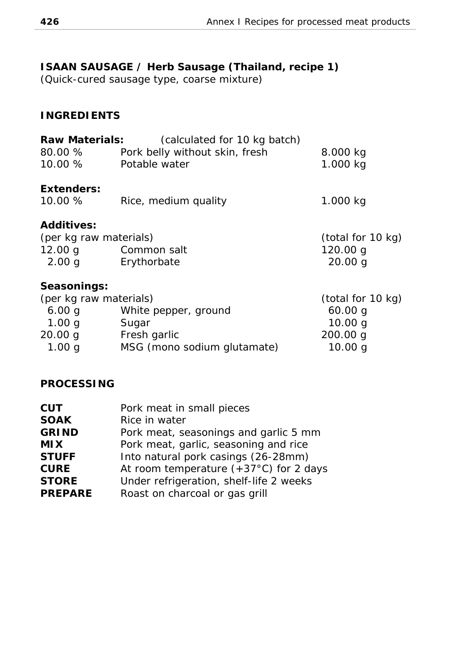# **ISAAN SAUSAGE / Herb Sausage (Thailand, recipe 1)**

*(Quick-cured sausage type, coarse mixture)*

# **INGREDIENTS**

| <b>Raw Materials:</b><br>80.00 %<br>10.00 % | (calculated for 10 kg batch)<br>Pork belly without skin, fresh<br>Potable water | 8.000 kg<br>1.000 kg |
|---------------------------------------------|---------------------------------------------------------------------------------|----------------------|
| <b>Extenders:</b><br>10.00 %                | Rice, medium quality                                                            | 1.000 kg             |
| <b>Additives:</b>                           |                                                                                 |                      |
| (per kg raw materials)                      |                                                                                 | (total for 10 kg)    |
| 12.00 g<br>2.00 g                           | Common salt<br>Erythorbate                                                      | 120.00 g<br>20.00q   |
| Seasonings:                                 |                                                                                 |                      |
| (per kg raw materials)                      |                                                                                 | (total for 10 kg)    |
| 6.00 g                                      | White pepper, ground                                                            | 60.00 g              |
| 1.00 g                                      | Sugar                                                                           | 10.00q               |
| 20.00 g                                     | Fresh garlic                                                                    | 200.00 g             |
| 1.00 <sub>q</sub>                           | MSG (mono sodium glutamate)                                                     | 10.00 <sub>q</sub>   |

| <b>CUT</b>     | Pork meat in small pieces                       |
|----------------|-------------------------------------------------|
| <b>SOAK</b>    | Rice in water                                   |
| <b>GRIND</b>   | Pork meat, seasonings and garlic 5 mm           |
| <b>MIX</b>     | Pork meat, garlic, seasoning and rice           |
| <b>STUFF</b>   | Into natural pork casings (26-28mm)             |
| <b>CURE</b>    | At room temperature $(+37^{\circ}C)$ for 2 days |
| <b>STORE</b>   | Under refrigeration, shelf-life 2 weeks         |
| <b>PREPARE</b> | Roast on charcoal or gas grill                  |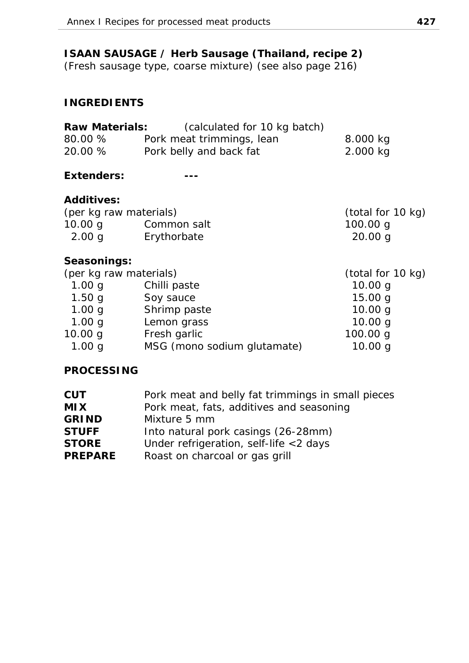# **ISAAN SAUSAGE / Herb Sausage (Thailand, recipe 2)**

*(Fresh sausage type, coarse mixture) (see also page 216)* 

## **INGREDIENTS**

| <b>Raw Materials:</b> | (calculated for 10 kg batch) |          |
|-----------------------|------------------------------|----------|
| 80.00 %               | Pork meat trimmings, lean    | 8.000 kg |
| 20.00 %               | Pork belly and back fat      | 2.000 kg |

#### **Extenders: ---**

# **Additives:**

| (per kg raw materials) |             | (total for 10 kg) |
|------------------------|-------------|-------------------|
| 10.00 $q$              | Common salt | 100.00 g          |
| 2.00 <sub>q</sub>      | Erythorbate | 20.00 g           |

# **Seasonings:**

| (per kg raw materials) |                             | (total for 10 kg) |
|------------------------|-----------------------------|-------------------|
| 1.00 g                 | Chilli paste                | 10.00q            |
| 1.50 <sub>g</sub>      | Soy sauce                   | 15.00q            |
| 1.00 <sub>g</sub>      | Shrimp paste                | 10.00q            |
| 1.00 g                 | Lemon grass                 | 10.00q            |
| 10.00 g                | Fresh garlic                | 100.00 g          |
| 1.00 <sub>g</sub>      | MSG (mono sodium glutamate) | 10.00 g           |

| <b>CUT</b>     | Pork meat and belly fat trimmings in small pieces |
|----------------|---------------------------------------------------|
| <b>MIX</b>     | Pork meat, fats, additives and seasoning          |
| <b>GRIND</b>   | Mixture 5 mm                                      |
| <b>STUFF</b>   | Into natural pork casings (26-28mm)               |
| <b>STORE</b>   | Under refrigeration, self-life $<$ 2 days         |
| <b>PREPARE</b> | Roast on charcoal or gas grill                    |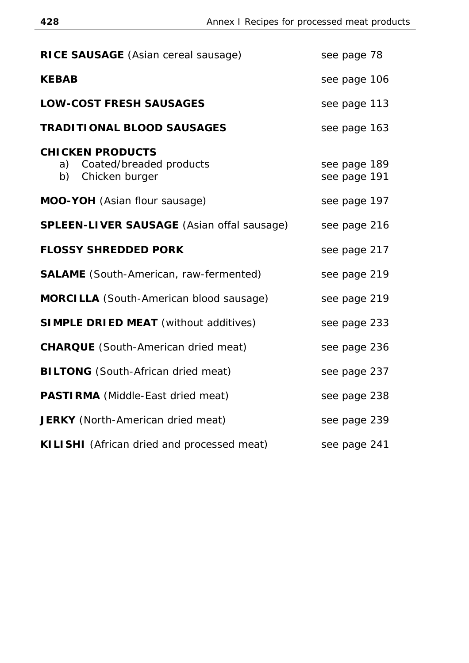| <b>RICE SAUSAGE</b> (Asian cereal sausage)                                 | see page 78                  |
|----------------------------------------------------------------------------|------------------------------|
| <b>KEBAB</b>                                                               | see page 106                 |
| <b>LOW-COST FRESH SAUSAGES</b>                                             | see page 113                 |
| <b>TRADITIONAL BLOOD SAUSAGES</b>                                          | see page 163                 |
| <b>CHICKEN PRODUCTS</b><br>a) Coated/breaded products<br>b) Chicken burger | see page 189<br>see page 191 |
| MOO-YOH (Asian flour sausage)                                              | see page 197                 |
| <b>SPLEEN-LIVER SAUSAGE</b> (Asian offal sausage)                          | see page 216                 |
| <b>FLOSSY SHREDDED PORK</b>                                                | see page 217                 |
| <b>SALAME</b> (South-American, raw-fermented)                              | see page 219                 |
| <b>MORCILLA</b> (South-American blood sausage)                             | see page 219                 |
| <b>SIMPLE DRIED MEAT</b> (without additives)                               | see page 233                 |
| <b>CHARQUE</b> (South-American dried meat)                                 | see page 236                 |
| <b>BILTONG</b> (South-African dried meat)                                  | see page 237                 |
| <b>PASTIRMA</b> (Middle-East dried meat)                                   | see page 238                 |
| <b>JERKY</b> (North-American dried meat)                                   | see page 239                 |
| <b>KILISHI</b> (African dried and processed meat)                          | see page 241                 |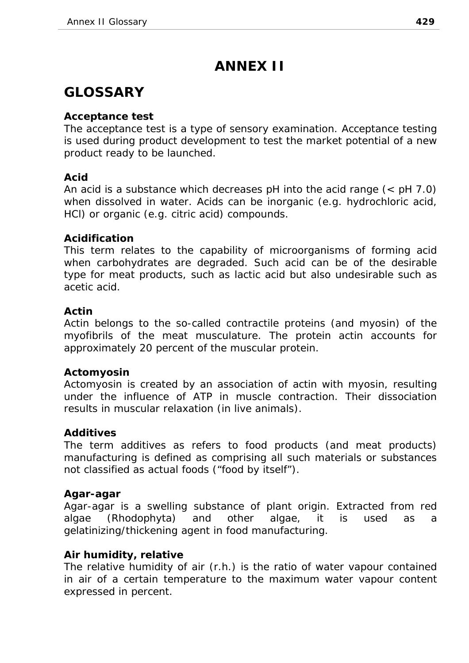# **ANNEX II**

# **GLOSSARY**

## **Acceptance test**

The acceptance test is a type of sensory examination. Acceptance testing is used during product development to test the market potential of a new product ready to be launched.

#### **Acid**

An acid is a substance which decreases pH into the acid range (< pH 7.0) when dissolved in water. Acids can be inorganic (e.g. hydrochloric acid, HCl) or organic (e.g. citric acid) compounds.

#### **Acidification**

This term relates to the capability of microorganisms of forming acid when carbohydrates are degraded. Such acid can be of the desirable type for meat products, such as lactic acid but also undesirable such as acetic acid.

#### **Actin**

Actin belongs to the so-called contractile proteins (and myosin) of the myofibrils of the meat musculature. The protein actin accounts for approximately 20 percent of the muscular protein.

# **Actomyosin**

Actomyosin is created by an association of actin with myosin, resulting under the influence of ATP in muscle contraction. Their dissociation results in muscular relaxation (in live animals).

#### **Additives**

The term additives as refers to food products (and meat products) manufacturing is defined as comprising all such materials or substances not classified as actual foods ("food by itself").

#### **Agar-agar**

Agar-agar is a swelling substance of plant origin. Extracted from red algae (Rhodophyta) and other algae, it is used as a gelatinizing/thickening agent in food manufacturing.

#### **Air humidity, relative**

The relative humidity of air (r.h.) is the ratio of water vapour contained in air of a certain temperature to the maximum water vapour content expressed in percent.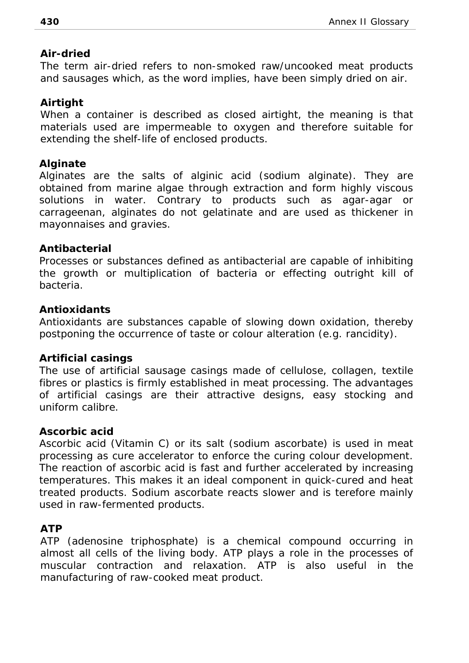# **Air-dried**

The term air-dried refers to non-smoked raw/uncooked meat products and sausages which, as the word implies, have been simply dried on air.

# **Airtight**

When a container is described as closed airtight, the meaning is that materials used are impermeable to oxygen and therefore suitable for extending the shelf-life of enclosed products.

# **Alginate**

Alginates are the salts of alginic acid (sodium alginate). They are obtained from marine algae through extraction and form highly viscous solutions in water. Contrary to products such as agar-agar or carrageenan, alginates do not gelatinate and are used as thickener in mayonnaises and gravies.

# **Antibacterial**

Processes or substances defined as antibacterial are capable of inhibiting the growth or multiplication of bacteria or effecting outright kill of bacteria.

# **Antioxidants**

Antioxidants are substances capable of slowing down oxidation, thereby postponing the occurrence of taste or colour alteration (e.g. rancidity).

# **Artificial casings**

The use of artificial sausage casings made of cellulose, collagen, textile fibres or plastics is firmly established in meat processing. The advantages of artificial casings are their attractive designs, easy stocking and uniform calibre.

# **Ascorbic acid**

Ascorbic acid (Vitamin C) or its salt (sodium ascorbate) is used in meat processing as cure accelerator to enforce the curing colour development. The reaction of ascorbic acid is fast and further accelerated by increasing temperatures. This makes it an ideal component in quick-cured and heat treated products. Sodium ascorbate reacts slower and is terefore mainly used in raw-fermented products.

# **ATP**

ATP (adenosine triphosphate) is a chemical compound occurring in almost all cells of the living body. ATP plays a role in the processes of muscular contraction and relaxation. ATP is also useful in the manufacturing of raw-cooked meat product.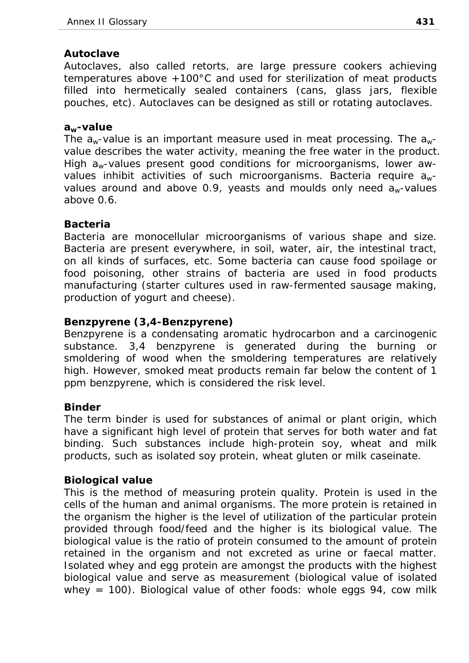# **Autoclave**

Autoclaves, also called retorts, are large pressure cookers achieving temperatures above +100°C and used for sterilization of meat products filled into hermetically sealed containers (cans, glass jars, flexible pouches, etc). Autoclaves can be designed as still or rotating autoclaves.

## **aw-value**

The  $a_w$ -value is an important measure used in meat processing. The  $a_w$ value describes the water activity, meaning the free water in the product. High  $a_w$ -values present good conditions for microorganisms, lower awvalues inhibit activities of such microorganisms. Bacteria require  $a_{w}$ values around and above 0.9, yeasts and moulds only need  $a<sub>w</sub>$ -values above 0.6.

# **Bacteria**

Bacteria are monocellular microorganisms of various shape and size. Bacteria are present everywhere, in soil, water, air, the intestinal tract, on all kinds of surfaces, etc. Some bacteria can cause food spoilage or food poisoning, other strains of bacteria are used in food products manufacturing (starter cultures used in raw-fermented sausage making, production of yogurt and cheese).

# **Benzpyrene (3,4-Benzpyrene)**

Benzpyrene is a condensating aromatic hydrocarbon and a carcinogenic substance. 3,4 benzpyrene is generated during the burning or smoldering of wood when the smoldering temperatures are relatively high. However, smoked meat products remain far below the content of 1 ppm benzpyrene, which is considered the risk level.

# **Binder**

The term binder is used for substances of animal or plant origin, which have a significant high level of protein that serves for both *water and fat binding*. Such substances include *high-protein soy, wheat and milk products*, such as isolated soy protein, wheat gluten or milk caseinate.

# **Biological value**

This is the method of measuring protein quality. Protein is used in the cells of the human and animal organisms. The more protein is retained in the organism the higher is the level of utilization of the particular protein provided through food/feed and the higher is its biological value. The biological value is the ratio of protein consumed to the amount of protein retained in the organism and not excreted as urine or faecal matter. Isolated whey and egg protein are amongst the products with the highest biological value and serve as measurement (biological value of isolated whey  $= 100$ ). Biological value of other foods: whole eggs 94, cow milk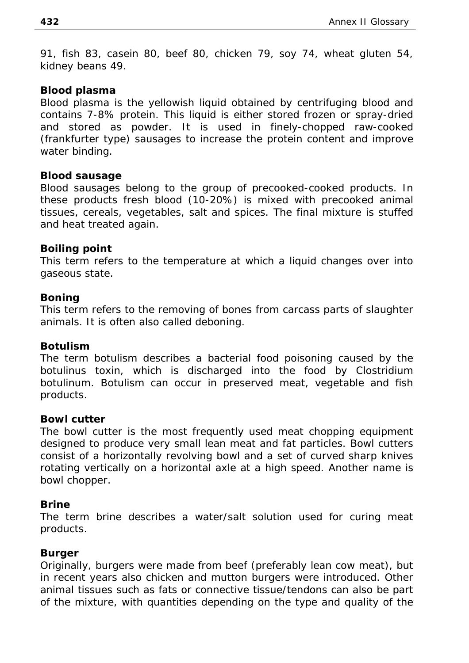91, fish 83, casein 80, beef 80, chicken 79, soy 74, wheat gluten 54, kidney beans 49.

#### **Blood plasma**

Blood plasma is the yellowish liquid obtained by centrifuging blood and contains 7-8% protein. This liquid is either stored frozen or spray-dried and stored as powder. It is used in finely-chopped raw-cooked (frankfurter type) sausages to increase the protein content and improve water binding.

#### **Blood sausage**

Blood sausages belong to the group of precooked-cooked products. In these products fresh blood (10-20%) is mixed with precooked animal tissues, cereals, vegetables, salt and spices. The final mixture is stuffed and heat treated again.

#### **Boiling point**

This term refers to the temperature at which a liquid changes over into gaseous state.

#### **Boning**

This term refers to the removing of bones from carcass parts of slaughter animals. It is often also called deboning.

#### **Botulism**

The term botulism describes a bacterial food poisoning caused by the botulinus toxin, which is discharged into the food by Clostridium botulinum. Botulism can occur in preserved meat, vegetable and fish products.

#### **Bowl cutter**

The bowl cutter is the most frequently used meat chopping equipment designed to produce very small lean meat and fat particles. Bowl cutters consist of a horizontally revolving bowl and a set of curved sharp knives rotating vertically on a horizontal axle at a high speed. Another name is bowl chopper.

# **Brine**

The term brine describes a water/salt solution used for curing meat products.

# **Burger**

Originally, burgers were made from *beef* (preferably lean cow meat), but in recent years also *chicken* and *mutton* burgers were introduced. Other animal tissues such as fats or connective tissue/tendons can also be part of the mixture, with quantities depending on the type and quality of the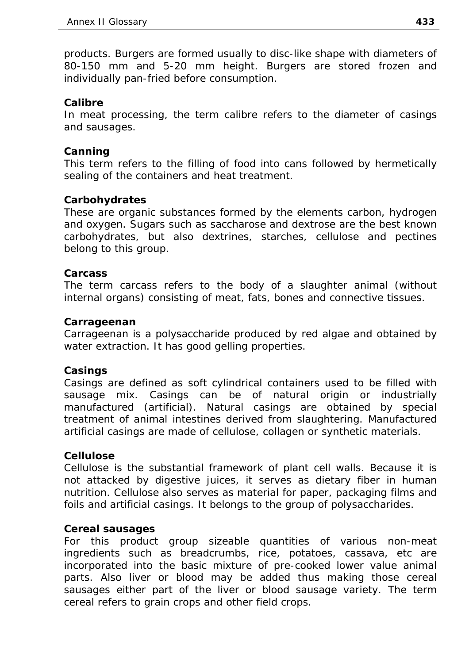products. Burgers are formed usually to disc-like shape with diameters of 80-150 mm and 5-20 mm height. Burgers are stored frozen and individually pan-fried before consumption.

# **Calibre**

In meat processing, the term calibre refers to the diameter of casings and sausages.

# **Canning**

This term refers to the filling of food into cans followed by hermetically sealing of the containers and heat treatment.

# **Carbohydrates**

These are organic substances formed by the elements carbon, hydrogen and oxygen. Sugars such as saccharose and dextrose are the best known carbohydrates, but also dextrines, starches, cellulose and pectines belong to this group.

# **Carcass**

The term carcass refers to the body of a slaughter animal (without internal organs) consisting of meat, fats, bones and connective tissues.

# **Carrageenan**

Carrageenan is a polysaccharide produced by red algae and obtained by water extraction. It has good gelling properties.

# **Casings**

Casings are defined as soft cylindrical containers used to be filled with sausage mix. Casings can be of natural origin or industrially manufactured (artificial). Natural casings are obtained by special treatment of animal intestines derived from slaughtering. Manufactured artificial casings are made of cellulose, collagen or synthetic materials.

# **Cellulose**

Cellulose is the substantial framework of plant cell walls. Because it is not attacked by digestive juices, it serves as dietary fiber in human nutrition. Cellulose also serves as material for paper, packaging films and foils and artificial casings. It belongs to the group of polysaccharides.

# **Cereal sausages**

For this product group sizeable quantities of various non-meat ingredients such as breadcrumbs, rice, potatoes, cassava, etc are incorporated into the basic mixture of pre-cooked lower value animal parts. Also liver or blood may be added thus making those cereal sausages either part of the liver or blood sausage variety. The term cereal refers to grain crops and other field crops.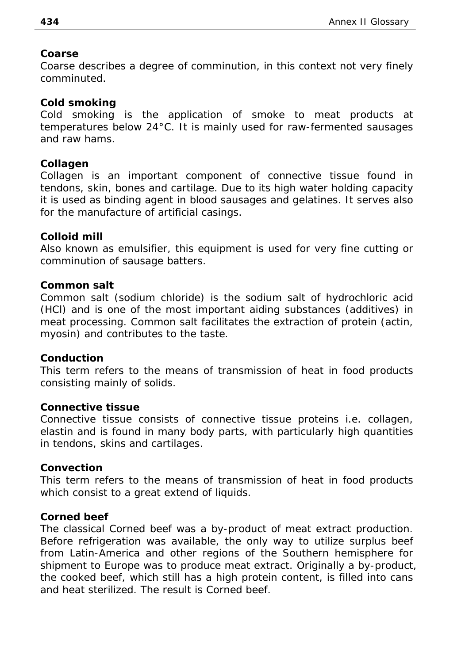#### **Coarse**

Coarse describes a degree of comminution, in this context not very finely comminuted.

#### **Cold smoking**

Cold smoking is the application of smoke to meat products at temperatures below 24°C. It is mainly used for raw-fermented sausages and raw hams.

#### **Collagen**

Collagen is an important component of connective tissue found in tendons, skin, bones and cartilage. Due to its high water holding capacity it is used as binding agent in blood sausages and gelatines. It serves also for the manufacture of artificial casings.

#### **Colloid mill**

Also known as emulsifier, this equipment is used for very fine cutting or comminution of sausage batters.

#### **Common salt**

Common salt (sodium chloride) is the sodium salt of hydrochloric acid (HCl) and is one of the most important aiding substances (additives) in meat processing. Common salt facilitates the extraction of protein (actin, myosin) and contributes to the taste.

#### **Conduction**

This term refers to the means of transmission of heat in food products consisting mainly of solids.

#### **Connective tissue**

Connective tissue consists of connective tissue proteins i.e. collagen, elastin and is found in many body parts, with particularly high quantities in tendons, skins and cartilages.

#### **Convection**

This term refers to the means of transmission of heat in food products which consist to a great extend of liquids.

#### **Corned beef**

The classical Corned beef was a by-product of meat extract production. Before refrigeration was available, the only way to utilize surplus beef from Latin-America and other regions of the Southern hemisphere for shipment to Europe was to produce meat extract. Originally a by-product, the cooked beef, which still has a high protein content, is filled into cans and heat sterilized. The result is Corned beef.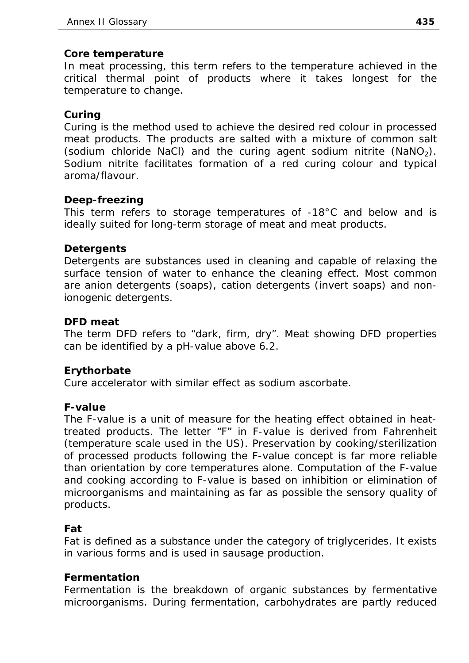# **Core temperature**

In meat processing, this term refers to the temperature achieved in the critical thermal point of products where it takes longest for the temperature to change.

# **Curing**

Curing is the method used to achieve the desired red colour in processed meat products. The products are salted with a mixture of common salt (sodium chloride NaCl) and the curing agent sodium nitrite (NaNO<sub>2</sub>). Sodium nitrite facilitates formation of a red curing colour and typical aroma/flavour.

# **Deep-freezing**

This term refers to storage temperatures of -18°C and below and is ideally suited for long-term storage of meat and meat products.

# **Detergents**

Detergents are substances used in cleaning and capable of relaxing the surface tension of water to enhance the cleaning effect. Most common are anion detergents (soaps), cation detergents (invert soaps) and nonionogenic detergents.

# **DFD meat**

The term DFD refers to "dark, firm, dry". Meat showing DFD properties can be identified by a pH-value above 6.2.

# **Erythorbate**

Cure accelerator with similar effect as sodium ascorbate.

# **F-value**

The F-value is a unit of measure for the heating effect obtained in heattreated products. The letter "F" in F-value is derived from Fahrenheit (temperature scale used in the US). Preservation by cooking/sterilization of processed products following the F-value concept is far more reliable than orientation by core temperatures alone. Computation of the F-value and cooking according to F-value is based on inhibition or elimination of microorganisms and maintaining as far as possible the sensory quality of products.

# **Fat**

Fat is defined as a substance under the category of triglycerides. It exists in various forms and is used in sausage production.

# **Fermentation**

Fermentation is the breakdown of organic substances by fermentative microorganisms. During fermentation, carbohydrates are partly reduced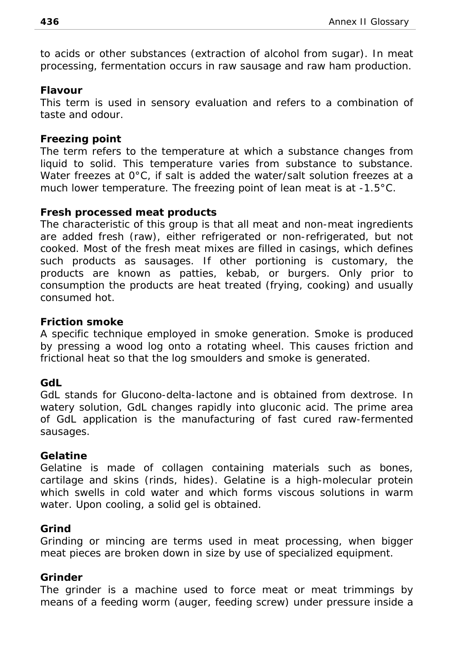to acids or other substances (extraction of alcohol from sugar). In meat processing, fermentation occurs in raw sausage and raw ham production.

#### **Flavour**

This term is used in sensory evaluation and refers to a combination of taste and odour.

## **Freezing point**

The term refers to the temperature at which a substance changes from liquid to solid. This temperature varies from substance to substance. Water freezes at  $0^{\circ}$ C, if salt is added the water/salt solution freezes at a much lower temperature. The freezing point of lean meat is at -1.5°C.

#### **Fresh processed meat products**

The characteristic of this group is that all meat and non-meat ingredients are added fresh (raw), either refrigerated or non-refrigerated, but not cooked. Most of the fresh meat mixes are filled in casings, which defines such products as sausages. If other portioning is customary, the products are known as patties, kebab, or burgers. Only prior to consumption the products are heat treated (frying, cooking) and usually consumed hot.

#### **Friction smoke**

A specific technique employed in smoke generation. Smoke is produced by pressing a wood log onto a rotating wheel. This causes friction and frictional heat so that the log smoulders and smoke is generated.

# **GdL**

GdL stands for Glucono-delta-lactone and is obtained from dextrose. In watery solution, GdL changes rapidly into gluconic acid. The prime area of GdL application is the manufacturing of fast cured raw-fermented sausages.

#### **Gelatine**

Gelatine is made of collagen containing materials such as bones, cartilage and skins (rinds, hides). Gelatine is a high-molecular protein which swells in cold water and which forms viscous solutions in warm water. Upon cooling, a solid gel is obtained.

# **Grind**

Grinding or mincing are terms used in meat processing, when bigger meat pieces are broken down in size by use of specialized equipment.

# **Grinder**

The grinder is a machine used to force meat or meat trimmings by means of a feeding worm (auger, feeding screw) under pressure inside a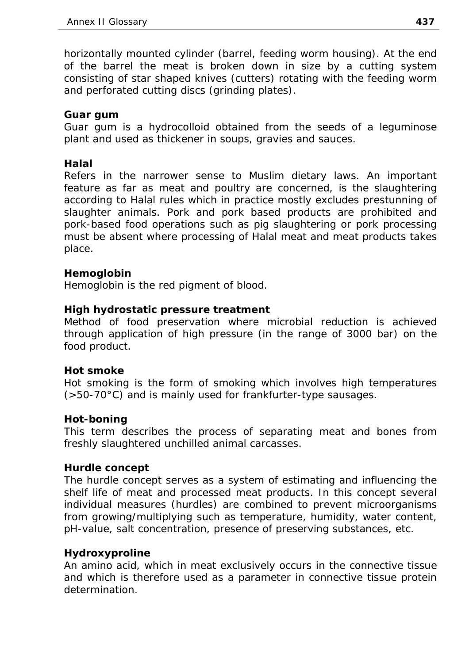horizontally mounted cylinder (barrel, feeding worm housing). At the end of the barrel the meat is broken down in size by a cutting system consisting of star shaped knives (cutters) rotating with the feeding worm and perforated cutting discs (grinding plates).

# **Guar gum**

Guar gum is a hydrocolloid obtained from the seeds of a leguminose plant and used as thickener in soups, gravies and sauces.

# **Halal**

Refers in the narrower sense to Muslim dietary laws. An important feature as far as meat and poultry are concerned, is the slaughtering according to Halal rules which in practice mostly excludes prestunning of slaughter animals. Pork and pork based products are prohibited and pork-based food operations such as pig slaughtering or pork processing must be absent where processing of Halal meat and meat products takes place.

#### **Hemoglobin**

Hemoglobin is the red pigment of blood.

#### **High hydrostatic pressure treatment**

Method of food preservation where microbial reduction is achieved through application of high pressure (in the range of 3000 bar) on the food product.

#### **Hot smoke**

Hot smoking is the form of smoking which involves high temperatures (>50-70°C) and is mainly used for frankfurter-type sausages.

# **Hot-boning**

This term describes the process of separating meat and bones from freshly slaughtered unchilled animal carcasses.

#### **Hurdle concept**

The hurdle concept serves as a system of estimating and influencing the shelf life of meat and processed meat products. In this concept several individual measures (hurdles) are combined to prevent microorganisms from growing/multiplying such as temperature, humidity, water content, pH-value, salt concentration, presence of preserving substances, etc.

#### **Hydroxyproline**

An amino acid, which in meat exclusively occurs in the connective tissue and which is therefore used as a parameter in connective tissue protein determination.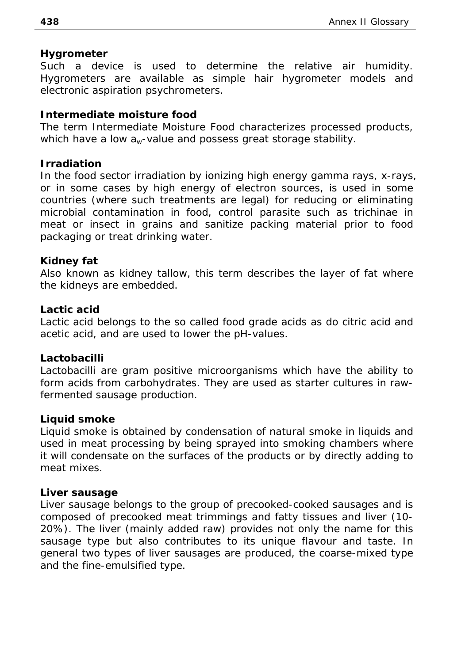#### **Hygrometer**

Such a device is used to determine the relative air humidity. Hygrometers are available as simple hair hygrometer models and electronic aspiration psychrometers.

## **Intermediate moisture food**

The term Intermediate Moisture Food characterizes processed products, which have a low  $a_w$ -value and possess great storage stability.

## **Irradiation**

In the food sector irradiation by ionizing high energy gamma rays, x-rays, or in some cases by high energy of electron sources, is used in some countries (where such treatments are legal) for reducing or eliminating microbial contamination in food, control parasite such as trichinae in meat or insect in grains and sanitize packing material prior to food packaging or treat drinking water.

#### **Kidney fat**

Also known as kidney tallow, this term describes the layer of fat where the kidneys are embedded.

#### **Lactic acid**

Lactic acid belongs to the so called food grade acids as do citric acid and acetic acid, and are used to lower the pH-values.

#### **Lactobacilli**

Lactobacilli are gram positive microorganisms which have the ability to form acids from carbohydrates. They are used as starter cultures in rawfermented sausage production.

# **Liquid smoke**

Liquid smoke is obtained by condensation of natural smoke in liquids and used in meat processing by being sprayed into smoking chambers where it will condensate on the surfaces of the products or by directly adding to meat mixes.

# **Liver sausage**

Liver sausage belongs to the group of precooked-cooked sausages and is composed of precooked meat trimmings and fatty tissues and liver (10- 20%). The liver (mainly added raw) provides not only the name for this sausage type but also contributes to its unique flavour and taste. In general two types of liver sausages are produced, the coarse-mixed type and the fine-emulsified type.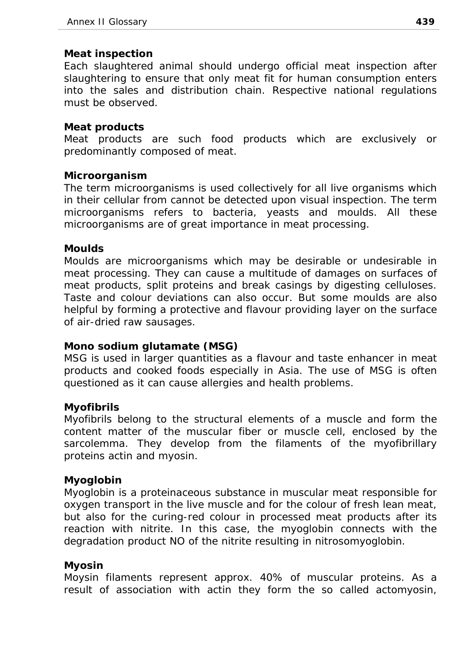# **Meat inspection**

Each slaughtered animal should undergo official meat inspection after slaughtering to ensure that only meat fit for human consumption enters into the sales and distribution chain. Respective national regulations must be observed.

# **Meat products**

Meat products are such food products which are exclusively or predominantly composed of meat.

# **Microorganism**

The term microorganisms is used collectively for all live organisms which in their cellular from cannot be detected upon visual inspection. The term microorganisms refers to bacteria, yeasts and moulds. All these microorganisms are of great importance in meat processing.

# **Moulds**

Moulds are microorganisms which may be desirable or undesirable in meat processing. They can cause a multitude of damages on surfaces of meat products, split proteins and break casings by digesting celluloses. Taste and colour deviations can also occur. But some moulds are also helpful by forming a protective and flavour providing layer on the surface of air-dried raw sausages.

# **Mono sodium glutamate (MSG)**

MSG is used in larger quantities as a flavour and taste enhancer in meat products and cooked foods especially in Asia. The use of MSG is often questioned as it can cause allergies and health problems.

# **Myofibrils**

Myofibrils belong to the structural elements of a muscle and form the content matter of the muscular fiber or muscle cell, enclosed by the sarcolemma. They develop from the filaments of the myofibrillary proteins actin and myosin.

# **Myoglobin**

Myoglobin is a proteinaceous substance in muscular meat responsible for oxygen transport in the live muscle and for the colour of fresh lean meat, but also for the curing-red colour in processed meat products after its reaction with nitrite. In this case, the myoglobin connects with the degradation product NO of the nitrite resulting in nitrosomyoglobin.

# **Myosin**

Moysin filaments represent approx. 40% of muscular proteins. As a result of association with actin they form the so called actomyosin,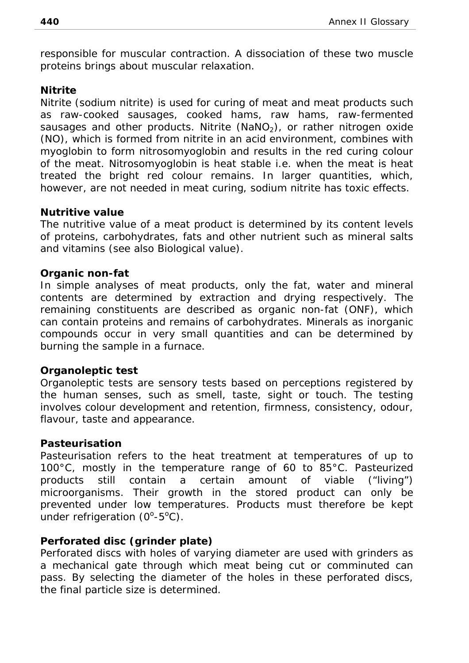responsible for muscular contraction. A dissociation of these two muscle proteins brings about muscular relaxation.

#### **Nitrite**

Nitrite (sodium nitrite) is used for curing of meat and meat products such as raw-cooked sausages, cooked hams, raw hams, raw-fermented sausages and other products. Nitrite (NaNO<sub>2</sub>), or rather nitrogen oxide (NO), which is formed from nitrite in an acid environment, combines with myoglobin to form nitrosomyoglobin and results in the red curing colour of the meat. Nitrosomyoglobin is heat stable i.e. when the meat is heat treated the bright red colour remains. In larger quantities, which, however, are not needed in meat curing, sodium nitrite has toxic effects.

#### **Nutritive value**

The nutritive value of a meat product is determined by its content levels of proteins, carbohydrates, fats and other nutrient such as mineral salts and vitamins (see also Biological value).

#### **Organic non-fat**

In simple analyses of meat products, only the fat, water and mineral contents are determined by extraction and drying respectively. The remaining constituents are described as organic non-fat (ONF), which can contain proteins and remains of carbohydrates. Minerals as inorganic compounds occur in very small quantities and can be determined by burning the sample in a furnace.

#### **Organoleptic test**

Organoleptic tests are sensory tests based on perceptions registered by the human senses, such as smell, taste, sight or touch. The testing involves colour development and retention, firmness, consistency, odour, flavour, taste and appearance.

#### **Pasteurisation**

Pasteurisation refers to the heat treatment at temperatures of up to 100°C, mostly in the temperature range of 60 to 85°C. Pasteurized products still contain a certain amount of viable ("living") microorganisms. Their growth in the stored product can only be prevented under low temperatures. Products must therefore be kept under refrigeration  $(0^{\circ} - 5^{\circ}C)$ .

# **Perforated disc (grinder plate)**

Perforated discs with holes of varying diameter are used with grinders as a mechanical gate through which meat being cut or comminuted can pass. By selecting the diameter of the holes in these perforated discs, the final particle size is determined.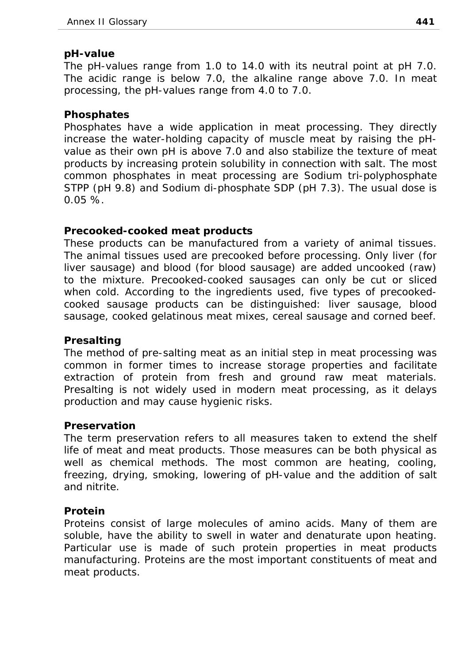## **pH-value**

The pH-values range from 1.0 to 14.0 with its neutral point at pH 7.0. The acidic range is below 7.0, the alkaline range above 7.0. In meat processing, the pH-values range from 4.0 to 7.0.

## **Phosphates**

Phosphates have a wide application in meat processing. They directly increase the water-holding capacity of muscle meat by raising the pHvalue as their own pH is above 7.0 and also stabilize the texture of meat products by increasing protein solubility in connection with salt. The most common phosphates in meat processing are Sodium tri-polyphosphate STPP (pH 9.8) and Sodium di-phosphate SDP (pH 7.3). The usual dose is 0.05 %.

## **Precooked-cooked meat products**

These products can be manufactured from a variety of animal tissues. The animal tissues used are precooked before processing. Only liver (for liver sausage) and blood (for blood sausage) are added uncooked (raw) to the mixture. Precooked-cooked sausages can only be cut or sliced when cold. According to the ingredients used, five types of precookedcooked sausage products can be distinguished: liver sausage, blood sausage, cooked gelatinous meat mixes, cereal sausage and corned beef.

## **Presalting**

The method of pre-salting meat as an initial step in meat processing was common in former times to increase storage properties and facilitate extraction of protein from fresh and ground raw meat materials. Presalting is not widely used in modern meat processing, as it delays production and may cause hygienic risks.

## **Preservation**

The term preservation refers to all measures taken to extend the shelf life of meat and meat products. Those measures can be both physical as well as chemical methods. The most common are heating, cooling, freezing, drying, smoking, lowering of pH-value and the addition of salt and nitrite.

## **Protein**

Proteins consist of large molecules of amino acids. Many of them are soluble, have the ability to swell in water and denaturate upon heating. Particular use is made of such protein properties in meat products manufacturing. Proteins are the most important constituents of meat and meat products.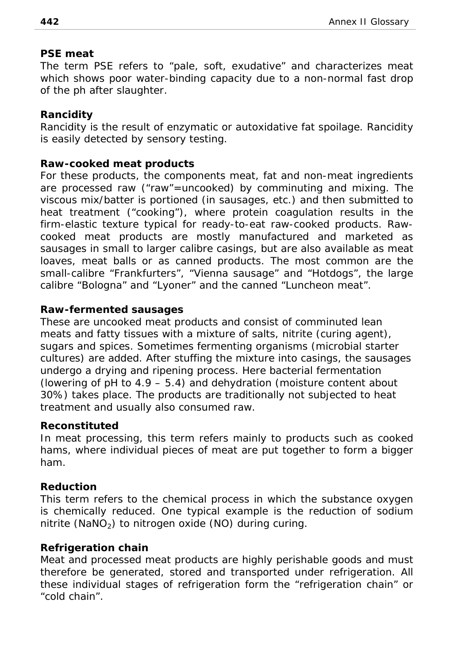### **PSE meat**

The term PSE refers to "pale, soft, exudative" and characterizes meat which shows poor water-binding capacity due to a non-normal fast drop of the ph after slaughter.

## **Rancidity**

Rancidity is the result of enzymatic or autoxidative fat spoilage. Rancidity is easily detected by sensory testing.

#### **Raw-cooked meat products**

For these products, the components meat, fat and non-meat ingredients are processed raw ("raw"=uncooked) by comminuting and mixing. The viscous mix/batter is portioned (in sausages, etc.) and then submitted to heat treatment ("cooking"), where protein coagulation results in the firm-elastic texture typical for ready-to-eat raw-cooked products. Rawcooked meat products are mostly manufactured and marketed as sausages in small to larger calibre casings, but are also available as meat loaves, meat balls or as canned products. The most common are the small-calibre "Frankfurters", "Vienna sausage" and "Hotdogs", the large calibre "Bologna" and "Lyoner" and the canned "Luncheon meat".

#### **Raw-fermented sausages**

These are uncooked meat products and consist of comminuted lean meats and fatty tissues with a mixture of salts, nitrite (curing agent), sugars and spices. Sometimes fermenting organisms (microbial starter cultures) are added. After stuffing the mixture into casings, the sausages undergo a drying and ripening process. Here bacterial fermentation (lowering of  $pH$  to  $4.9 - 5.4$ ) and dehydration (moisture content about 30%) takes place. The products are traditionally not subjected to heat treatment and usually also consumed raw.

#### **Reconstituted**

In meat processing, this term refers mainly to products such as cooked hams, where individual pieces of meat are put together to form a bigger ham.

#### **Reduction**

This term refers to the chemical process in which the substance oxygen is chemically reduced. One typical example is the reduction of sodium nitrite (NaNO<sub>2</sub>) to nitrogen oxide (NO) during curing.

## **Refrigeration chain**

Meat and processed meat products are highly perishable goods and must therefore be generated, stored and transported under refrigeration. All these individual stages of refrigeration form the "refrigeration chain" or "cold chain".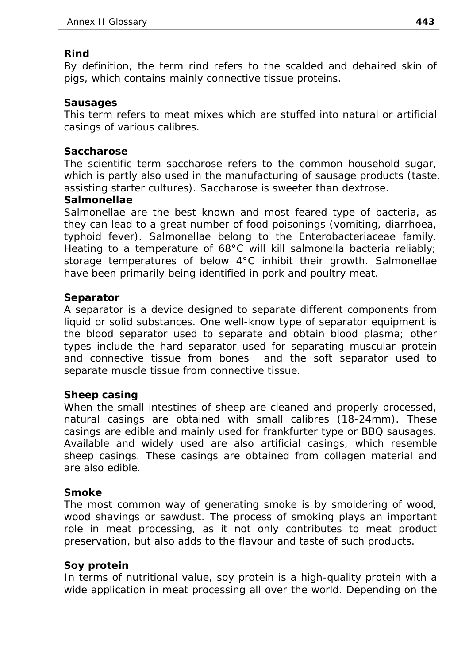## **Rind**

By definition, the term rind refers to the scalded and dehaired skin of pigs, which contains mainly connective tissue proteins.

## **Sausages**

This term refers to meat mixes which are stuffed into natural or artificial casings of various calibres.

## **Saccharose**

The scientific term saccharose refers to the common household sugar, which is partly also used in the manufacturing of sausage products (taste, assisting starter cultures). Saccharose is sweeter than dextrose.

## **Salmonellae**

Salmonellae are the best known and most feared type of bacteria, as they can lead to a great number of food poisonings (vomiting, diarrhoea, typhoid fever). Salmonellae belong to the Enterobacteriaceae family. Heating to a temperature of 68°C will kill salmonella bacteria reliably; storage temperatures of below 4°C inhibit their growth. Salmonellae have been primarily being identified in pork and poultry meat.

## **Separator**

A separator is a device designed to separate different components from liquid or solid substances. One well-know type of separator equipment is the blood separator used to separate and obtain blood plasma; other types include the hard separator used for separating muscular protein and connective tissue from bones and the soft separator used to separate muscle tissue from connective tissue.

## **Sheep casing**

When the small intestines of sheep are cleaned and properly processed, natural casings are obtained with small calibres (18-24mm). These casings are edible and mainly used for frankfurter type or BBQ sausages. Available and widely used are also artificial casings, which resemble sheep casings. These casings are obtained from collagen material and are also edible.

## **Smoke**

The most common way of generating smoke is by smoldering of wood, wood shavings or sawdust. The process of smoking plays an important role in meat processing, as it not only contributes to meat product preservation, but also adds to the flavour and taste of such products.

## **Soy protein**

In terms of nutritional value, soy protein is a high-quality protein with a wide application in meat processing all over the world. Depending on the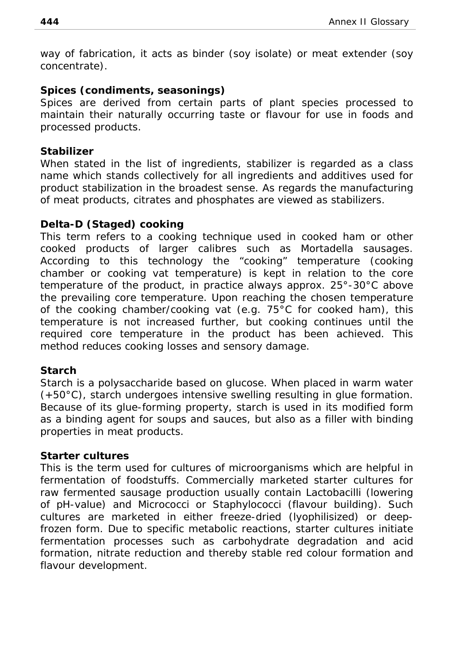way of fabrication, it acts as binder (soy isolate) or meat extender (soy concentrate).

### **Spices (condiments, seasonings)**

Spices are derived from certain parts of plant species processed to maintain their naturally occurring taste or flavour for use in foods and processed products.

#### **Stabilizer**

When stated in the list of ingredients, stabilizer is regarded as a class name which stands collectively for all ingredients and additives used for product stabilization in the broadest sense. As regards the manufacturing of meat products, citrates and phosphates are viewed as stabilizers.

#### **Delta-D (Staged) cooking**

This term refers to a cooking technique used in cooked ham or other cooked products of larger calibres such as Mortadella sausages. According to this technology the "cooking" temperature (cooking chamber or cooking vat temperature) is kept in relation to the core temperature of the product, in practice always approx. 25°-30°C above the prevailing core temperature. Upon reaching the chosen temperature of the cooking chamber/cooking vat (e.g. 75°C for cooked ham), this temperature is not increased further, but cooking continues until the required core temperature in the product has been achieved. This method reduces cooking losses and sensory damage.

#### **Starch**

Starch is a polysaccharide based on glucose. When placed in warm water (+50°C), starch undergoes intensive swelling resulting in glue formation. Because of its glue-forming property, starch is used in its modified form as a binding agent for soups and sauces, but also as a filler with binding properties in meat products.

#### **Starter cultures**

This is the term used for cultures of microorganisms which are helpful in fermentation of foodstuffs. Commercially marketed starter cultures for raw fermented sausage production usually contain *Lactobacilli* (lowering of pH-value) and *Micrococci* or *Staphylococci* (flavour building). Such cultures are marketed in either freeze-dried (lyophilisized) or deepfrozen form. Due to specific metabolic reactions, starter cultures initiate fermentation processes such as carbohydrate degradation and acid formation, nitrate reduction and thereby stable red colour formation and flavour development.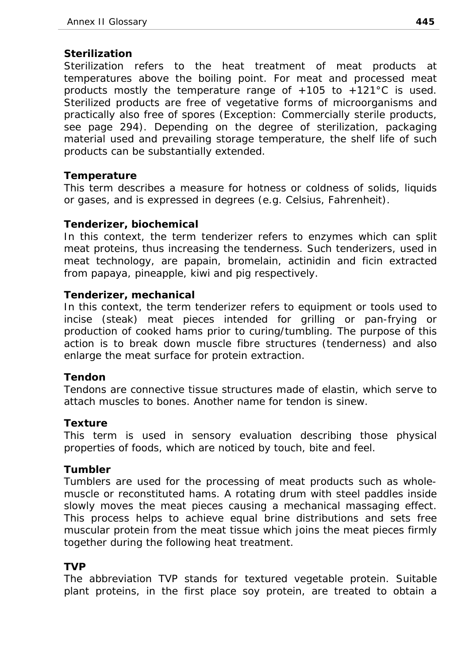## **Sterilization**

Sterilization refers to the heat treatment of meat products at temperatures above the boiling point. For meat and processed meat products mostly the temperature range of  $+105$  to  $+121^{\circ}$ C is used. Sterilized products are free of vegetative forms of microorganisms and practically also free of spores (Exception: Commercially sterile products, see page 294). Depending on the degree of sterilization, packaging material used and prevailing storage temperature, the shelf life of such products can be substantially extended.

## **Temperature**

This term describes a measure for hotness or coldness of solids, liquids or gases, and is expressed in degrees (e.g. Celsius, Fahrenheit).

## **Tenderizer, biochemical**

In this context, the term tenderizer refers to enzymes which can split meat proteins, thus increasing the tenderness. Such tenderizers, used in meat technology, are papain, bromelain, actinidin and ficin extracted from papaya, pineapple, kiwi and pig respectively.

## **Tenderizer, mechanical**

In this context, the term tenderizer refers to equipment or tools used to incise (steak) meat pieces intended for grilling or pan-frying or production of cooked hams prior to curing/tumbling. The purpose of this action is to break down muscle fibre structures (tenderness) and also enlarge the meat surface for protein extraction.

## **Tendon**

Tendons are connective tissue structures made of elastin, which serve to attach muscles to bones. Another name for tendon is sinew.

## **Texture**

This term is used in sensory evaluation describing those physical properties of foods, which are noticed by touch, bite and feel.

## **Tumbler**

Tumblers are used for the processing of meat products such as wholemuscle or reconstituted hams. A rotating drum with steel paddles inside slowly moves the meat pieces causing a mechanical massaging effect. This process helps to achieve equal brine distributions and sets free muscular protein from the meat tissue which joins the meat pieces firmly together during the following heat treatment.

## **TVP**

The abbreviation TVP stands for textured vegetable protein. Suitable plant proteins, in the first place soy protein, are treated to obtain a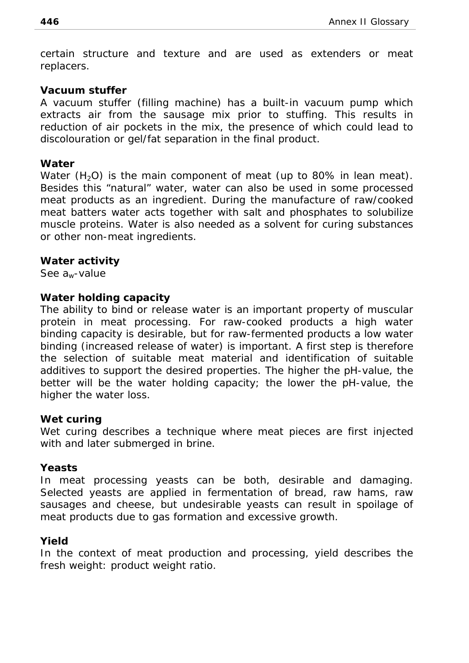certain structure and texture and are used as extenders or meat replacers.

#### **Vacuum stuffer**

A vacuum stuffer (filling machine) has a built-in vacuum pump which extracts air from the sausage mix prior to stuffing. This results in reduction of air pockets in the mix, the presence of which could lead to discolouration or gel/fat separation in the final product.

#### **Water**

Water (H<sub>2</sub>O) is the main component of meat (up to 80% in lean meat). Besides this "natural" water, water can also be used in some processed meat products as an ingredient. During the manufacture of raw/cooked meat batters water acts together with salt and phosphates to solubilize muscle proteins. Water is also needed as a solvent for curing substances or other non-meat ingredients.

#### **Water activity**

See aw-value

#### **Water holding capacity**

The ability to bind or release water is an important property of muscular protein in meat processing. For raw-cooked products a high water binding capacity is desirable, but for raw-fermented products a low water binding (increased release of water) is important. A first step is therefore the selection of suitable meat material and identification of suitable additives to support the desired properties. The higher the pH-value, the better will be the water holding capacity; the lower the pH-value, the higher the water loss.

#### **Wet curing**

Wet curing describes a technique where meat pieces are first injected with and later submerged in brine.

## **Yeasts**

In meat processing yeasts can be both, desirable and damaging. Selected yeasts are applied in fermentation of bread, raw hams, raw sausages and cheese, but undesirable yeasts can result in spoilage of meat products due to gas formation and excessive growth.

#### **Yield**

In the context of meat production and processing, yield describes the fresh weight: product weight ratio.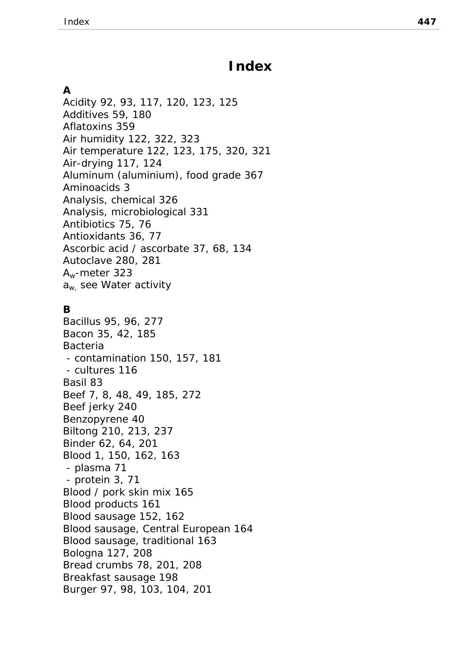# **Index**

# **A**

Acidity 92, 93, 117, 120, 123, 125 Additives 59, 180 Aflatoxins 359 Air humidity 122, 322, 323 Air temperature 122, 123, 175, 320, 321 Air-drying 117, 124 Aluminum (aluminium), food grade 367 Aminoacids 3 Analysis, chemical 326 Analysis, microbiological 331 Antibiotics 75, 76 Antioxidants 36, 77 Ascorbic acid / ascorbate 37, 68, 134 Autoclave 280, 281 Aw-meter 323  $a_{w}$  see Water activity

## **B**

Bacillus 95, 96, 277 Bacon 35, 42, 185 Bacteria - contamination 150, 157, 181 - cultures 116 Basil 83 Beef 7, 8, 48, 49, 185, 272 Beef jerky 240 Benzopyrene 40 Biltong 210, 213, 237 Binder 62, 64, 201 Blood 1, 150, 162, 163 - plasma 71 - protein 3, 71 Blood / pork skin mix 165 Blood products 161 Blood sausage 152, 162 Blood sausage, Central European 164 Blood sausage, traditional 163 Bologna 127, 208 Bread crumbs 78, 201, 208 Breakfast sausage 198 Burger 97, 98, 103, 104, 201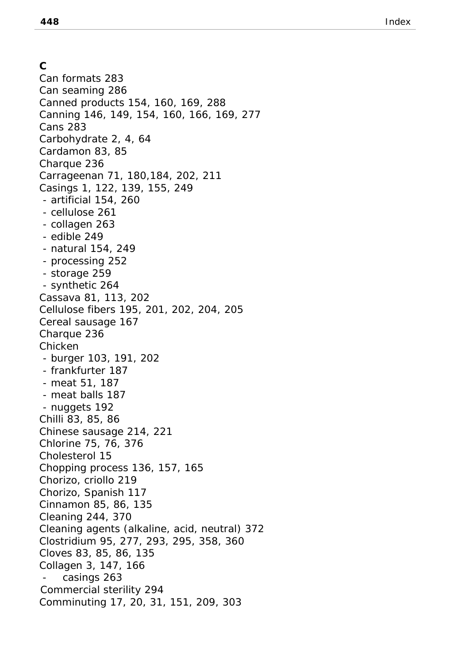**C** 

Can formats 283 Can seaming 286 Canned products 154, 160, 169, 288 Canning 146, 149, 154, 160, 166, 169, 277 Cans 283 Carbohydrate 2, 4, 64 Cardamon 83, 85 Charque 236 Carrageenan 71, 180,184, 202, 211 Casings 1, 122, 139, 155, 249 - artificial 154, 260 - cellulose 261 - collagen 263 - edible 249 - natural 154, 249 - processing 252 - storage 259 - synthetic 264 Cassava 81, 113, 202 Cellulose fibers 195, 201, 202, 204, 205 Cereal sausage 167 Charque 236 Chicken - burger 103, 191, 202 - frankfurter 187 - meat 51, 187 - meat balls 187 - nuggets 192 Chilli 83, 85, 86 Chinese sausage 214, 221 Chlorine 75, 76, 376 Cholesterol 15 Chopping process 136, 157, 165 Chorizo, criollo 219 Chorizo, Spanish 117 Cinnamon 85, 86, 135 Cleaning 244, 370 Cleaning agents (alkaline, acid, neutral) 372 Clostridium 95, 277, 293, 295, 358, 360 Cloves 83, 85, 86, 135 Collagen 3, 147, 166<br>- casings 263 Commercial sterility 294 Comminuting 17, 20, 31, 151, 209, 303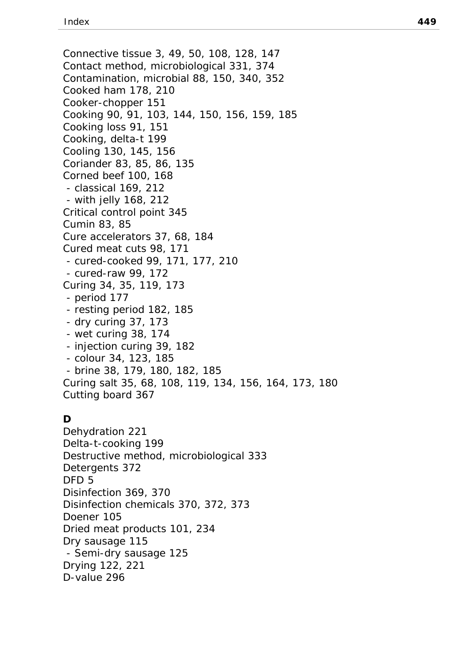Connective tissue 3, 49, 50, 108, 128, 147 Contact method, microbiological 331, 374 Contamination, microbial 88, 150, 340, 352 Cooked ham 178, 210 Cooker-chopper 151 Cooking 90, 91, 103, 144, 150, 156, 159, 185 Cooking loss 91, 151 Cooking, delta-t 199 Cooling 130, 145, 156 Coriander 83, 85, 86, 135 Corned beef 100, 168 - classical 169, 212 - with jelly 168, 212 Critical control point 345 Cumin 83, 85 Cure accelerators 37, 68, 184 Cured meat cuts 98, 171 - cured-cooked 99, 171, 177, 210 - cured-raw 99, 172 Curing 34, 35, 119, 173 - period 177 - resting period 182, 185 - dry curing 37, 173 - wet curing 38, 174 - injection curing 39, 182 - colour 34, 123, 185 - brine 38, 179, 180, 182, 185 Curing salt 35, 68, 108, 119, 134, 156, 164, 173, 180 Cutting board 367

# **D**

Dehydration 221 Delta-t-cooking 199 Destructive method, microbiological 333 Detergents 372 DFD<sub>5</sub> Disinfection 369, 370 Disinfection chemicals 370, 372, 373 Doener 105 Dried meat products 101, 234 Dry sausage 115 - Semi-dry sausage 125 Drying 122, 221 D-value 296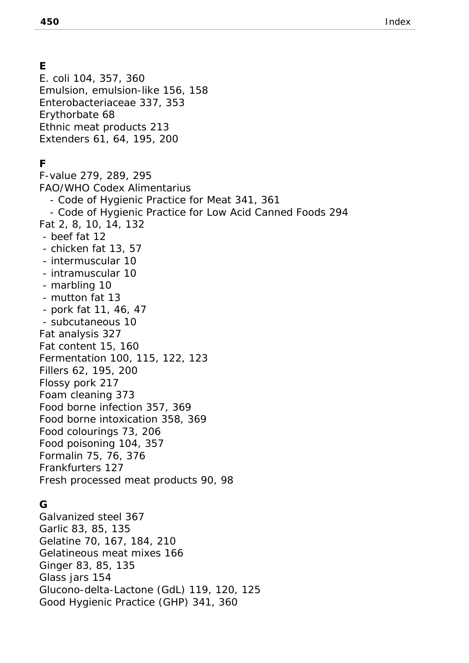## **E**

E. coli 104, 357, 360 Emulsion, emulsion-like 156, 158 Enterobacteriaceae 337, 353 Erythorbate 68 Ethnic meat products 213 Extenders 61, 64, 195, 200

# **F**

F-value 279, 289, 295 FAO/WHO Codex Alimentarius - Code of Hygienic Practice for Meat 341, 361 - Code of Hygienic Practice for Low Acid Canned Foods 294 Fat 2, 8, 10, 14, 132 - beef fat 12 - chicken fat 13, 57 - intermuscular 10 - intramuscular 10 - marbling 10 - mutton fat 13 - pork fat 11, 46, 47 - subcutaneous 10 Fat analysis 327 Fat content 15, 160 Fermentation 100, 115, 122, 123 Fillers 62, 195, 200 Flossy pork 217 Foam cleaning 373 Food borne infection 357, 369 Food borne intoxication 358, 369 Food colourings 73, 206 Food poisoning 104, 357 Formalin 75, 76, 376 Frankfurters 127 Fresh processed meat products 90, 98

## **G**

Galvanized steel 367 Garlic 83, 85, 135 Gelatine 70, 167, 184, 210 Gelatineous meat mixes 166 Ginger 83, 85, 135 Glass jars 154 Glucono-delta-Lactone (GdL) 119, 120, 125 Good Hygienic Practice (GHP) 341, 360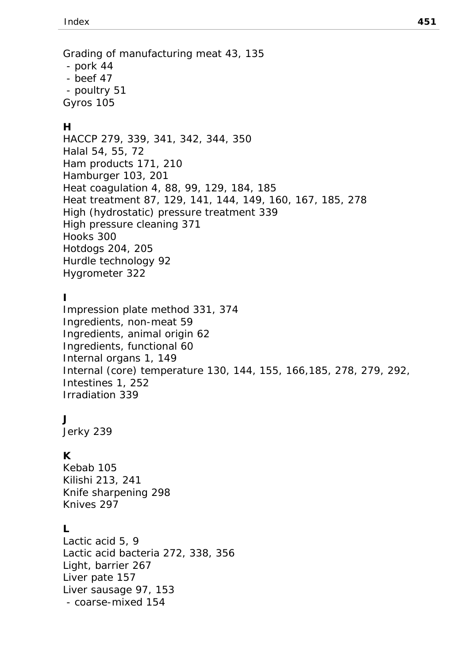Grading of manufacturing meat 43, 135 - pork 44 - beef 47 - poultry 51 Gyros 105

#### **H**

HACCP 279, 339, 341, 342, 344, 350 Halal 54, 55, 72 Ham products 171, 210 Hamburger 103, 201 Heat coagulation 4, 88, 99, 129, 184, 185 Heat treatment 87, 129, 141, 144, 149, 160, 167, 185, 278 High (hydrostatic) pressure treatment 339 High pressure cleaning 371 Hooks 300 Hotdogs 204, 205 Hurdle technology 92 Hygrometer 322

## **I**

Impression plate method 331, 374 Ingredients, non-meat 59 Ingredients, animal origin 62 Ingredients, functional 60 Internal organs 1, 149 Internal (core) temperature 130, 144, 155, 166,185, 278, 279, 292, Intestines 1, 252 Irradiation 339

## **J**

Jerky 239

#### **K**

Kebab 105 Kilishi 213, 241 Knife sharpening 298 Knives 297

#### **L**

Lactic acid 5, 9 Lactic acid bacteria 272, 338, 356 Light, barrier 267 Liver pate 157 Liver sausage 97, 153 - coarse-mixed 154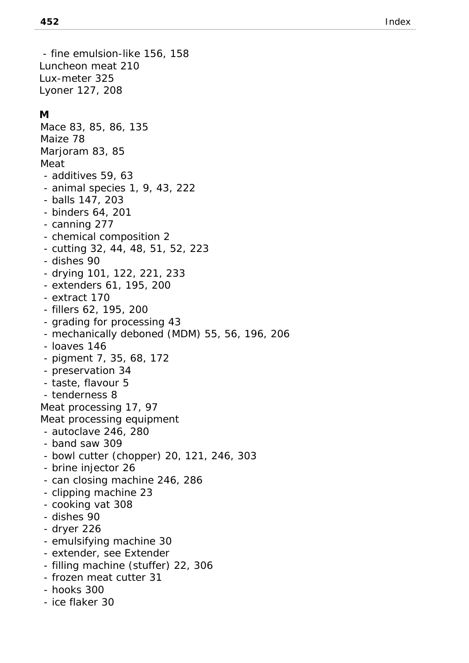- fine emulsion-like 156, 158 Luncheon meat 210 Lux-meter 325 Lyoner 127, 208

## **M**

Mace 83, 85, 86, 135 Maize 78 Marjoram 83, 85 Meat - additives 59, 63 - animal species 1, 9, 43, 222 - balls 147, 203 - binders 64, 201 - canning 277 - chemical composition 2 - cutting 32, 44, 48, 51, 52, 223 - dishes 90 - drying 101, 122, 221, 233 - extenders 61, 195, 200 - extract 170 - fillers 62, 195, 200 - grading for processing 43 - mechanically deboned (MDM) 55, 56, 196, 206 - loaves 146 - pigment 7, 35, 68, 172 - preservation 34 - taste, flavour 5 - tenderness 8 Meat processing 17, 97 Meat processing equipment - autoclave 246, 280 - band saw 309 - bowl cutter (chopper) 20, 121, 246, 303 - brine injector 26 - can closing machine 246, 286 - clipping machine 23 - cooking vat 308 - dishes 90 - dryer 226 - emulsifying machine 30 - extender, see Extender - filling machine (stuffer) 22, 306 - frozen meat cutter 31 - hooks 300

- ice flaker 30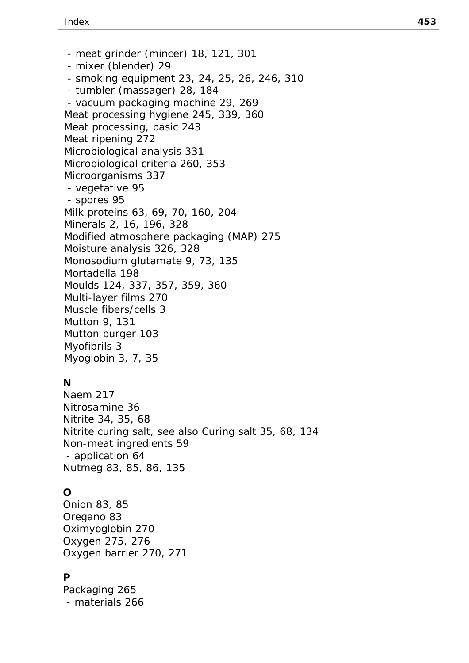- meat grinder (mincer) 18, 121, 301 - mixer (blender) 29 - smoking equipment 23, 24, 25, 26, 246, 310 - tumbler (massager) 28, 184 - vacuum packaging machine 29, 269 Meat processing hygiene 245, 339, 360 Meat processing, basic 243 Meat ripening 272 Microbiological analysis 331 Microbiological criteria 260, 353 Microorganisms 337 - vegetative 95 - spores 95 Milk proteins 63, 69, 70, 160, 204 Minerals 2, 16, 196, 328 Modified atmosphere packaging (MAP) 275 Moisture analysis 326, 328 Monosodium glutamate 9, 73, 135 Mortadella 198 Moulds 124, 337, 357, 359, 360 Multi-layer films 270 Muscle fibers/cells 3 Mutton 9, 131 Mutton burger 103 Myofibrils 3 Myoglobin 3, 7, 35

## **N**

Naem 217 Nitrosamine 36 Nitrite 34, 35, 68 Nitrite curing salt, see also Curing salt 35, 68, 134 Non-meat ingredients 59 - application 64 Nutmeg 83, 85, 86, 135

## **O**

Onion 83, 85 Oregano 83 Oximyoglobin 270 Oxygen 275, 276 Oxygen barrier 270, 271

## **P**

Packaging 265 - materials 266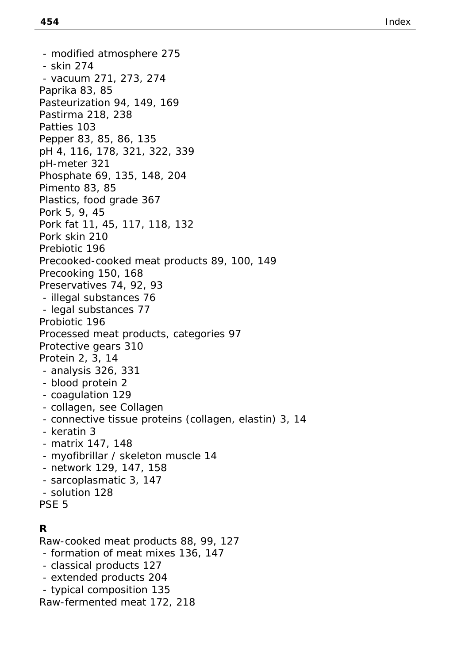- modified atmosphere 275 - skin 274 - vacuum 271, 273, 274 Paprika 83, 85 Pasteurization 94, 149, 169 Pastirma 218, 238 Patties 103 Pepper 83, 85, 86, 135 pH 4, 116, 178, 321, 322, 339 pH-meter 321 Phosphate 69, 135, 148, 204 Pimento 83, 85 Plastics, food grade 367 Pork 5, 9, 45 Pork fat 11, 45, 117, 118, 132 Pork skin 210 Prebiotic 196 Precooked-cooked meat products 89, 100, 149 Precooking 150, 168 Preservatives 74, 92, 93 - illegal substances 76 - legal substances 77 Probiotic 196 Processed meat products, categories 97 Protective gears 310 Protein 2, 3, 14 - analysis 326, 331 - blood protein 2 - coagulation 129 - collagen, see Collagen - connective tissue proteins (collagen, elastin) 3, 14 - keratin 3 - matrix 147, 148 - myofibrillar / skeleton muscle 14 - network 129, 147, 158 - sarcoplasmatic 3, 147 - solution 128 PSE 5 **R** 

Raw-cooked meat products 88, 99, 127

- formation of meat mixes 136, 147
- classical products 127
- extended products 204
- typical composition 135

Raw-fermented meat 172, 218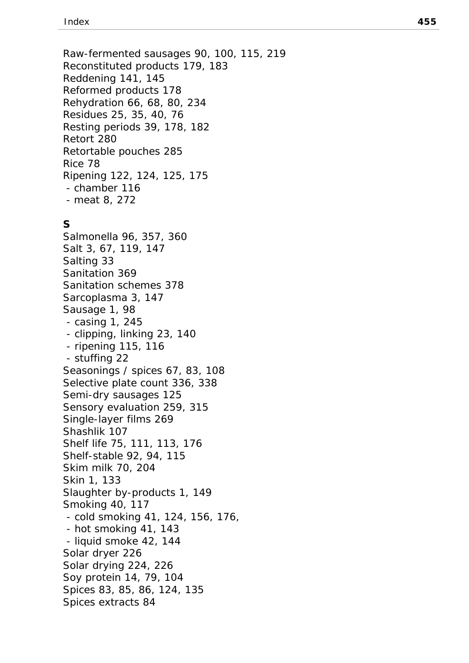Raw-fermented sausages 90, 100, 115, 219 Reconstituted products 179, 183 Reddening 141, 145 Reformed products 178 Rehydration 66, 68, 80, 234 Residues 25, 35, 40, 76 Resting periods 39, 178, 182 Retort 280 Retortable pouches 285 Rice 78 Ripening 122, 124, 125, 175 - chamber 116 - meat 8, 272

## **S**

Salmonella 96, 357, 360 Salt 3, 67, 119, 147 Salting 33 Sanitation 369 Sanitation schemes 378 Sarcoplasma 3, 147 Sausage 1, 98 - casing 1, 245 - clipping, linking 23, 140 - ripening 115, 116 - stuffing 22 Seasonings / spices 67, 83, 108 Selective plate count 336, 338 Semi-dry sausages 125 Sensory evaluation 259, 315 Single-layer films 269 Shashlik 107 Shelf life 75, 111, 113, 176 Shelf-stable 92, 94, 115 Skim milk 70, 204 Skin 1, 133 Slaughter by-products 1, 149 Smoking 40, 117 - cold smoking 41, 124, 156, 176, - hot smoking 41, 143 - liquid smoke 42, 144 Solar dryer 226 Solar drying 224, 226 Soy protein 14, 79, 104 Spices 83, 85, 86, 124, 135 Spices extracts 84